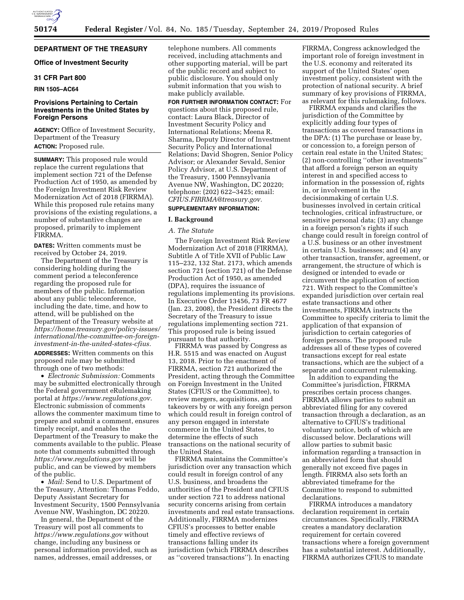# **DEPARTMENT OF THE TREASURY**

# **Office of Investment Security**

# **31 CFR Part 800**

## **RIN 1505–AC64**

# **Provisions Pertaining to Certain Investments in the United States by Foreign Persons**

**AGENCY:** Office of Investment Security, Department of the Treasury **ACTION:** Proposed rule.

**SUMMARY:** This proposed rule would replace the current regulations that implement section 721 of the Defense Production Act of 1950, as amended by the Foreign Investment Risk Review Modernization Act of 2018 (FIRRMA). While this proposed rule retains many provisions of the existing regulations, a number of substantive changes are proposed, primarily to implement FIRRMA.

**DATES:** Written comments must be received by October 24, 2019.

The Department of the Treasury is considering holding during the comment period a teleconference regarding the proposed rule for members of the public. Information about any public teleconference, including the date, time, and how to attend, will be published on the Department of the Treasury website at *[https://home.treasury.gov/policy-issues/](https://home.treasury.gov/policy-issues/international/the-committee-on-foreign-investment-in-the-united-states-cfius)  [international/the-committee-on-foreign](https://home.treasury.gov/policy-issues/international/the-committee-on-foreign-investment-in-the-united-states-cfius)[investment-in-the-united-states-cfius.](https://home.treasury.gov/policy-issues/international/the-committee-on-foreign-investment-in-the-united-states-cfius)*  **ADDRESSES:** Written comments on this proposed rule may be submitted through one of two methods:

• *Electronic Submission:* Comments may be submitted electronically through the Federal government eRulemaking portal at *[https://www.regulations.gov.](https://www.regulations.gov)*  Electronic submission of comments allows the commenter maximum time to prepare and submit a comment, ensures timely receipt, and enables the Department of the Treasury to make the comments available to the public. Please note that comments submitted through *<https://www.regulations.gov>* will be public, and can be viewed by members of the public.

• *Mail:* Send to U.S. Department of the Treasury, Attention: Thomas Feddo, Deputy Assistant Secretary for Investment Security, 1500 Pennsylvania Avenue NW, Washington, DC 20220.

In general, the Department of the Treasury will post all comments to *<https://www.regulations.gov>* without change, including any business or personal information provided, such as names, addresses, email addresses, or

telephone numbers. All comments received, including attachments and other supporting material, will be part of the public record and subject to public disclosure. You should only submit information that you wish to make publicly available.

**FOR FURTHER INFORMATION CONTACT:** For questions about this proposed rule, contact: Laura Black, Director of Investment Security Policy and International Relations; Meena R. Sharma, Deputy Director of Investment Security Policy and International Relations; David Shogren, Senior Policy Advisor; or Alexander Sevald, Senior Policy Advisor, at U.S. Department of the Treasury, 1500 Pennsylvania Avenue NW, Washington, DC 20220; telephone: (202) 622–3425; email: *[CFIUS.FIRRMA@treasury.gov.](mailto:CFIUS.FIRRMA@treasury.gov)* 

# **SUPPLEMENTARY INFORMATION:**

## **I. Background**

#### *A. The Statute*

The Foreign Investment Risk Review Modernization Act of 2018 (FIRRMA), Subtitle A of Title XVII of Public Law 115–232, 132 Stat. 2173, which amends section 721 (section 721) of the Defense Production Act of 1950, as amended (DPA), requires the issuance of regulations implementing its provisions. In Executive Order 13456, 73 FR 4677 (Jan. 23, 2008), the President directs the Secretary of the Treasury to issue regulations implementing section 721. This proposed rule is being issued pursuant to that authority.

FIRRMA was passed by Congress as H.R. 5515 and was enacted on August 13, 2018. Prior to the enactment of FIRRMA, section 721 authorized the President, acting through the Committee on Foreign Investment in the United States (CFIUS or the Committee), to review mergers, acquisitions, and takeovers by or with any foreign person which could result in foreign control of any person engaged in interstate commerce in the United States, to determine the effects of such transactions on the national security of the United States.

FIRRMA maintains the Committee's jurisdiction over any transaction which could result in foreign control of any U.S. business, and broadens the authorities of the President and CFIUS under section 721 to address national security concerns arising from certain investments and real estate transactions. Additionally, FIRRMA modernizes CFIUS's processes to better enable timely and effective reviews of transactions falling under its jurisdiction (which FIRRMA describes as ''covered transactions''). In enacting

FIRRMA, Congress acknowledged the important role of foreign investment in the U.S. economy and reiterated its support of the United States' open investment policy, consistent with the protection of national security. A brief summary of key provisions of FIRRMA, as relevant for this rulemaking, follows.

FIRRMA expands and clarifies the jurisdiction of the Committee by explicitly adding four types of transactions as covered transactions in the DPA: (1) The purchase or lease by, or concession to, a foreign person of certain real estate in the United States; (2) non-controlling ''other investments'' that afford a foreign person an equity interest in and specified access to information in the possession of, rights in, or involvement in the decisionmaking of certain U.S. businesses involved in certain critical technologies, critical infrastructure, or sensitive personal data; (3) any change in a foreign person's rights if such change could result in foreign control of a U.S. business or an other investment in certain U.S. businesses; and (4) any other transaction, transfer, agreement, or arrangement, the structure of which is designed or intended to evade or circumvent the application of section 721. With respect to the Committee's expanded jurisdiction over certain real estate transactions and other investments, FIRRMA instructs the Committee to specify criteria to limit the application of that expansion of jurisdiction to certain categories of foreign persons. The proposed rule addresses all of these types of covered transactions except for real estate transactions, which are the subject of a separate and concurrent rulemaking.

In addition to expanding the Committee's jurisdiction, FIRRMA prescribes certain process changes. FIRRMA allows parties to submit an abbreviated filing for any covered transaction through a declaration, as an alternative to CFIUS's traditional voluntary notice, both of which are discussed below. Declarations will allow parties to submit basic information regarding a transaction in an abbreviated form that should generally not exceed five pages in length. FIRRMA also sets forth an abbreviated timeframe for the Committee to respond to submitted declarations.

FIRRMA introduces a mandatory declaration requirement in certain circumstances. Specifically, FIRRMA creates a mandatory declaration requirement for certain covered transactions where a foreign government has a substantial interest. Additionally, FIRRMA authorizes CFIUS to mandate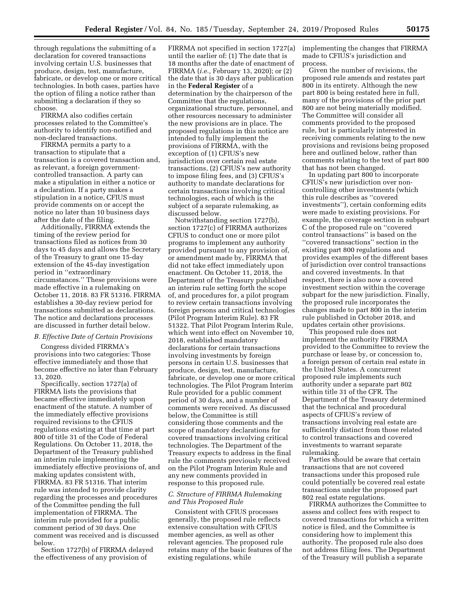through regulations the submitting of a declaration for covered transactions involving certain U.S. businesses that produce, design, test, manufacture, fabricate, or develop one or more critical technologies. In both cases, parties have the option of filing a notice rather than submitting a declaration if they so choose.

FIRRMA also codifies certain processes related to the Committee's authority to identify non-notified and non-declared transactions.

FIRRMA permits a party to a transaction to stipulate that a transaction is a covered transaction and, as relevant, a foreign governmentcontrolled transaction. A party can make a stipulation in either a notice or a declaration. If a party makes a stipulation in a notice, CFIUS must provide comments on or accept the notice no later than 10 business days after the date of the filing.

Additionally, FIRRMA extends the timing of the review period for transactions filed as notices from 30 days to 45 days and allows the Secretary of the Treasury to grant one 15-day extension of the 45-day investigation period in ''extraordinary circumstances.'' These provisions were made effective in a rulemaking on October 11, 2018. 83 FR 51316. FIRRMA establishes a 30-day review period for transactions submitted as declarations. The notice and declarations processes are discussed in further detail below.

#### *B. Effective Date of Certain Provisions*

Congress divided FIRRMA's provisions into two categories: Those effective immediately and those that become effective no later than February 13, 2020.

Specifically, section 1727(a) of FIRRMA lists the provisions that became effective immediately upon enactment of the statute. A number of the immediately effective provisions required revisions to the CFIUS regulations existing at that time at part 800 of title 31 of the Code of Federal Regulations. On October 11, 2018, the Department of the Treasury published an interim rule implementing the immediately effective provisions of, and making updates consistent with, FIRRMA. 83 FR 51316. That interim rule was intended to provide clarity regarding the processes and procedures of the Committee pending the full implementation of FIRRMA. The interim rule provided for a public comment period of 30 days. One comment was received and is discussed below.

Section 1727(b) of FIRRMA delayed the effectiveness of any provision of

FIRRMA not specified in section 1727(a) until the earlier of: (1) The date that is 18 months after the date of enactment of FIRRMA (*i.e.,* February 13, 2020); or (2) the date that is 30 days after publication in the **Federal Register** of a determination by the chairperson of the Committee that the regulations, organizational structure, personnel, and other resources necessary to administer the new provisions are in place. The proposed regulations in this notice are intended to fully implement the provisions of FIRRMA, with the exception of (1) CFIUS's new jurisdiction over certain real estate transactions, (2) CFIUS's new authority to impose filing fees, and (3) CFIUS's authority to mandate declarations for certain transactions involving critical technologies, each of which is the subject of a separate rulemaking, as discussed below.

Notwithstanding section 1727(b), section 1727(c) of FIRRMA authorizes CFIUS to conduct one or more pilot programs to implement any authority provided pursuant to any provision of, or amendment made by, FIRRMA that did not take effect immediately upon enactment. On October 11, 2018, the Department of the Treasury published an interim rule setting forth the scope of, and procedures for, a pilot program to review certain transactions involving foreign persons and critical technologies (Pilot Program Interim Rule). 83 FR 51322. That Pilot Program Interim Rule, which went into effect on November 10, 2018, established mandatory declarations for certain transactions involving investments by foreign persons in certain U.S. businesses that produce, design, test, manufacture, fabricate, or develop one or more critical technologies. The Pilot Program Interim Rule provided for a public comment period of 30 days, and a number of comments were received. As discussed below, the Committee is still considering those comments and the scope of mandatory declarations for covered transactions involving critical technologies. The Department of the Treasury expects to address in the final rule the comments previously received on the Pilot Program Interim Rule and any new comments provided in response to this proposed rule.

# *C. Structure of FIRRMA Rulemaking and This Proposed Rule*

Consistent with CFIUS processes generally, the proposed rule reflects extensive consultation with CFIUS member agencies, as well as other relevant agencies. The proposed rule retains many of the basic features of the existing regulations, while

implementing the changes that FIRRMA made to CFIUS's jurisdiction and process.

Given the number of revisions, the proposed rule amends and restates part 800 in its entirety. Although the new part 800 is being restated here in full, many of the provisions of the prior part 800 are not being materially modified. The Committee will consider all comments provided to the proposed rule, but is particularly interested in receiving comments relating to the new provisions and revisions being proposed here and outlined below, rather than comments relating to the text of part 800 that has not been changed.

In updating part 800 to incorporate CFIUS's new jurisdiction over noncontrolling other investments (which this rule describes as ''covered investments''), certain conforming edits were made to existing provisions. For example, the coverage section in subpart C of the proposed rule on ''covered control transactions'' is based on the ''covered transactions'' section in the existing part 800 regulations and provides examples of the different bases of jurisdiction over control transactions and covered investments. In that respect, there is also now a covered investment section within the coverage subpart for the new jurisdiction. Finally, the proposed rule incorporates the changes made to part 800 in the interim rule published in October 2018, and updates certain other provisions.

This proposed rule does not implement the authority FIRRMA provided to the Committee to review the purchase or lease by, or concession to, a foreign person of certain real estate in the United States. A concurrent proposed rule implements such authority under a separate part 802 within title 31 of the CFR. The Department of the Treasury determined that the technical and procedural aspects of CFIUS's review of transactions involving real estate are sufficiently distinct from those related to control transactions and covered investments to warrant separate rulemaking.

Parties should be aware that certain transactions that are not covered transactions under this proposed rule could potentially be covered real estate transactions under the proposed part 802 real estate regulations.

FIRRMA authorizes the Committee to assess and collect fees with respect to covered transactions for which a written notice is filed, and the Committee is considering how to implement this authority. The proposed rule also does not address filing fees. The Department of the Treasury will publish a separate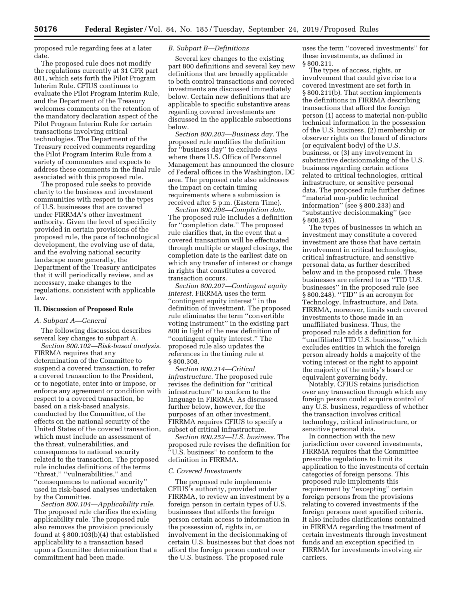proposed rule regarding fees at a later date.

The proposed rule does not modify the regulations currently at 31 CFR part 801, which sets forth the Pilot Program Interim Rule. CFIUS continues to evaluate the Pilot Program Interim Rule, and the Department of the Treasury welcomes comments on the retention of the mandatory declaration aspect of the Pilot Program Interim Rule for certain transactions involving critical technologies. The Department of the Treasury received comments regarding the Pilot Program Interim Rule from a variety of commenters and expects to address these comments in the final rule associated with this proposed rule.

The proposed rule seeks to provide clarity to the business and investment communities with respect to the types of U.S. businesses that are covered under FIRRMA's other investment authority. Given the level of specificity provided in certain provisions of the proposed rule, the pace of technological development, the evolving use of data, and the evolving national security landscape more generally, the Department of the Treasury anticipates that it will periodically review, and as necessary, make changes to the regulations, consistent with applicable law.

#### **II. Discussion of Proposed Rule**

# *A. Subpart A—General*

The following discussion describes several key changes to subpart A.

*Section 800.102—Risk-based analysis.*  FIRRMA requires that any determination of the Committee to suspend a covered transaction, to refer a covered transaction to the President, or to negotiate, enter into or impose, or enforce any agreement or condition with respect to a covered transaction, be based on a risk-based analysis, conducted by the Committee, of the effects on the national security of the United States of the covered transaction, which must include an assessment of the threat, vulnerabilities, and consequences to national security related to the transaction. The proposed rule includes definitions of the terms ''threat,'' ''vulnerabilities,'' and ''consequences to national security'' used in risk-based analyses undertaken by the Committee.

*Section 800.104—Applicability rule.*  The proposed rule clarifies the existing applicability rule. The proposed rule also removes the provision previously found at § 800.103(b)(4) that established applicability to a transaction based upon a Committee determination that a commitment had been made.

## *B. Subpart B—Definitions*

Several key changes to the existing part 800 definitions and several key new definitions that are broadly applicable to both control transactions and covered investments are discussed immediately below. Certain new definitions that are applicable to specific substantive areas regarding covered investments are discussed in the applicable subsections below.

*Section 800.203—Business day.* The proposed rule modifies the definition for ''business day'' to exclude days where there U.S. Office of Personnel Management has announced the closure of Federal offices in the Washington, DC area. The proposed rule also addresses the impact on certain timing requirements where a submission is received after 5 p.m. (Eastern Time).

*Section 800.206—Completion date.*  The proposed rule includes a definition for ''completion date.'' The proposed rule clarifies that, in the event that a covered transaction will be effectuated through multiple or staged closings, the completion date is the earliest date on which any transfer of interest or change in rights that constitutes a covered transaction occurs.

*Section 800.207—Contingent equity interest.* FIRRMA uses the term ''contingent equity interest'' in the definition of investment. The proposed rule eliminates the term ''convertible voting instrument'' in the existing part 800 in light of the new definition of ''contingent equity interest.'' The proposed rule also updates the references in the timing rule at § 800.308.

*Section 800.214—Critical infrastructure.* The proposed rule revises the definition for ''critical infrastructure'' to conform to the language in FIRRMA. As discussed further below, however, for the purposes of an other investment, FIRRMA requires CFIUS to specify a subset of critical infrastructure.

*Section 800.252—U.S. business.* The proposed rule revises the definition for ''U.S. business'' to conform to the definition in FIRRMA.

#### *C. Covered Investments*

The proposed rule implements CFIUS's authority, provided under FIRRMA, to review an investment by a foreign person in certain types of U.S. businesses that affords the foreign person certain access to information in the possession of, rights in, or involvement in the decisionmaking of certain U.S. businesses but that does not afford the foreign person control over the U.S. business. The proposed rule

uses the term ''covered investments'' for these investments, as defined in § 800.211.

The types of access, rights, or involvement that could give rise to a covered investment are set forth in § 800.211(b). That section implements the definitions in FIRRMA describing transactions that afford the foreign person (1) access to material non-public technical information in the possession of the U.S. business, (2) membership or observer rights on the board of directors (or equivalent body) of the U.S. business, or (3) any involvement in substantive decisionmaking of the U.S. business regarding certain actions related to critical technologies, critical infrastructure, or sensitive personal data. The proposed rule further defines ''material non-public technical information'' (see § 800.233) and ''substantive decisionmaking'' (see § 800.245).

The types of businesses in which an investment may constitute a covered investment are those that have certain involvement in critical technologies, critical infrastructure, and sensitive personal data, as further described below and in the proposed rule. These businesses are referred to as ''TID U.S. businesses'' in the proposed rule (see § 800.248). "TID" is an acronym for Technology, Infrastructure, and Data. FIRRMA, moreover, limits such covered investments to those made in an unaffiliated business. Thus, the proposed rule adds a definition for ''unaffiliated TID U.S. business,'' which excludes entities in which the foreign person already holds a majority of the voting interest or the right to appoint the majority of the entity's board or equivalent governing body.

Notably, CFIUS retains jurisdiction over any transaction through which any foreign person could acquire control of any U.S. business, regardless of whether the transaction involves critical technology, critical infrastructure, or sensitive personal data.

In connection with the new jurisdiction over covered investments, FIRRMA requires that the Committee prescribe regulations to limit its application to the investments of certain categories of foreign persons. This proposed rule implements this requirement by ''excepting'' certain foreign persons from the provisions relating to covered investments if the foreign persons meet specified criteria. It also includes clarifications contained in FIRRMA regarding the treatment of certain investments through investment funds and an exception specified in FIRRMA for investments involving air carriers.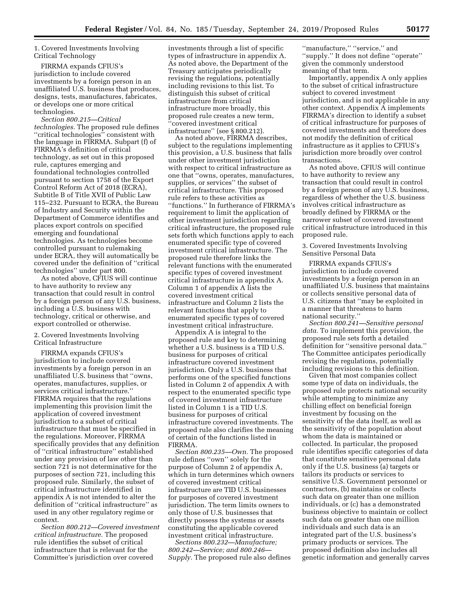1. Covered Investments Involving Critical Technology

FIRRMA expands CFIUS's jurisdiction to include covered investments by a foreign person in an unaffiliated U.S. business that produces, designs, tests, manufactures, fabricates, or develops one or more critical technologies.

*Section 800.215—Critical technologies.* The proposed rule defines ''critical technologies'' consistent with the language in FIRRMA. Subpart (f) of FIRRMA's definition of critical technology, as set out in this proposed rule, captures emerging and foundational technologies controlled pursuant to section 1758 of the Export Control Reform Act of 2018 (ECRA), Subtitle B of Title XVII of Public Law 115–232. Pursuant to ECRA, the Bureau of Industry and Security within the Department of Commerce identifies and places export controls on specified emerging and foundational technologies. As technologies become controlled pursuant to rulemaking under ECRA, they will automatically be covered under the definition of ''critical technologies'' under part 800.

As noted above, CFIUS will continue to have authority to review any transaction that could result in control by a foreign person of any U.S. business, including a U.S. business with technology, critical or otherwise, and export controlled or otherwise.

### 2. Covered Investments Involving Critical Infrastructure

FIRRMA expands CFIUS's jurisdiction to include covered investments by a foreign person in an unaffiliated U.S. business that ''owns, operates, manufactures, supplies, or services critical infrastructure.'' FIRRMA requires that the regulations implementing this provision limit the application of covered investment jurisdiction to a subset of critical infrastructure that must be specified in the regulations. Moreover, FIRRMA specifically provides that any definition of ''critical infrastructure'' established under any provision of law other than section 721 is not determinative for the purposes of section 721, including this proposed rule. Similarly, the subset of critical infrastructure identified in appendix A is not intended to alter the definition of ''critical infrastructure'' as used in any other regulatory regime or context.

*Section 800.212—Covered investment critical infrastructure.* The proposed rule identifies the subset of critical infrastructure that is relevant for the Committee's jurisdiction over covered

investments through a list of specific types of infrastructure in appendix A. As noted above, the Department of the Treasury anticipates periodically revising the regulations, potentially including revisions to this list. To distinguish this subset of critical infrastructure from critical infrastructure more broadly, this proposed rule creates a new term, ''covered investment critical infrastructure'' (see § 800.212).

As noted above, FIRRMA describes, subject to the regulations implementing this provision, a U.S. business that falls under other investment jurisdiction with respect to critical infrastructure as one that ''owns, operates, manufactures, supplies, or services'' the subset of critical infrastructure. This proposed rule refers to these activities as ''functions.'' In furtherance of FIRRMA's requirement to limit the application of other investment jurisdiction regarding critical infrastructure, the proposed rule sets forth which functions apply to each enumerated specific type of covered investment critical infrastructure. The proposed rule therefore links the relevant functions with the enumerated specific types of covered investment critical infrastructure in appendix A. Column 1 of appendix A lists the covered investment critical infrastructure and Column 2 lists the relevant functions that apply to enumerated specific types of covered investment critical infrastructure.

Appendix A is integral to the proposed rule and key to determining whether a U.S. business is a TID U.S. business for purposes of critical infrastructure covered investment jurisdiction. Only a U.S. business that performs one of the specified functions listed in Column 2 of appendix A with respect to the enumerated specific type of covered investment infrastructure listed in Column 1 is a TID U.S. business for purposes of critical infrastructure covered investments. The proposed rule also clarifies the meaning of certain of the functions listed in FIRRMA.

*Section 800.235—Own.* The proposed rule defines ''own'' solely for the purpose of Column 2 of appendix A, which in turn determines which owners of covered investment critical infrastructure are TID U.S. businesses for purposes of covered investment jurisdiction. The term limits owners to only those of U.S. businesses that directly possess the systems or assets constituting the applicable covered investment critical infrastructure.

*Sections 800.232—Manufacture; 800.242—Service; and 800.246— Supply.* The proposed rule also defines

''manufacture,'' ''service,'' and ''supply.'' It does not define ''operate'' given the commonly understood meaning of that term.

Importantly, appendix A only applies to the subset of critical infrastructure subject to covered investment jurisdiction, and is not applicable in any other context. Appendix A implements FIRRMA's direction to identify a subset of critical infrastructure for purposes of covered investments and therefore does not modify the definition of critical infrastructure as it applies to CFIUS's jurisdiction more broadly over control transactions.

As noted above, CFIUS will continue to have authority to review any transaction that could result in control by a foreign person of any U.S. business, regardless of whether the U.S. business involves critical infrastructure as broadly defined by FIRRMA or the narrower subset of covered investment critical infrastructure introduced in this proposed rule.

3. Covered Investments Involving Sensitive Personal Data

FIRRMA expands CFIUS's jurisdiction to include covered investments by a foreign person in an unaffiliated U.S. business that maintains or collects sensitive personal data of U.S. citizens that ''may be exploited in a manner that threatens to harm national security.''

*Section 800.241—Sensitive personal data.* To implement this provision, the proposed rule sets forth a detailed definition for ''sensitive personal data.'' The Committee anticipates periodically revising the regulations, potentially including revisions to this definition.

Given that most companies collect some type of data on individuals, the proposed rule protects national security while attempting to minimize any chilling effect on beneficial foreign investment by focusing on the sensitivity of the data itself, as well as the sensitivity of the population about whom the data is maintained or collected. In particular, the proposed rule identifies specific categories of data that constitute sensitive personal data only if the U.S. business (a) targets or tailors its products or services to sensitive U.S. Government personnel or contractors, (b) maintains or collects such data on greater than one million individuals, or (c) has a demonstrated business objective to maintain or collect such data on greater than one million individuals and such data is an integrated part of the U.S. business's primary products or services. The proposed definition also includes all genetic information and generally carves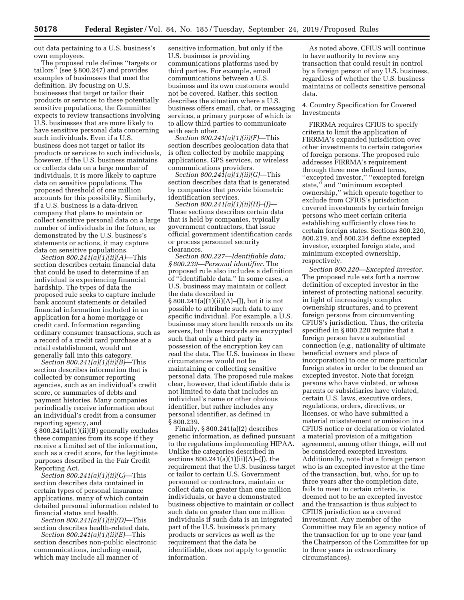out data pertaining to a U.S. business's own employees.

The proposed rule defines ''targets or tailors'' (see § 800.247) and provides examples of businesses that meet the definition. By focusing on U.S. businesses that target or tailor their products or services to these potentially sensitive populations, the Committee expects to review transactions involving U.S. businesses that are more likely to have sensitive personal data concerning such individuals. Even if a U.S. business does not target or tailor its products or services to such individuals, however, if the U.S. business maintains or collects data on a large number of individuals, it is more likely to capture data on sensitive populations. The proposed threshold of one million accounts for this possibility. Similarly, if a U.S. business is a data-driven company that plans to maintain or collect sensitive personal data on a large number of individuals in the future, as demonstrated by the U.S. business's statements or actions, it may capture data on sensitive populations.

*Section 800.241(a)(1)(ii)(A)*—This section describes certain financial data that could be used to determine if an individual is experiencing financial hardship. The types of data the proposed rule seeks to capture include bank account statements or detailed financial information included in an application for a home mortgage or credit card. Information regarding ordinary consumer transactions, such as a record of a credit card purchase at a retail establishment, would not generally fall into this category.

*Section 800.241(a)(1)(ii)(B)*—This section describes information that is collected by consumer reporting agencies, such as an individual's credit score, or summaries of debts and payment histories. Many companies periodically receive information about an individual's credit from a consumer reporting agency, and § 800.241(a)(1)(ii)(B) generally excludes these companies from its scope if they receive a limited set of the information, such as a credit score, for the legitimate purposes described in the Fair Credit Reporting Act.

*Section 800.241(a)(1)(ii)(C)*—This section describes data contained in certain types of personal insurance applications, many of which contain detailed personal information related to financial status and health.

*Section 800.241(a)(1)(ii)(D)*—This section describes health-related data.

*Section 800.241(a)(1)(ii)(E)*—This section describes non-public electronic communications, including email, which may include all manner of

sensitive information, but only if the U.S. business is providing communications platforms used by third parties. For example, email communications between a U.S. business and its own customers would not be covered. Rather, this section describes the situation where a U.S. business offers email, chat, or messaging services, a primary purpose of which is to allow third parties to communicate with each other.

*Section 800.241(a)(1)(ii)(F)*—This section describes geolocation data that is often collected by mobile mapping applications, GPS services, or wireless communications providers.

*Section 800.241(a)(1)(ii)(G)*—This section describes data that is generated by companies that provide biometric identification services.

*Section 800.241(a)(1)(ii)(H)–(J)*— These sections describes certain data that is held by companies, typically government contractors, that issue official government identification cards or process personnel security clearances.

*Section 800.227—Identifiable data; § 800.239—Personal identifier.* The proposed rule also includes a definition of ''identifiable data.'' In some cases, a U.S. business may maintain or collect the data described in § 800.241(a)(1)(ii)(A)–(J), but it is not possible to attribute such data to any specific individual. For example, a U.S. business may store health records on its servers, but those records are encrypted such that only a third party in possession of the encryption key can read the data. The U.S. business in these circumstances would not be maintaining or collecting sensitive personal data. The proposed rule makes clear, however, that identifiable data is not limited to data that includes an individual's name or other obvious identifier, but rather includes any personal identifier, as defined in § 800.239.

Finally, § 800.241(a)(2) describes genetic information, as defined pursuant to the regulations implementing HIPAA. Unlike the categories described in sections  $800.241(a)(1)(ii)(A)$ –(J), the requirement that the U.S. business target or tailor to certain U.S. Government personnel or contractors, maintain or collect data on greater than one million individuals, or have a demonstrated business objective to maintain or collect such data on greater than one million individuals if such data is an integrated part of the U.S. business's primary products or services as well as the requirement that the data be identifiable, does not apply to genetic information.

As noted above, CFIUS will continue to have authority to review any transaction that could result in control by a foreign person of any U.S. business, regardless of whether the U.S. business maintains or collects sensitive personal data.

## 4. Country Specification for Covered Investments

FIRRMA requires CFIUS to specify criteria to limit the application of FIRRMA's expanded jurisdiction over other investments to certain categories of foreign persons. The proposed rule addresses FIRRMA's requirement through three new defined terms, ''excepted investor,'' ''excepted foreign state,'' and ''minimum excepted ownership,'' which operate together to exclude from CFIUS's jurisdiction covered investments by certain foreign persons who meet certain criteria establishing sufficiently close ties to certain foreign states. Sections 800.220, 800.219, and 800.234 define excepted investor, excepted foreign state, and minimum excepted ownership, respectively.

*Section 800.220—Excepted investor.*  The proposed rule sets forth a narrow definition of excepted investor in the interest of protecting national security, in light of increasingly complex ownership structures, and to prevent foreign persons from circumventing CFIUS's jurisdiction. Thus, the criteria specified in § 800.220 require that a foreign person have a substantial connection (*e.g.,* nationality of ultimate beneficial owners and place of incorporation) to one or more particular foreign states in order to be deemed an excepted investor. Note that foreign persons who have violated, or whose parents or subsidiaries have violated, certain U.S. laws, executive orders, regulations, orders, directives, or licenses, or who have submitted a material misstatement or omission in a CFIUS notice or declaration or violated a material provision of a mitigation agreement, among other things, will not be considered excepted investors. Additionally, note that a foreign person who is an excepted investor at the time of the transaction, but, who, for up to three years after the completion date, fails to meet to certain criteria, is deemed not to be an excepted investor and the transaction is thus subject to CFIUS jurisdiction as a covered investment. Any member of the Committee may file an agency notice of the transaction for up to one year (and the Chairperson of the Committee for up to three years in extraordinary circumstances).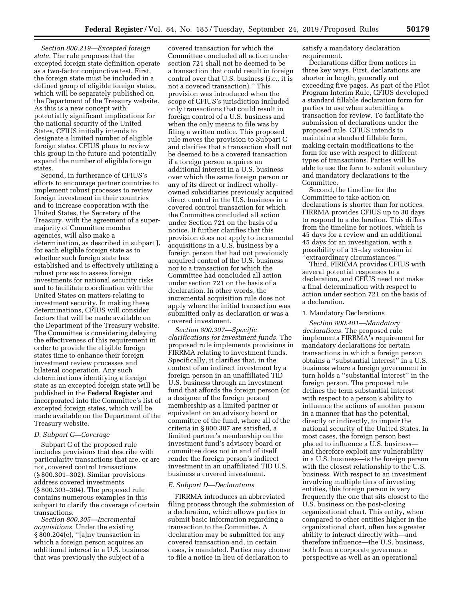*Section 800.219—Excepted foreign state.* The rule proposes that the excepted foreign state definition operate as a two-factor conjunctive test. First, the foreign state must be included in a defined group of eligible foreign states, which will be separately published on the Department of the Treasury website. As this is a new concept with potentially significant implications for the national security of the United States, CFIUS initially intends to designate a limited number of eligible foreign states. CFIUS plans to review this group in the future and potentially expand the number of eligible foreign states.

Second, in furtherance of CFIUS's efforts to encourage partner countries to implement robust processes to review foreign investment in their countries and to increase cooperation with the United States, the Secretary of the Treasury, with the agreement of a supermajority of Committee member agencies, will also make a determination, as described in subpart J, for each eligible foreign state as to whether such foreign state has established and is effectively utilizing a robust process to assess foreign investments for national security risks and to facilitate coordination with the United States on matters relating to investment security. In making these determinations, CFIUS will consider factors that will be made available on the Department of the Treasury website. The Committee is considering delaying the effectiveness of this requirement in order to provide the eligible foreign states time to enhance their foreign investment review processes and bilateral cooperation. Any such determinations identifying a foreign state as an excepted foreign state will be published in the **Federal Register** and incorporated into the Committee's list of excepted foreign states, which will be made available on the Department of the Treasury website.

#### *D. Subpart C—Coverage*

Subpart C of the proposed rule includes provisions that describe with particularity transactions that are, or are not, covered control transactions (§ 800.301–302). Similar provisions address covered investments (§ 800.303–304). The proposed rule contains numerous examples in this subpart to clarify the coverage of certain transactions.

*Section 800.305—Incremental acquisitions.* Under the existing § 800.204(e), ''[a]ny transaction in which a foreign person acquires an additional interest in a U.S. business that was previously the subject of a

covered transaction for which the Committee concluded all action under section 721 shall not be deemed to be a transaction that could result in foreign control over that U.S. business (*i.e.,* it is not a covered transaction).'' This provision was introduced when the scope of CFIUS's jurisdiction included only transactions that could result in foreign control of a U.S. business and when the only means to file was by filing a written notice. This proposed rule moves the provision to Subpart C and clarifies that a transaction shall not be deemed to be a covered transaction if a foreign person acquires an additional interest in a U.S. business over which the same foreign person or any of its direct or indirect whollyowned subsidiaries previously acquired direct control in the U.S. business in a covered control transaction for which the Committee concluded all action under Section 721 on the basis of a notice. It further clarifies that this provision does not apply to incremental acquisitions in a U.S. business by a foreign person that had not previously acquired control of the U.S. business nor to a transaction for which the Committee had concluded all action under section 721 on the basis of a declaration. In other words, the incremental acquisition rule does not apply where the initial transaction was submitted only as declaration or was a covered investment.

*Section 800.307—Specific clarifications for investment funds.* The proposed rule implements provisions in FIRRMA relating to investment funds. Specifically, it clarifies that, in the context of an indirect investment by a foreign person in an unaffiliated TID U.S. business through an investment fund that affords the foreign person (or a designee of the foreign person) membership as a limited partner or equivalent on an advisory board or committee of the fund, where all of the criteria in § 800.307 are satisfied, a limited partner's membership on the investment fund's advisory board or committee does not in and of itself render the foreign person's indirect investment in an unaffiliated TID U.S. business a covered investment.

#### *E. Subpart D—Declarations*

FIRRMA introduces an abbreviated filing process through the submission of a declaration, which allows parties to submit basic information regarding a transaction to the Committee. A declaration may be submitted for any covered transaction and, in certain cases, is mandated. Parties may choose to file a notice in lieu of declaration to

satisfy a mandatory declaration requirement.

Declarations differ from notices in three key ways. First, declarations are shorter in length, generally not exceeding five pages. As part of the Pilot Program Interim Rule, CFIUS developed a standard fillable declaration form for parties to use when submitting a transaction for review. To facilitate the submission of declarations under the proposed rule, CFIUS intends to maintain a standard fillable form, making certain modifications to the form for use with respect to different types of transactions. Parties will be able to use the form to submit voluntary and mandatory declarations to the Committee.

Second, the timeline for the Committee to take action on declarations is shorter than for notices. FIRRMA provides CFIUS up to 30 days to respond to a declaration. This differs from the timeline for notices, which is 45 days for a review and an additional 45 days for an investigation, with a possibility of a 15-day extension in ''extraordinary circumstances.''

Third, FIRRMA provides CFIUS with several potential responses to a declaration, and CFIUS need not make a final determination with respect to action under section 721 on the basis of a declaration.

#### 1. Mandatory Declarations

*Section 800.401—Mandatory declarations.* The proposed rule implements FIRRMA's requirement for mandatory declarations for certain transactions in which a foreign person obtains a ''substantial interest'' in a U.S. business where a foreign government in turn holds a ''substantial interest'' in the foreign person. The proposed rule defines the term substantial interest with respect to a person's ability to influence the actions of another person in a manner that has the potential, directly or indirectly, to impair the national security of the United States. In most cases, the foreign person best placed to influence a U.S. business and therefore exploit any vulnerability in a U.S. business—is the foreign person with the closest relationship to the U.S. business. With respect to an investment involving multiple tiers of investing entities, this foreign person is very frequently the one that sits closest to the U.S. business on the post-closing organizational chart. This entity, when compared to other entities higher in the organizational chart, often has a greater ability to interact directly with—and therefore influence—the U.S. business, both from a corporate governance perspective as well as an operational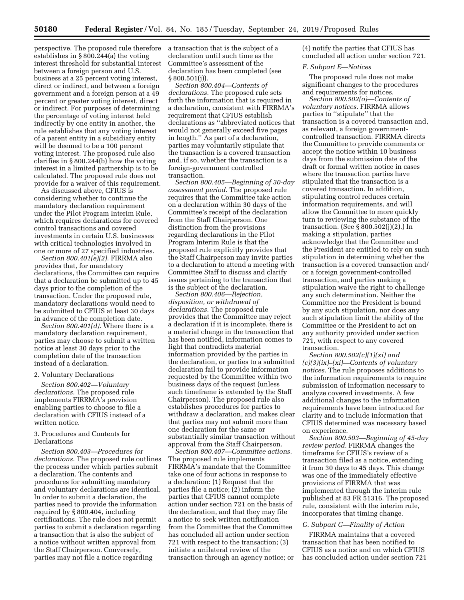perspective. The proposed rule therefore establishes in § 800.244(a) the voting interest threshold for substantial interest between a foreign person and U.S. business at a 25 percent voting interest, direct or indirect, and between a foreign government and a foreign person at a 49 percent or greater voting interest, direct or indirect. For purposes of determining the percentage of voting interest held indirectly by one entity in another, the rule establishes that any voting interest of a parent entity in a subsidiary entity will be deemed to be a 100 percent voting interest. The proposed rule also clarifies in § 800.244(b) how the voting interest in a limited partnership is to be calculated. The proposed rule does not provide for a waiver of this requirement.

As discussed above, CFIUS is considering whether to continue the mandatory declaration requirement under the Pilot Program Interim Rule, which requires declarations for covered control transactions and covered investments in certain U.S. businesses with critical technologies involved in one or more of 27 specified industries.

*Section 800.401(e)(2).* FIRRMA also provides that, for mandatory declarations, the Committee can require that a declaration be submitted up to 45 days prior to the completion of the transaction. Under the proposed rule, mandatory declarations would need to be submitted to CFIUS at least 30 days in advance of the completion date.

*Section 800.401(d).* Where there is a mandatory declaration requirement, parties may choose to submit a written notice at least 30 days prior to the completion date of the transaction instead of a declaration.

#### 2. Voluntary Declarations

*Section 800.402—Voluntary declarations.* The proposed rule implements FIRRMA's provision enabling parties to choose to file a declaration with CFIUS instead of a written notice.

# 3. Procedures and Contents for Declarations

*Section 800.403—Procedures for declarations.* The proposed rule outlines the process under which parties submit a declaration. The contents and procedures for submitting mandatory and voluntary declarations are identical. In order to submit a declaration, the parties need to provide the information required by § 800.404, including certifications. The rule does not permit parties to submit a declaration regarding a transaction that is also the subject of a notice without written approval from the Staff Chairperson. Conversely, parties may not file a notice regarding

a transaction that is the subject of a declaration until such time as the Committee's assessment of the declaration has been completed (see § 800.501(j)).

*Section 800.404—Contents of declarations.* The proposed rule sets forth the information that is required in a declaration, consistent with FIRRMA's requirement that CFIUS establish declarations as ''abbreviated notices that would not generally exceed five pages in length.'' As part of a declaration, parties may voluntarily stipulate that the transaction is a covered transaction and, if so, whether the transaction is a foreign-government controlled transaction.

*Section 800.405—Beginning of 30-day assessment period.* The proposed rule requires that the Committee take action on a declaration within 30 days of the Committee's receipt of the declaration from the Staff Chairperson. One distinction from the provisions regarding declarations in the Pilot Program Interim Rule is that the proposed rule explicitly provides that the Staff Chairperson may invite parties to a declaration to attend a meeting with Committee Staff to discuss and clarify issues pertaining to the transaction that is the subject of the declaration.

*Section 800.406—Rejection, disposition, or withdrawal of declarations.* The proposed rule provides that the Committee may reject a declaration if it is incomplete, there is a material change in the transaction that has been notified, information comes to light that contradicts material information provided by the parties in the declaration, or parties to a submitted declaration fail to provide information requested by the Committee within two business days of the request (unless such timeframe is extended by the Staff Chairperson). The proposed rule also establishes procedures for parties to withdraw a declaration, and makes clear that parties may not submit more than one declaration for the same or substantially similar transaction without approval from the Staff Chairperson.

*Section 800.407—Committee actions.*  The proposed rule implements FIRRMA's mandate that the Committee take one of four actions in response to a declaration: (1) Request that the parties file a notice; (2) inform the parties that CFIUS cannot complete action under section 721 on the basis of the declaration, and that they may file a notice to seek written notification from the Committee that the Committee has concluded all action under section 721 with respect to the transaction; (3) initiate a unilateral review of the transaction through an agency notice; or (4) notify the parties that CFIUS has concluded all action under section 721.

#### *F. Subpart E—Notices*

The proposed rule does not make significant changes to the procedures and requirements for notices.

*Section 800.502(o)—Contents of voluntary notices.* FIRRMA allows parties to ''stipulate'' that the transaction is a covered transaction and, as relevant, a foreign governmentcontrolled transaction. FIRRMA directs the Committee to provide comments or accept the notice within 10 business days from the submission date of the draft or formal written notice in cases where the transaction parties have stipulated that the transaction is a covered transaction. In addition, stipulating control reduces certain information requirements, and will allow the Committee to more quickly turn to reviewing the substance of the transaction. (See § 800.502(j)(2).) In making a stipulation, parties acknowledge that the Committee and the President are entitled to rely on such stipulation in determining whether the transaction is a covered transaction and/ or a foreign government-controlled transaction, and parties making a stipulation waive the right to challenge any such determination. Neither the Committee nor the President is bound by any such stipulation, nor does any such stipulation limit the ability of the Committee or the President to act on any authority provided under section 721, with respect to any covered transaction.

*Section 800.502(c)(1)(xi) and (c)(3)(ix)–(xi)—Contents of voluntary notices.* The rule proposes additions to the information requirements to require submission of information necessary to analyze covered investments. A few additional changes to the information requirements have been introduced for clarity and to include information that CFIUS determined was necessary based on experience.

*Section 800.503—Beginning of 45-day review period.* FIRRMA changes the timeframe for CFIUS's review of a transaction filed as a notice, extending it from 30 days to 45 days. This change was one of the immediately effective provisions of FIRRMA that was implemented through the interim rule published at 83 FR 51316. The proposed rule, consistent with the interim rule, incorporates that timing change.

## *G. Subpart G—Finality of Action*

FIRRMA maintains that a covered transaction that has been notified to CFIUS as a notice and on which CFIUS has concluded action under section 721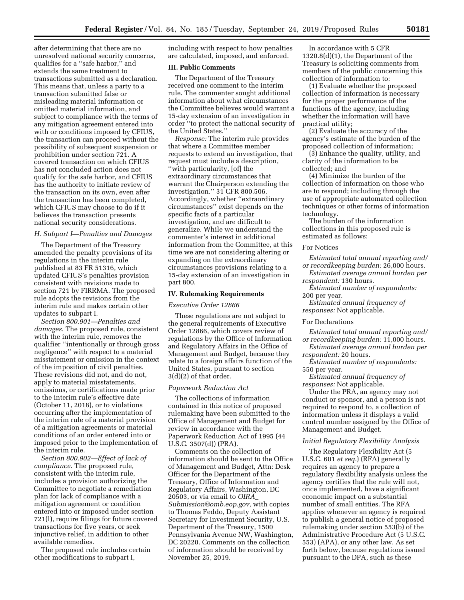after determining that there are no unresolved national security concerns, qualifies for a ''safe harbor,'' and extends the same treatment to transactions submitted as a declaration. This means that, unless a party to a transaction submitted false or misleading material information or omitted material information, and subject to compliance with the terms of any mitigation agreement entered into with or conditions imposed by CFIUS, the transaction can proceed without the possibility of subsequent suspension or prohibition under section 721. A covered transaction on which CFIUS has not concluded action does not qualify for the safe harbor, and CFIUS has the authority to initiate review of the transaction on its own, even after the transaction has been completed, which CFIUS may choose to do if it believes the transaction presents national security considerations.

## *H. Subpart I—Penalties and Damages*

The Department of the Treasury amended the penalty provisions of its regulations in the interim rule published at 83 FR 51316, which updated CFIUS's penalties provision consistent with revisions made to section 721 by FIRRMA. The proposed rule adopts the revisions from the interim rule and makes certain other updates to subpart I.

*Section 800.901—Penalties and damages.* The proposed rule, consistent with the interim rule, removes the qualifier ''intentionally or through gross negligence'' with respect to a material misstatement or omission in the context of the imposition of civil penalties. These revisions did not, and do not, apply to material misstatements, omissions, or certifications made prior to the interim rule's effective date (October 11, 2018), or to violations occurring after the implementation of the interim rule of a material provision of a mitigation agreements or material conditions of an order entered into or imposed prior to the implementation of the interim rule.

*Section 800.902—Effect of lack of compliance.* The proposed rule, consistent with the interim rule, includes a provision authorizing the Committee to negotiate a remediation plan for lack of compliance with a mitigation agreement or condition entered into or imposed under section 721(l), require filings for future covered transactions for five years, or seek injunctive relief, in addition to other available remedies.

The proposed rule includes certain other modifications to subpart I,

including with respect to how penalties are calculated, imposed, and enforced.

#### **III. Public Comments**

The Department of the Treasury received one comment to the interim rule. The commenter sought additional information about what circumstances the Committee believes would warrant a 15-day extension of an investigation in order ''to protect the national security of the United States.''

*Response:* The interim rule provides that where a Committee member requests to extend an investigation, that request must include a description, ''with particularity, [of] the extraordinary circumstances that warrant the Chairperson extending the investigation.'' 31 CFR 800.506. Accordingly, whether ''extraordinary circumstances'' exist depends on the specific facts of a particular investigation, and are difficult to generalize. While we understand the commenter's interest in additional information from the Committee, at this time we are not considering altering or expanding on the extraordinary circumstances provisions relating to a 15-day extension of an investigation in part 800.

## **IV. Rulemaking Requirements**

#### *Executive Order 12866*

These regulations are not subject to the general requirements of Executive Order 12866, which covers review of regulations by the Office of Information and Regulatory Affairs in the Office of Management and Budget, because they relate to a foreign affairs function of the United States, pursuant to section 3(d)(2) of that order.

#### *Paperwork Reduction Act*

The collections of information contained in this notice of proposed rulemaking have been submitted to the Office of Management and Budget for review in accordance with the Paperwork Reduction Act of 1995 (44 U.S.C. 3507(d)) (PRA).

Comments on the collection of information should be sent to the Office of Management and Budget, Attn: Desk Officer for the Department of the Treasury, Office of Information and Regulatory Affairs, Washington, DC 20503, or via email to *[OIRA](mailto:OIRA_Submission@omb.eop.gov)*\_ *[Submission@omb.eop.gov,](mailto:OIRA_Submission@omb.eop.gov)* with copies to Thomas Feddo, Deputy Assistant Secretary for Investment Security, U.S. Department of the Treasury, 1500 Pennsylvania Avenue NW, Washington, DC 20220. Comments on the collection of information should be received by November 25, 2019.

In accordance with 5 CFR 1320.8(d)(1), the Department of the Treasury is soliciting comments from members of the public concerning this collection of information to:

(1) Evaluate whether the proposed collection of information is necessary for the proper performance of the functions of the agency, including whether the information will have practical utility;

(2) Evaluate the accuracy of the agency's estimate of the burden of the proposed collection of information;

(3) Enhance the quality, utility, and clarity of the information to be collected; and

(4) Minimize the burden of the collection of information on those who are to respond; including through the use of appropriate automated collection techniques or other forms of information technology.

The burden of the information collections in this proposed rule is estimated as follows:

# For Notices

*Estimated total annual reporting and/ or recordkeeping burden:* 26,000 hours.

*Estimated average annual burden per respondent:* 130 hours.

*Estimated number of respondents:*  200 per year.

*Estimated annual frequency of responses:* Not applicable.

#### For Declarations

*Estimated total annual reporting and/ or recordkeeping burden:* 11,000 hours.

*Estimated average annual burden per respondent:* 20 hours.

*Estimated number of respondents:*  550 per year.

*Estimated annual frequency of responses:* Not applicable.

Under the PRA, an agency may not conduct or sponsor, and a person is not required to respond to, a collection of information unless it displays a valid control number assigned by the Office of Management and Budget.

#### *Initial Regulatory Flexibility Analysis*

The Regulatory Flexibility Act (5 U.S.C. 601 *et seq.*) (RFA) generally requires an agency to prepare a regulatory flexibility analysis unless the agency certifies that the rule will not, once implemented, have a significant economic impact on a substantial number of small entities. The RFA applies whenever an agency is required to publish a general notice of proposed rulemaking under section 553(b) of the Administrative Procedure Act (5 U.S.C. 553) (APA), or any other law. As set forth below, because regulations issued pursuant to the DPA, such as these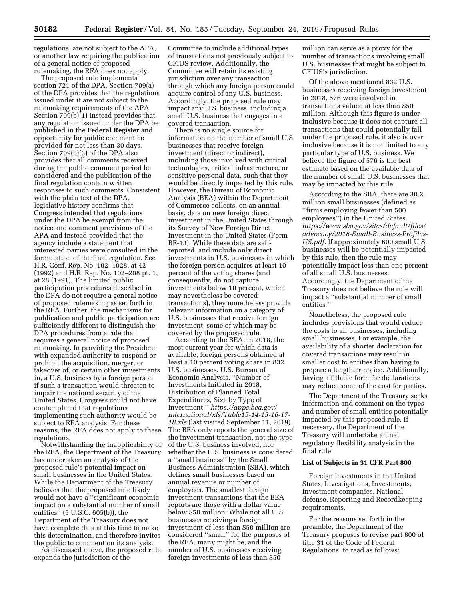regulations, are not subject to the APA, or another law requiring the publication of a general notice of proposed rulemaking, the RFA does not apply.

The proposed rule implements section 721 of the DPA. Section 709(a) of the DPA provides that the regulations issued under it are not subject to the rulemaking requirements of the APA. Section 709(b)(1) instead provides that any regulation issued under the DPA be published in the **Federal Register** and opportunity for public comment be provided for not less than 30 days. Section 709(b)(3) of the DPA also provides that all comments received during the public comment period be considered and the publication of the final regulation contain written responses to such comments. Consistent with the plain text of the DPA, legislative history confirms that Congress intended that regulations under the DPA be exempt from the notice and comment provisions of the APA and instead provided that the agency include a statement that interested parties were consulted in the formulation of the final regulation. See H.R. Conf. Rep. No. 102–1028, at 42 (1992) and H.R. Rep. No. 102–208 pt. 1, at 28 (1991). The limited public participation procedures described in the DPA do not require a general notice of proposed rulemaking as set forth in the RFA. Further, the mechanisms for publication and public participation are sufficiently different to distinguish the DPA procedures from a rule that requires a general notice of proposed rulemaking. In providing the President with expanded authority to suspend or prohibit the acquisition, merger, or takeover of, or certain other investments in, a U.S. business by a foreign person if such a transaction would threaten to impair the national security of the United States, Congress could not have contemplated that regulations implementing such authority would be subject to RFA analysis. For these reasons, the RFA does not apply to these regulations.

Notwithstanding the inapplicability of the RFA, the Department of the Treasury has undertaken an analysis of the proposed rule's potential impact on small businesses in the United States. While the Department of the Treasury believes that the proposed rule likely would not have a ''significant economic impact on a substantial number of small entities'' (5 U.S.C. 605(b)), the Department of the Treasury does not have complete data at this time to make this determination, and therefore invites the public to comment on its analysis.

As discussed above, the proposed rule expands the jurisdiction of the

Committee to include additional types of transactions not previously subject to CFIUS review. Additionally, the Committee will retain its existing jurisdiction over any transaction through which any foreign person could acquire control of any U.S. business. Accordingly, the proposed rule may impact any U.S. business, including a small U.S. business that engages in a covered transaction.

There is no single source for information on the number of small U.S. businesses that receive foreign investment (direct or indirect), including those involved with critical technologies, critical infrastructure, or sensitive personal data, such that they would be directly impacted by this rule. However, the Bureau of Economic Analysis (BEA) within the Department of Commerce collects, on an annual basis, data on new foreign direct investment in the United States through its Survey of New Foreign Direct Investment in the United States (Form BE-13). While these data are selfreported, and include only direct investments in U.S. businesses in which the foreign person acquires at least 10 percent of the voting shares (and consequently, do not capture investments below 10 percent, which may nevertheless be covered transactions), they nonetheless provide relevant information on a category of U.S. businesses that receive foreign investment, some of which may be covered by the proposed rule.

According to the BEA, in 2018, the most current year for which data is available, foreign persons obtained at least a 10 percent voting share in 832 U.S. businesses. U.S. Bureau of Economic Analysis, ''Number of Investments Initiated in 2018, Distribution of Planned Total Expenditures, Size by Type of Investment,'' *[https://apps.bea.gov/](https://apps.bea.gov/international/xls/Table15-14-15-16-17-18.xls)  [international/xls/Table15-14-15-16-17-](https://apps.bea.gov/international/xls/Table15-14-15-16-17-18.xls) [18.xls](https://apps.bea.gov/international/xls/Table15-14-15-16-17-18.xls)* (last visited September 11, 2019). The BEA only reports the general size of the investment transaction, not the type of the U.S. business involved, nor whether the U.S. business is considered a ''small business'' by the Small Business Administration (SBA), which defines small businesses based on annual revenue or number of employees. The smallest foreign investment transactions that the BEA reports are those with a dollar value below \$50 million. While not all U.S. businesses receiving a foreign investment of less than \$50 million are considered ''small'' for the purposes of the RFA, many might be, and the number of U.S. businesses receiving foreign investments of less than \$50

million can serve as a proxy for the number of transactions involving small U.S. businesses that might be subject to CFIUS's jurisdiction.

Of the above mentioned 832 U.S. businesses receiving foreign investment in 2018, 576 were involved in transactions valued at less than \$50 million. Although this figure is under inclusive because it does not capture all transactions that could potentially fall under the proposed rule, it also is over inclusive because it is not limited to any particular type of U.S. business. We believe the figure of 576 is the best estimate based on the available data of the number of small U.S. businesses that may be impacted by this rule.

According to the SBA, there are 30.2 million small businesses (defined as ''firms employing fewer than 500 employees'') in the United States. *[https://www.sba.gov/sites/default/files/](https://www.sba.gov/sites/default/files/advocacy/2018-Small-Business-Profiles-US.pdf) [advocacy/2018-Small-Business-Profiles-](https://www.sba.gov/sites/default/files/advocacy/2018-Small-Business-Profiles-US.pdf)[US.pdf.](https://www.sba.gov/sites/default/files/advocacy/2018-Small-Business-Profiles-US.pdf)* If approximately 600 small U.S. businesses will be potentially impacted by this rule, then the rule may potentially impact less than one percent of all small U.S. businesses. Accordingly, the Department of the Treasury does not believe the rule will impact a ''substantial number of small entities.''

Nonetheless, the proposed rule includes provisions that would reduce the costs to all businesses, including small businesses. For example, the availability of a shorter declaration for covered transactions may result in smaller cost to entities than having to prepare a lengthier notice. Additionally, having a fillable form for declarations may reduce some of the cost for parties.

The Department of the Treasury seeks information and comment on the types and number of small entities potentially impacted by this proposed rule. If necessary, the Department of the Treasury will undertake a final regulatory flexibility analysis in the final rule.

#### **List of Subjects in 31 CFR Part 800**

Foreign investments in the United States, Investigations, Investments, Investment companies, National defense, Reporting and Recordkeeping requirements.

For the reasons set forth in the preamble, the Department of the Treasury proposes to revise part 800 of title 31 of the Code of Federal Regulations, to read as follows: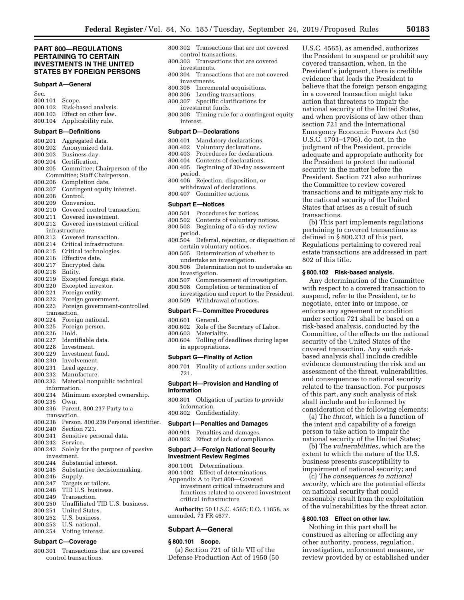# **PART 800—REGULATIONS PERTAINING TO CERTAIN INVESTMENTS IN THE UNITED STATES BY FOREIGN PERSONS**

#### **Subpart A—General**

# **Subpart B—Definitions**

| 800.201            | Aggregated data.                          |  |
|--------------------|-------------------------------------------|--|
| 800.202            | Anonymized data.                          |  |
| 800.203            | Business day.                             |  |
| 800.204            | Certification.                            |  |
| 800.205            | Committee; Chairperson of the             |  |
|                    | Committee; Staff Chairperson.             |  |
| 800.206            | Completion date.                          |  |
| 800.207            | Contingent equity interest.               |  |
| 800.208            | Control.                                  |  |
| 800.209            | Conversion.                               |  |
| 800.210            | Covered control transaction.              |  |
| 800.211            | Covered investment.                       |  |
| 800.212            | Covered investment critical               |  |
| infrastructure.    |                                           |  |
| 800.213            | Covered transaction.                      |  |
| 800.214            | Critical infrastructure.                  |  |
| 800.215            | Critical technologies.                    |  |
| 800.216            | Effective date.                           |  |
| 800.217            | Encrypted data.                           |  |
| 800.218            | Entity.                                   |  |
| 800.219            | Excepted foreign state.                   |  |
| 800.220            | Excepted investor.                        |  |
| 800.221            | Foreign entity.                           |  |
| 800.222            | Foreign government.                       |  |
| 800.223            | Foreign government-controlled             |  |
|                    | transaction.                              |  |
| 800.224            | Foreign national.                         |  |
| 800.225            | Foreign person.                           |  |
| 800.226            | Hold.                                     |  |
| 800.227            | Identifiable data.                        |  |
| 800.228            | Investment.                               |  |
| 800.229            | Investment fund.                          |  |
| 800.230            | Involvement.                              |  |
| 800.231            | Lead agency.                              |  |
| 800.232            | Manufacture.                              |  |
| 800.233            | Material nonpublic technical              |  |
|                    | information.                              |  |
| 800.234            | Minimum excepted ownership.               |  |
| 800.235            | Own.                                      |  |
| 800.236            | Parent. 800.237 Party to a                |  |
|                    | transaction.                              |  |
| 800.238            | Person. 800.239 Personal identifier.      |  |
| 800.240            | Section 721.                              |  |
| 800.241            | Sensitive personal data.                  |  |
| 800.242            | Service.                                  |  |
|                    | 800.243 Solely for the purpose of passive |  |
|                    | investment.                               |  |
|                    | 800.244 Substantial interest.             |  |
|                    | 800.245 Substantive decisionmaking.       |  |
| 800.246            | Supply.                                   |  |
| 800.247            | Targets or tailors.                       |  |
| 800.248            | TID U.S. business.                        |  |
| 800.249            | Transaction.                              |  |
| 800.250            | Unaffiliated TID U.S. business.           |  |
| 800.251            | United States.                            |  |
| 800.252<br>800.253 | U.S. business.<br>U.S. national.          |  |
|                    |                                           |  |
| 800.254            | Voting interest.                          |  |

# **Subpart C—Coverage**

800.301 Transactions that are covered control transactions.

- 800.302 Transactions that are not covered control transactions.
- 800.303 Transactions that are covered investments.
- 800.304 Transactions that are not covered investments.<br>800.305 Increm
- Incremental acquisitions.
- 800.306 Lending transactions.
- 800.307 Specific clarifications for investment funds.
- 800.308 Timing rule for a contingent equity interest.

#### **Subpart D—Declarations**

- 800.401 Mandatory declarations.
- 800.402 Voluntary declarations.
- 800.403 Procedures for declarations.<br>800.404 Contents of declarations.
- Contents of declarations.
- 800.405 Beginning of 30-day assessment period.
- 800.406 Rejection, disposition, or withdrawal of declarations.
- 800.407 Committee actions.

#### **Subpart E—Notices**

- 
- 800.501 Procedures for notices.<br>800.502 Contents of voluntary r Contents of voluntary notices.
- 800.503 Beginning of a 45-day review period.
- 800.504 Deferral, rejection, or disposition of certain voluntary notices.
- 800.505 Determination of whether to undertake an investigation.
- 800.506 Determination not to undertake an investigation.
- 800.507 Commencement of investigation.
- 800.508 Completion or termination of investigation and report to the President. 800.509 Withdrawal of notices.

#### **Subpart F—Committee Procedures**

- 800.601 General.
- 800.602 Role of the Secretary of Labor.
- 800.603 Materiality.
- 800.604 Tolling of deadlines during lapse in appropriations.

#### **Subpart G—Finality of Action**

800.701 Finality of actions under section 721.

#### **Subpart H—Provision and Handling of Information**

- 800.801 Obligation of parties to provide information.
- 800.802 Confidentiality.

# **Subpart I—Penalties and Damages**

800.901 Penalties and damages. 800.902 Effect of lack of compliance.

# **Subpart J—Foreign National Security Investment Review Regimes**

- 800.1001 Determinations.
- 800.1002 Effect of determinations.
- Appendix A to Part 800—Covered investment critical infrastructure and functions related to covered investment critical infrastructure

**Authority:** 50 U.S.C. 4565; E.O. 11858, as amended, 73 FR 4677.

#### **Subpart A—General**

#### **§ 800.101 Scope.**

(a) Section 721 of title VII of the Defense Production Act of 1950 (50

U.S.C. 4565), as amended, authorizes the President to suspend or prohibit any covered transaction, when, in the President's judgment, there is credible evidence that leads the President to believe that the foreign person engaging in a covered transaction might take action that threatens to impair the national security of the United States, and when provisions of law other than section 721 and the International Emergency Economic Powers Act (50 U.S.C. 1701–1706), do not, in the judgment of the President, provide adequate and appropriate authority for the President to protect the national security in the matter before the President. Section 721 also authorizes the Committee to review covered transactions and to mitigate any risk to the national security of the United States that arises as a result of such transactions.

(b) This part implements regulations pertaining to covered transactions as defined in § 800.213 of this part. Regulations pertaining to covered real estate transactions are addressed in part 802 of this title.

#### **§ 800.102 Risk-based analysis.**

Any determination of the Committee with respect to a covered transaction to suspend, refer to the President, or to negotiate, enter into or impose, or enforce any agreement or condition under section 721 shall be based on a risk-based analysis, conducted by the Committee, of the effects on the national security of the United States of the covered transaction. Any such riskbased analysis shall include credible evidence demonstrating the risk and an assessment of the threat, vulnerabilities, and consequences to national security related to the transaction. For purposes of this part, any such analysis of risk shall include and be informed by consideration of the following elements:

(a) The *threat,* which is a function of the intent and capability of a foreign person to take action to impair the national security of the United States;

(b) The *vulnerabilities,* which are the extent to which the nature of the U.S. business presents susceptibility to impairment of national security; and

(c) The *consequences to national security,* which are the potential effects on national security that could reasonably result from the exploitation of the vulnerabilities by the threat actor.

# **§ 800.103 Effect on other law.**

Nothing in this part shall be construed as altering or affecting any other authority, process, regulation, investigation, enforcement measure, or review provided by or established under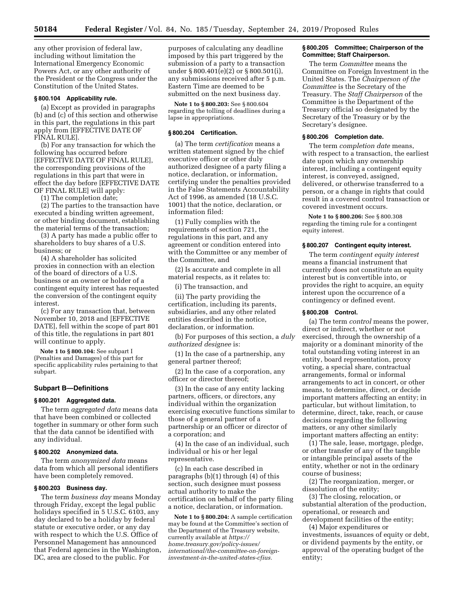any other provision of federal law, including without limitation the International Emergency Economic Powers Act, or any other authority of the President or the Congress under the Constitution of the United States.

# **§ 800.104 Applicability rule.**

(a) Except as provided in paragraphs (b) and (c) of this section and otherwise in this part, the regulations in this part apply from [EFFECTIVE DATE OF FINAL RULE].

(b) For any transaction for which the following has occurred before [EFFECTIVE DATE OF FINAL RULE], the corresponding provisions of the regulations in this part that were in effect the day before [EFFECTIVE DATE OF FINAL RULE] will apply:

(1) The completion date;

(2) The parties to the transaction have executed a binding written agreement, or other binding document, establishing the material terms of the transaction;

(3) A party has made a public offer to shareholders to buy shares of a U.S. business; or

(4) A shareholder has solicited proxies in connection with an election of the board of directors of a U.S. business or an owner or holder of a contingent equity interest has requested the conversion of the contingent equity interest.

(c) For any transaction that, between November 10, 2018 and [EFFECTIVE DATE], fell within the scope of part 801 of this title, the regulations in part 801 will continue to apply.

**Note 1 to § 800.104:** See subpart I (Penalties and Damages) of this part for specific applicability rules pertaining to that subpart.

# **Subpart B—Definitions**

#### **§ 800.201 Aggregated data.**

The term *aggregated data* means data that have been combined or collected together in summary or other form such that the data cannot be identified with any individual.

#### **§ 800.202 Anonymized data.**

The term *anonymized data* means data from which all personal identifiers have been completely removed.

### **§ 800.203 Business day.**

The term *business day* means Monday through Friday, except the legal public holidays specified in 5 U.S.C. 6103, any day declared to be a holiday by federal statute or executive order, or any day with respect to which the U.S. Office of Personnel Management has announced that Federal agencies in the Washington, DC, area are closed to the public. For

purposes of calculating any deadline imposed by this part triggered by the submission of a party to a transaction under § 800.401(e)(2) or § 800.501(i), any submissions received after 5 p.m. Eastern Time are deemed to be submitted on the next business day.

**Note 1 to § 800.203:** See § 800.604 regarding the tolling of deadlines during a lapse in appropriations.

## **§ 800.204 Certification.**

(a) The term *certification* means a written statement signed by the chief executive officer or other duly authorized designee of a party filing a notice, declaration, or information, certifying under the penalties provided in the False Statements Accountability Act of 1996, as amended (18 U.S.C. 1001) that the notice, declaration, or information filed:

(1) Fully complies with the requirements of section 721, the regulations in this part, and any agreement or condition entered into with the Committee or any member of the Committee, and

(2) Is accurate and complete in all material respects, as it relates to:

(i) The transaction, and

(ii) The party providing the certification, including its parents, subsidiaries, and any other related entities described in the notice, declaration, or information.

(b) For purposes of this section, a *duly authorized designee* is:

(1) In the case of a partnership, any general partner thereof;

(2) In the case of a corporation, any officer or director thereof;

(3) In the case of any entity lacking partners, officers, or directors, any individual within the organization exercising executive functions similar to those of a general partner of a partnership or an officer or director of a corporation; and

(4) In the case of an individual, such individual or his or her legal representative.

(c) In each case described in paragraphs (b)(1) through (4) of this section, such designee must possess actual authority to make the certification on behalf of the party filing a notice, declaration, or information.

**Note 1 to § 800.204:** A sample certification may be found at the Committee's section of the Department of the Treasury website, currently available at *[https://](https://home.treasury.gov/policy-issues/international/the-committee-on-foreign-investment-in-the-united-states-cfius) [home.treasury.gov/policy-issues/](https://home.treasury.gov/policy-issues/international/the-committee-on-foreign-investment-in-the-united-states-cfius)  [international/the-committee-on-foreign](https://home.treasury.gov/policy-issues/international/the-committee-on-foreign-investment-in-the-united-states-cfius)[investment-in-the-united-states-cfius.](https://home.treasury.gov/policy-issues/international/the-committee-on-foreign-investment-in-the-united-states-cfius)* 

#### **§ 800.205 Committee; Chairperson of the Committee; Staff Chairperson.**

The term *Committee* means the Committee on Foreign Investment in the United States. The *Chairperson of the Committee* is the Secretary of the Treasury. The *Staff Chairperson* of the Committee is the Department of the Treasury official so designated by the Secretary of the Treasury or by the Secretary's designee.

## **§ 800.206 Completion date.**

The term *completion date* means, with respect to a transaction, the earliest date upon which any ownership interest, including a contingent equity interest, is conveyed, assigned, delivered, or otherwise transferred to a person, or a change in rights that could result in a covered control transaction or covered investment occurs.

**Note 1 to § 800.206:** See § 800.308 regarding the timing rule for a contingent equity interest.

#### **§ 800.207 Contingent equity interest.**

The term *contingent equity interest*  means a financial instrument that currently does not constitute an equity interest but is convertible into, or provides the right to acquire, an equity interest upon the occurrence of a contingency or defined event.

## **§ 800.208 Control.**

(a) The term *control* means the power, direct or indirect, whether or not exercised, through the ownership of a majority or a dominant minority of the total outstanding voting interest in an entity, board representation, proxy voting, a special share, contractual arrangements, formal or informal arrangements to act in concert, or other means, to determine, direct, or decide important matters affecting an entity; in particular, but without limitation, to determine, direct, take, reach, or cause decisions regarding the following matters, or any other similarly important matters affecting an entity:

(1) The sale, lease, mortgage, pledge, or other transfer of any of the tangible or intangible principal assets of the entity, whether or not in the ordinary course of business;

(2) The reorganization, merger, or dissolution of the entity;

(3) The closing, relocation, or substantial alteration of the production, operational, or research and development facilities of the entity;

(4) Major expenditures or investments, issuances of equity or debt, or dividend payments by the entity, or approval of the operating budget of the entity;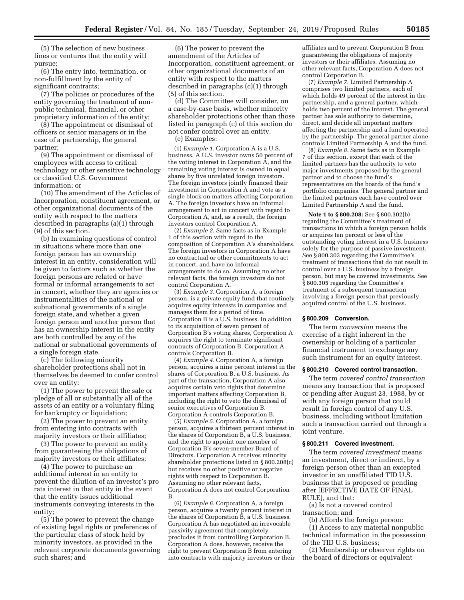(5) The selection of new business lines or ventures that the entity will pursue;

(6) The entry into, termination, or non-fulfillment by the entity of significant contracts;

(7) The policies or procedures of the entity governing the treatment of nonpublic technical, financial, or other proprietary information of the entity;

(8) The appointment or dismissal of officers or senior managers or in the case of a partnership, the general partner;

(9) The appointment or dismissal of employees with access to critical technology or other sensitive technology or classified U.S. Government information; or

(10) The amendment of the Articles of Incorporation, constituent agreement, or other organizational documents of the entity with respect to the matters described in paragraphs (a)(1) through (9) of this section.

(b) In examining questions of control in situations where more than one foreign person has an ownership interest in an entity, consideration will be given to factors such as whether the foreign persons are related or have formal or informal arrangements to act in concert, whether they are agencies or instrumentalities of the national or subnational governments of a single foreign state, and whether a given foreign person and another person that has an ownership interest in the entity are both controlled by any of the national or subnational governments of a single foreign state.

(c) The following minority shareholder protections shall not in themselves be deemed to confer control over an entity:

(1) The power to prevent the sale or pledge of all or substantially all of the assets of an entity or a voluntary filing for bankruptcy or liquidation;

(2) The power to prevent an entity from entering into contracts with majority investors or their affiliates;

(3) The power to prevent an entity from guaranteeing the obligations of majority investors or their affiliates;

(4) The power to purchase an additional interest in an entity to prevent the dilution of an investor's pro rata interest in that entity in the event that the entity issues additional instruments conveying interests in the entity;

(5) The power to prevent the change of existing legal rights or preferences of the particular class of stock held by minority investors, as provided in the relevant corporate documents governing such shares; and

(6) The power to prevent the amendment of the Articles of Incorporation, constituent agreement, or other organizational documents of an entity with respect to the matters described in paragraphs (c)(1) through (5) of this section.

(d) The Committee will consider, on a case-by-case basis, whether minority shareholder protections other than those listed in paragraph (c) of this section do not confer control over an entity.

(e) Examples:

(1) *Example 1.* Corporation A is a U.S. business. A U.S. investor owns 50 percent of the voting interest in Corporation  $\hat{A}$ , and the remaining voting interest is owned in equal shares by five unrelated foreign investors. The foreign investors jointly financed their investment in Corporation A and vote as a single block on matters affecting Corporation A. The foreign investors have an informal arrangement to act in concert with regard to Corporation A, and, as a result, the foreign investors control Corporation A.

(2) *Example 2.* Same facts as in Example 1 of this section with regard to the composition of Corporation A's shareholders. The foreign investors in Corporation A have no contractual or other commitments to act in concert, and have no informal arrangements to do so. Assuming no other relevant facts, the foreign investors do not control Corporation A.

(3) *Example 3.* Corporation A, a foreign person, is a private equity fund that routinely acquires equity interests in companies and manages them for a period of time. Corporation B is a U.S. business. In addition to its acquisition of seven percent of Corporation B's voting shares, Corporation A acquires the right to terminate significant contracts of Corporation B. Corporation A controls Corporation B.

(4) *Example 4.* Corporation A, a foreign person, acquires a nine percent interest in the shares of Corporation B, a U.S. business. As part of the transaction, Corporation A also acquires certain veto rights that determine important matters affecting Corporation B, including the right to veto the dismissal of senior executives of Corporation B. Corporation A controls Corporation B.

(5) *Example 5.* Corporation A, a foreign person, acquires a thirteen percent interest in the shares of Corporation B, a U.S. business, and the right to appoint one member of Corporation B's seven-member Board of Directors. Corporation A receives minority shareholder protections listed in § 800.208(c) but receives no other positive or negative rights with respect to Corporation B. Assuming no other relevant facts, Corporation A does not control Corporation B.

(6) *Example 6.* Corporation A, a foreign person, acquires a twenty percent interest in the shares of Corporation B, a U.S. business. Corporation A has negotiated an irrevocable passivity agreement that completely precludes it from controlling Corporation B. Corporation A does, however, receive the right to prevent Corporation B from entering into contracts with majority investors or their affiliates and to prevent Corporation B from guaranteeing the obligations of majority investors or their affiliates. Assuming no other relevant facts, Corporation A does not control Corporation B.

(7) *Example 7.* Limited Partnership A comprises two limited partners, each of which holds 49 percent of the interest in the partnership, and a general partner, which holds two percent of the interest. The general partner has sole authority to determine, direct, and decide all important matters affecting the partnership and a fund operated by the partnership. The general partner alone controls Limited Partnership A and the fund.

(8) *Example 8.* Same facts as in Example 7 of this section, except that each of the limited partners has the authority to veto major investments proposed by the general partner and to choose the fund's representatives on the boards of the fund's portfolio companies. The general partner and the limited partners each have control over Limited Partnership A and the fund.

**Note 1 to § 800.208:** See § 800.302(b) regarding the Committee's treatment of transactions in which a foreign person holds or acquires ten percent or less of the outstanding voting interest in a U.S. business solely for the purpose of passive investment. See § 800.303 regarding the Committee's treatment of transactions that do not result in control over a U.S. business by a foreign person, but may be covered investments. See § 800.305 regarding the Committee's treatment of a subsequent transaction involving a foreign person that previously acquired control of the U.S. business.

## **§ 800.209 Conversion.**

The term *conversion* means the exercise of a right inherent in the ownership or holding of a particular financial instrument to exchange any such instrument for an equity interest.

## **§ 800.210 Covered control transaction.**

The term *covered control transaction*  means any transaction that is proposed or pending after August 23, 1988, by or with any foreign person that could result in foreign control of any U.S. business, including without limitation such a transaction carried out through a joint venture.

## **§ 800.211 Covered investment.**

The term *covered investment* means an investment, direct or indirect, by a foreign person other than an excepted investor in an unaffiliated TID U.S. business that is proposed or pending after [EFFECTIVE DATE OF FINAL RULE], and that:

(a) Is not a covered control transaction; and

(b) Affords the foreign person:

(1) Access to any material nonpublic technical information in the possession of the TID U.S. business;

(2) Membership or observer rights on the board of directors or equivalent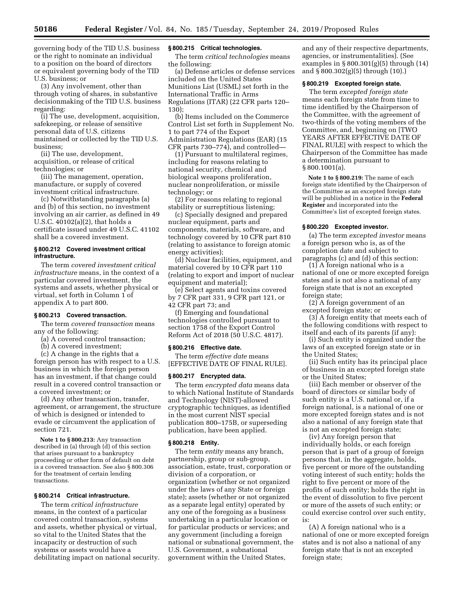governing body of the TID U.S. business or the right to nominate an individual to a position on the board of directors or equivalent governing body of the TID U.S. business; or

(3) Any involvement, other than through voting of shares, in substantive decisionmaking of the TID U.S. business regarding:

(i) The use, development, acquisition, safekeeping, or release of sensitive personal data of U.S. citizens maintained or collected by the TID U.S. business;

(ii) The use, development, acquisition, or release of critical technologies; or

(iii) The management, operation, manufacture, or supply of covered investment critical infrastructure.

(c) Notwithstanding paragraphs (a) and (b) of this section, no investment involving an air carrier, as defined in 49 U.S.C. 40102(a)(2), that holds a certificate issued under 49 U.S.C. 41102 shall be a covered investment.

## **§ 800.212 Covered investment critical infrastructure.**

The term *covered investment critical infrastructure* means, in the context of a particular covered investment, the systems and assets, whether physical or virtual, set forth in Column 1 of appendix A to part 800.

#### **§ 800.213 Covered transaction.**

The term *covered transaction* means any of the following:

- (a) A covered control transaction;
- (b) A covered investment;

(c) A change in the rights that a foreign person has with respect to a U.S. business in which the foreign person has an investment, if that change could result in a covered control transaction or a covered investment; or

(d) Any other transaction, transfer, agreement, or arrangement, the structure of which is designed or intended to evade or circumvent the application of section 721.

**Note 1 to § 800.213:** Any transaction described in (a) through (d) of this section that arises pursuant to a bankruptcy proceeding or other form of default on debt is a covered transaction. See also § 800.306 for the treatment of certain lending transactions.

# **§ 800.214 Critical infrastructure.**

The term *critical infrastructure*  means, in the context of a particular covered control transaction, systems and assets, whether physical or virtual, so vital to the United States that the incapacity or destruction of such systems or assets would have a debilitating impact on national security.

## **§ 800.215 Critical technologies.**

The term *critical technologies* means the following:

(a) Defense articles or defense services included on the United States Munitions List (USML) set forth in the International Traffic in Arms Regulations (ITAR) (22 CFR parts 120– 130);

(b) Items included on the Commerce Control List set forth in Supplement No. 1 to part 774 of the Export Administration Regulations (EAR) (15 CFR parts 730–774), and controlled—

(1) Pursuant to multilateral regimes, including for reasons relating to national security, chemical and biological weapons proliferation, nuclear nonproliferation, or missile technology; or

(2) For reasons relating to regional stability or surreptitious listening;

(c) Specially designed and prepared nuclear equipment, parts and components, materials, software, and technology covered by 10 CFR part 810 (relating to assistance to foreign atomic energy activities);

(d) Nuclear facilities, equipment, and material covered by 10 CFR part 110 (relating to export and import of nuclear equipment and material);

(e) Select agents and toxins covered by 7 CFR part 331, 9 CFR part 121, or 42 CFR part 73; and

(f) Emerging and foundational technologies controlled pursuant to section 1758 of the Export Control Reform Act of 2018 (50 U.S.C. 4817).

#### **§ 800.216 Effective date.**

The term *effective date* means [EFFECTIVE DATE OF FINAL RULE].

#### **§ 800.217 Encrypted data.**

The term *encrypted data* means data to which National Institute of Standards and Technology (NIST)-allowed cryptographic techniques, as identified in the most current NIST special publication 800–175B, or superseding publication, have been applied.

# **§ 800.218 Entity.**

The term *entity* means any branch, partnership, group or sub-group, association, estate, trust, corporation or division of a corporation, or organization (whether or not organized under the laws of any State or foreign state); assets (whether or not organized as a separate legal entity) operated by any one of the foregoing as a business undertaking in a particular location or for particular products or services; and any government (including a foreign national or subnational government, the U.S. Government, a subnational government within the United States,

and any of their respective departments, agencies, or instrumentalities). (See examples in  $\S 800.301(g)(5)$  through  $(14)$ and § 800.302(g)(5) through (10).)

# **§ 800.219 Excepted foreign state.**

The term *excepted foreign state*  means each foreign state from time to time identified by the Chairperson of the Committee, with the agreement of two-thirds of the voting members of the Committee, and, beginning on [TWO YEARS AFTER EFFECTIVE DATE OF FINAL RULE] with respect to which the Chairperson of the Committee has made a determination pursuant to § 800.1001(a).

**Note 1 to § 800.219:** The name of each foreign state identified by the Chairperson of the Committee as an excepted foreign state will be published in a notice in the **Federal Register** and incorporated into the Committee's list of excepted foreign states.

#### **§ 800.220 Excepted investor.**

(a) The term *excepted investor* means a foreign person who is, as of the completion date and subject to paragraphs (c) and (d) of this section:

(1) A foreign national who is a national of one or more excepted foreign states and is not also a national of any foreign state that is not an excepted foreign state;

(2) A foreign government of an excepted foreign state; or

(3) A foreign entity that meets each of the following conditions with respect to itself and each of its parents (if any):

(i) Such entity is organized under the laws of an excepted foreign state or in the United States;

(ii) Such entity has its principal place of business in an excepted foreign state or the United States;

(iii) Each member or observer of the board of directors or similar body of such entity is a U.S. national or, if a foreign national, is a national of one or more excepted foreign states and is not also a national of any foreign state that is not an excepted foreign state;

(iv) Any foreign person that individually holds, or each foreign person that is part of a group of foreign persons that, in the aggregate, holds, five percent or more of the outstanding voting interest of such entity; holds the right to five percent or more of the profits of such entity; holds the right in the event of dissolution to five percent or more of the assets of such entity; or could exercise control over such entity, is:

(A) A foreign national who is a national of one or more excepted foreign states and is not also a national of any foreign state that is not an excepted foreign state;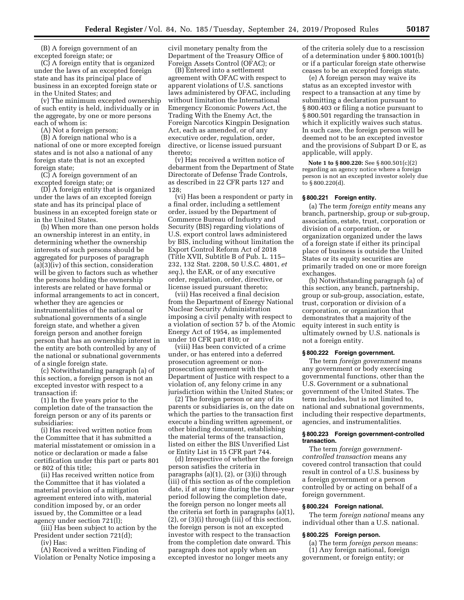(B) A foreign government of an excepted foreign state; or

(C) A foreign entity that is organized under the laws of an excepted foreign state and has its principal place of business in an excepted foreign state or in the United States; and

(v) The minimum excepted ownership of such entity is held, individually or in the aggregate, by one or more persons each of whom is:

(A) Not a foreign person;

(B) A foreign national who is a national of one or more excepted foreign states and is not also a national of any foreign state that is not an excepted foreign state;

(C) A foreign government of an excepted foreign state; or

(D) A foreign entity that is organized under the laws of an excepted foreign state and has its principal place of business in an excepted foreign state or in the United States.

(b) When more than one person holds an ownership interest in an entity, in determining whether the ownership interests of such persons should be aggregated for purposes of paragraph (a)(3)(iv) of this section, consideration will be given to factors such as whether the persons holding the ownership interests are related or have formal or informal arrangements to act in concert, whether they are agencies or instrumentalities of the national or subnational governments of a single foreign state, and whether a given foreign person and another foreign person that has an ownership interest in the entity are both controlled by any of the national or subnational governments of a single foreign state.

(c) Notwithstanding paragraph (a) of this section, a foreign person is not an excepted investor with respect to a transaction if:

(1) In the five years prior to the completion date of the transaction the foreign person or any of its parents or subsidiaries:

(i) Has received written notice from the Committee that it has submitted a material misstatement or omission in a notice or declaration or made a false certification under this part or parts 801 or 802 of this title;

(ii) Has received written notice from the Committee that it has violated a material provision of a mitigation agreement entered into with, material condition imposed by, or an order issued by, the Committee or a lead agency under section 721(l);

(iii) Has been subject to action by the President under section 721(d);

(iv) Has:

(A) Received a written Finding of Violation or Penalty Notice imposing a civil monetary penalty from the Department of the Treasury Office of Foreign Assets Control (OFAC); or

(B) Entered into a settlement agreement with OFAC with respect to apparent violations of U.S. sanctions laws administered by OFAC, including without limitation the International Emergency Economic Powers Act, the Trading With the Enemy Act, the Foreign Narcotics Kingpin Designation Act, each as amended, or of any executive order, regulation, order, directive, or license issued pursuant thereto;

(v) Has received a written notice of debarment from the Department of State Directorate of Defense Trade Controls, as described in 22 CFR parts 127 and 128;

(vi) Has been a respondent or party in a final order, including a settlement order, issued by the Department of Commerce Bureau of Industry and Security (BIS) regarding violations of U.S. export control laws administered by BIS, including without limitation the Export Control Reform Act of 2018 (Title XVII, Subtitle B of Pub. L. 115– 232, 132 Stat. 2208, 50 U.S.C. 4801, *et seq.*), the EAR, or of any executive order, regulation, order, directive, or license issued pursuant thereto;

(vii) Has received a final decision from the Department of Energy National Nuclear Security Administration imposing a civil penalty with respect to a violation of section 57 b. of the Atomic Energy Act of 1954, as implemented under 10 CFR part 810; or

(viii) Has been convicted of a crime under, or has entered into a deferred prosecution agreement or nonprosecution agreement with the Department of Justice with respect to a violation of, any felony crime in any jurisdiction within the United States; or

(2) The foreign person or any of its parents or subsidiaries is, on the date on which the parties to the transaction first execute a binding written agreement, or other binding document, establishing the material terms of the transaction, listed on either the BIS Unverified List or Entity List in 15 CFR part 744.

(d) Irrespective of whether the foreign person satisfies the criteria in paragraphs (a)(1), (2), or (3)(i) through (iii) of this section as of the completion date, if at any time during the three-year period following the completion date, the foreign person no longer meets all the criteria set forth in paragraphs (a)(1), (2), or (3)(i) through (iii) of this section, the foreign person is not an excepted investor with respect to the transaction from the completion date onward. This paragraph does not apply when an excepted investor no longer meets any

of the criteria solely due to a rescission of a determination under § 800.1001(b) or if a particular foreign state otherwise ceases to be an excepted foreign state.

(e) A foreign person may waive its status as an excepted investor with respect to a transaction at any time by submitting a declaration pursuant to § 800.403 or filing a notice pursuant to § 800.501 regarding the transaction in which it explicitly waives such status. In such case, the foreign person will be deemed not to be an excepted investor and the provisions of Subpart D or E, as applicable, will apply.

**Note 1 to § 800.220:** See § 800.501(c)(2) regarding an agency notice where a foreign person is not an excepted investor solely due to § 800.220(d).

#### **§ 800.221 Foreign entity.**

(a) The term *foreign entity* means any branch, partnership, group or sub-group, association, estate, trust, corporation or division of a corporation, or organization organized under the laws of a foreign state if either its principal place of business is outside the United States or its equity securities are primarily traded on one or more foreign exchanges.

(b) Notwithstanding paragraph (a) of this section, any branch, partnership, group or sub-group, association, estate, trust, corporation or division of a corporation, or organization that demonstrates that a majority of the equity interest in such entity is ultimately owned by U.S. nationals is not a foreign entity.

#### **§ 800.222 Foreign government.**

The term *foreign government* means any government or body exercising governmental functions, other than the U.S. Government or a subnational government of the United States. The term includes, but is not limited to, national and subnational governments, including their respective departments, agencies, and instrumentalities.

## **§ 800.223 Foreign government-controlled transaction.**

The term *foreign governmentcontrolled transaction* means any covered control transaction that could result in control of a U.S. business by a foreign government or a person controlled by or acting on behalf of a foreign government.

#### **§ 800.224 Foreign national.**

The term *foreign national* means any individual other than a U.S. national.

#### **§ 800.225 Foreign person.**

(a) The term *foreign person* means: (1) Any foreign national, foreign government, or foreign entity; or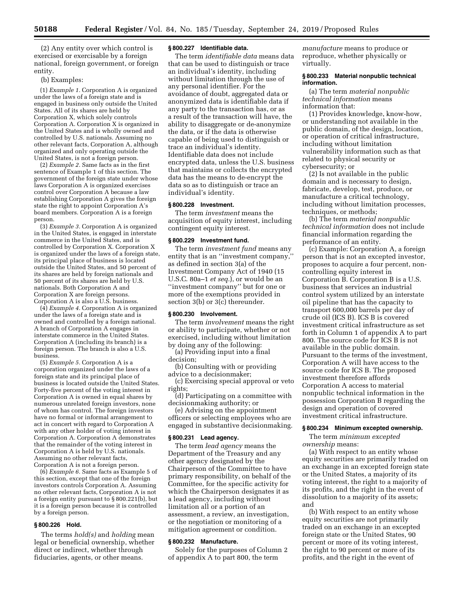(2) Any entity over which control is exercised or exercisable by a foreign national, foreign government, or foreign entity.

## (b) Examples:

(1) *Example 1.* Corporation A is organized under the laws of a foreign state and is engaged in business only outside the United States. All of its shares are held by Corporation X, which solely controls Corporation A. Corporation X is organized in the United States and is wholly owned and controlled by U.S. nationals. Assuming no other relevant facts, Corporation A, although organized and only operating outside the United States, is not a foreign person.

(2) *Example 2.* Same facts as in the first sentence of Example 1 of this section. The government of the foreign state under whose laws Corporation A is organized exercises control over Corporation A because a law establishing Corporation A gives the foreign state the right to appoint Corporation A's board members. Corporation A is a foreign person.

(3) *Example 3.* Corporation A is organized in the United States, is engaged in interstate commerce in the United States, and is controlled by Corporation X. Corporation X is organized under the laws of a foreign state, its principal place of business is located outside the United States, and 50 percent of its shares are held by foreign nationals and 50 percent of its shares are held by U.S. nationals. Both Corporation A and Corporation X are foreign persons. Corporation A is also a U.S. business.

(4) *Example 4.* Corporation A is organized under the laws of a foreign state and is owned and controlled by a foreign national. A branch of Corporation A engages in interstate commerce in the United States. Corporation A (including its branch) is a foreign person. The branch is also a U.S. business.

(5) *Example 5.* Corporation A is a corporation organized under the laws of a foreign state and its principal place of business is located outside the United States. Forty-five percent of the voting interest in Corporation A is owned in equal shares by numerous unrelated foreign investors, none of whom has control. The foreign investors have no formal or informal arrangement to act in concert with regard to Corporation A with any other holder of voting interest in Corporation A. Corporation A demonstrates that the remainder of the voting interest in Corporation A is held by U.S. nationals. Assuming no other relevant facts, Corporation A is not a foreign person.

(6) *Example 6.* Same facts as Example 5 of this section, except that one of the foreign investors controls Corporation A. Assuming no other relevant facts, Corporation A is not a foreign entity pursuant to § 800.221(b), but it is a foreign person because it is controlled by a foreign person.

# **§ 800.226 Hold.**

The terms *hold(s)* and *holding* mean legal or beneficial ownership, whether direct or indirect, whether through fiduciaries, agents, or other means.

## **§ 800.227 Identifiable data.**

The term *identifiable data* means data that can be used to distinguish or trace an individual's identity, including without limitation through the use of any personal identifier. For the avoidance of doubt, aggregated data or anonymized data is identifiable data if any party to the transaction has, or as a result of the transaction will have, the ability to disaggregate or de-anonymize the data, or if the data is otherwise capable of being used to distinguish or trace an individual's identity. Identifiable data does not include encrypted data, unless the U.S. business that maintains or collects the encrypted data has the means to de-encrypt the data so as to distinguish or trace an individual's identity.

## **§ 800.228 Investment.**

The term *investment* means the acquisition of equity interest, including contingent equity interest.

#### **§ 800.229 Investment fund.**

The term *investment fund* means any entity that is an ''investment company,'' as defined in section 3(a) of the Investment Company Act of 1940 (15 U.S.C. 80a–1 *et seq.*), or would be an ''investment company'' but for one or more of the exemptions provided in section 3(b) or 3(c) thereunder.

#### **§ 800.230 Involvement.**

The term *involvement* means the right or ability to participate, whether or not exercised, including without limitation by doing any of the following:

(a) Providing input into a final decision;

(b) Consulting with or providing advice to a decisionmaker;

(c) Exercising special approval or veto rights;

(d) Participating on a committee with decisionmaking authority; or

(e) Advising on the appointment officers or selecting employees who are engaged in substantive decisionmaking.

## **§ 800.231 Lead agency.**

The term *lead agency* means the Department of the Treasury and any other agency designated by the Chairperson of the Committee to have primary responsibility, on behalf of the Committee, for the specific activity for which the Chairperson designates it as a lead agency, including without limitation all or a portion of an assessment, a review, an investigation, or the negotiation or monitoring of a mitigation agreement or condition.

#### **§ 800.232 Manufacture.**

Solely for the purposes of Column 2 of appendix A to part 800, the term

*manufacture* means to produce or reproduce, whether physically or virtually.

### **§ 800.233 Material nonpublic technical information.**

(a) The term *material nonpublic technical information* means information that:

(1) Provides knowledge, know-how, or understanding not available in the public domain, of the design, location, or operation of critical infrastructure, including without limitation vulnerability information such as that related to physical security or cybersecurity; or

(2) Is not available in the public domain and is necessary to design, fabricate, develop, test, produce, or manufacture a critical technology, including without limitation processes, techniques, or methods;

(b) The term *material nonpublic technical information* does not include financial information regarding the performance of an entity.

(c) Example: Corporation A, a foreign person that is not an excepted investor, proposes to acquire a four percent, noncontrolling equity interest in Corporation B. Corporation B is a U.S. business that services an industrial control system utilized by an interstate oil pipeline that has the capacity to transport 600,000 barrels per day of crude oil (ICS B). ICS B is covered investment critical infrastructure as set forth in Column 1 of appendix A to part 800. The source code for ICS B is not available in the public domain. Pursuant to the terms of the investment, Corporation A will have access to the source code for ICS B. The proposed investment therefore affords Corporation A access to material nonpublic technical information in the possession Corporation B regarding the design and operation of covered investment critical infrastructure.

## **§ 800.234 Minimum excepted ownership.**

The term *minimum excepted ownership* means:

(a) With respect to an entity whose equity securities are primarily traded on an exchange in an excepted foreign state or the United States, a majority of its voting interest, the right to a majority of its profits, and the right in the event of dissolution to a majority of its assets; and

(b) With respect to an entity whose equity securities are not primarily traded on an exchange in an excepted foreign state or the United States, 90 percent or more of its voting interest, the right to 90 percent or more of its profits, and the right in the event of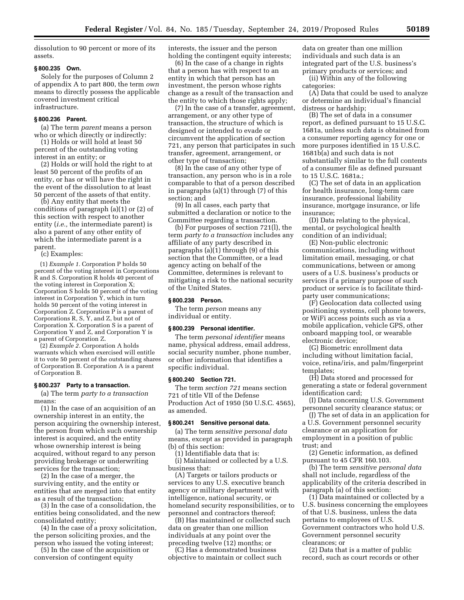dissolution to 90 percent or more of its assets.

## **§ 800.235 Own.**

Solely for the purposes of Column 2 of appendix A to part 800, the term *own*  means to directly possess the applicable covered investment critical infrastructure.

#### **§ 800.236 Parent.**

(a) The term *parent* means a person who or which directly or indirectly:

(1) Holds or will hold at least 50 percent of the outstanding voting interest in an entity; or

(2) Holds or will hold the right to at least 50 percent of the profits of an entity, or has or will have the right in the event of the dissolution to at least 50 percent of the assets of that entity.

(b) Any entity that meets the conditions of paragraph (a)(1) or (2) of this section with respect to another entity (*i.e.,* the intermediate parent) is also a parent of any other entity of which the intermediate parent is a parent.

(c) Examples:

(1) *Example 1.* Corporation P holds 50 percent of the voting interest in Corporations R and S. Corporation R holds 40 percent of the voting interest in Corporation X; Corporation S holds 50 percent of the voting interest in Corporation  $\bar{Y}$ , which in turn holds 50 percent of the voting interest in Corporation  $Z$ . Corporation  $\overline{P}$  is a parent of Corporations  $R$ ,  $S$ ,  $Y$ , and  $Z$ , but not of Corporation X. Corporation S is a parent of Corporation Y and Z, and Corporation Y is a parent of Corporation Z.

(2) *Example 2.* Corporation A holds warrants which when exercised will entitle it to vote 50 percent of the outstanding shares of Corporation B. Corporation A is a parent of Corporation B.

#### **§ 800.237 Party to a transaction.**

(a) The term *party to a transaction*  means:

(1) In the case of an acquisition of an ownership interest in an entity, the person acquiring the ownership interest, the person from which such ownership interest is acquired, and the entity whose ownership interest is being acquired, without regard to any person providing brokerage or underwriting services for the transaction;

(2) In the case of a merger, the surviving entity, and the entity or entities that are merged into that entity as a result of the transaction;

(3) In the case of a consolidation, the entities being consolidated, and the new consolidated entity;

(4) In the case of a proxy solicitation, the person soliciting proxies, and the person who issued the voting interest;

(5) In the case of the acquisition or conversion of contingent equity

interests, the issuer and the person holding the contingent equity interests;

(6) In the case of a change in rights that a person has with respect to an entity in which that person has an investment, the person whose rights change as a result of the transaction and the entity to which those rights apply;

(7) In the case of a transfer, agreement, arrangement, or any other type of transaction, the structure of which is designed or intended to evade or circumvent the application of section 721, any person that participates in such transfer, agreement, arrangement, or other type of transaction;

(8) In the case of any other type of transaction, any person who is in a role comparable to that of a person described in paragraphs (a)(1) through (7) of this section; and

(9) In all cases, each party that submitted a declaration or notice to the Committee regarding a transaction.

(b) For purposes of section 721(l), the term *party to a transaction* includes any affiliate of any party described in paragraphs (a)(1) through (9) of this section that the Committee, or a lead agency acting on behalf of the Committee, determines is relevant to mitigating a risk to the national security of the United States.

## **§ 800.238 Person.**

The term *person* means any individual or entity.

# **§ 800.239 Personal identifier.**

The term *personal identifier* means name, physical address, email address, social security number, phone number, or other information that identifies a specific individual.

## **§ 800.240 Section 721.**

The term *section 721* means section 721 of title VII of the Defense Production Act of 1950 (50 U.S.C. 4565), as amended.

#### **§ 800.241 Sensitive personal data.**

(a) The term *sensitive personal data*  means, except as provided in paragraph (b) of this section:

(1) Identifiable data that is:

(i) Maintained or collected by a U.S. business that:

(A) Targets or tailors products or services to any U.S. executive branch agency or military department with intelligence, national security, or homeland security responsibilities, or to personnel and contractors thereof;

(B) Has maintained or collected such data on greater than one million individuals at any point over the preceding twelve (12) months; or

(C) Has a demonstrated business objective to maintain or collect such data on greater than one million individuals and such data is an integrated part of the U.S. business's primary products or services; and

(ii) Within any of the following categories:

(A) Data that could be used to analyze or determine an individual's financial distress or hardship;

(B) The set of data in a consumer report, as defined pursuant to 15 U.S.C. 1681a, unless such data is obtained from a consumer reporting agency for one or more purposes identified in 15 U.S.C. 1681b(a) and such data is not substantially similar to the full contents of a consumer file as defined pursuant to 15 U.S.C. 1681a.;

(C) The set of data in an application for health insurance, long-term care insurance, professional liability insurance, mortgage insurance, or life insurance;

(D) Data relating to the physical, mental, or psychological health condition of an individual;

(E) Non-public electronic communications, including without limitation email, messaging, or chat communications, between or among users of a U.S. business's products or services if a primary purpose of such product or service is to facilitate thirdparty user communications;

(F) Geolocation data collected using positioning systems, cell phone towers, or WiFi access points such as via a mobile application, vehicle GPS, other onboard mapping tool, or wearable electronic device;

(G) Biometric enrollment data including without limitation facial, voice, retina/iris, and palm/fingerprint templates;

(H) Data stored and processed for generating a state or federal government identification card;

(I) Data concerning U.S. Government personnel security clearance status; or

(J) The set of data in an application for a U.S. Government personnel security clearance or an application for employment in a position of public trust; and

(2) Genetic information, as defined pursuant to 45 CFR 160.103.

(b) The term *sensitive personal data*  shall not include, regardless of the applicability of the criteria described in paragraph (a) of this section:

(1) Data maintained or collected by a U.S. business concerning the employees of that U.S. business, unless the data pertains to employees of U.S. Government contractors who hold U.S. Government personnel security clearances; or

(2) Data that is a matter of public record, such as court records or other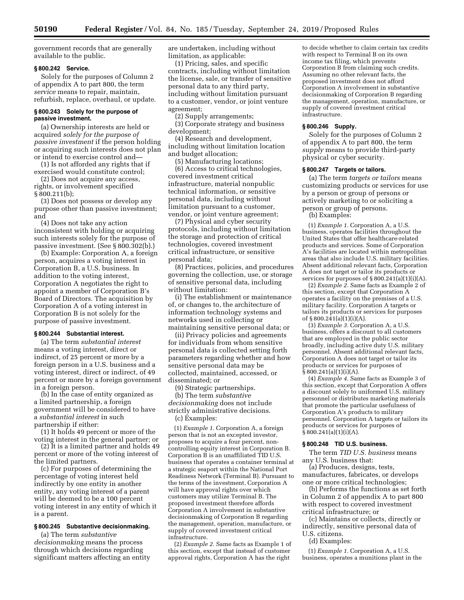government records that are generally available to the public.

## **§ 800.242 Service.**

Solely for the purposes of Column 2 of appendix A to part 800, the term *service* means to repair, maintain, refurbish, replace, overhaul, or update.

## **§ 800.243 Solely for the purpose of passive investment.**

(a) Ownership interests are held or acquired *solely for the purpose of passive investment* if the person holding or acquiring such interests does not plan or intend to exercise control and—

(1) Is not afforded any rights that if exercised would constitute control;

(2) Does not acquire any access, rights, or involvement specified § 800.211(b);

(3) Does not possess or develop any purpose other than passive investment; and

(4) Does not take any action inconsistent with holding or acquiring such interests solely for the purpose of passive investment. (See § 800.302(b).)

(b) Example: Corporation A, a foreign person, acquires a voting interest in Corporation B, a U.S. business. In addition to the voting interest, Corporation A negotiates the right to appoint a member of Corporation B's Board of Directors. The acquisition by Corporation A of a voting interest in Corporation B is not solely for the purpose of passive investment.

# **§ 800.244 Substantial interest.**

(a) The term *substantial interest*  means a voting interest, direct or indirect, of 25 percent or more by a foreign person in a U.S. business and a voting interest, direct or indirect, of 49 percent or more by a foreign government in a foreign person.

(b) In the case of entity organized as a limited partnership, a foreign government will be considered to have a *substantial interest* in such partnership if either:

(1) It holds 49 percent or more of the voting interest in the general partner; or

(2) It is a limited partner and holds 49 percent or more of the voting interest of the limited partners.

(c) For purposes of determining the percentage of voting interest held indirectly by one entity in another entity, any voting interest of a parent will be deemed to be a 100 percent voting interest in any entity of which it is a parent.

# **§ 800.245 Substantive decisionmaking.**

(a) The term *substantive decisionmaking* means the process through which decisions regarding significant matters affecting an entity are undertaken, including without limitation, as applicable:

(1) Pricing, sales, and specific contracts, including without limitation the license, sale, or transfer of sensitive personal data to any third party, including without limitation pursuant to a customer, vendor, or joint venture agreement;

(2) Supply arrangements;

(3) Corporate strategy and business development;

(4) Research and development, including without limitation location and budget allocation;

(5) Manufacturing locations;

(6) Access to critical technologies, covered investment critical infrastructure, material nonpublic technical information, or sensitive personal data, including without limitation pursuant to a customer, vendor, or joint venture agreement;

(7) Physical and cyber security protocols, including without limitation the storage and protection of critical technologies, covered investment critical infrastructure, or sensitive personal data;

(8) Practices, policies, and procedures governing the collection, use, or storage of sensitive personal data, including without limitation:

(i) The establishment or maintenance of, or changes to, the architecture of information technology systems and networks used in collecting or maintaining sensitive personal data; or

(ii) Privacy policies and agreements for individuals from whom sensitive personal data is collected setting forth parameters regarding whether and how sensitive personal data may be collected, maintained, accessed, or disseminated; or

(9) Strategic partnerships.

(b) The term *substantive decisionmaking* does not include strictly administrative decisions. (c) Examples:

(1) *Example 1.* Corporation A, a foreign person that is not an excepted investor, proposes to acquire a four percent, noncontrolling equity interest in Corporation B. Corporation B is an unaffiliated TID U.S. business that operates a container terminal at a strategic seaport within the National Port Readiness Network (Terminal B). Pursuant to the terms of the investment, Corporation A will have approval rights over which customers may utilize Terminal B. The proposed investment therefore affords Corporation A involvement in substantive decisionmaking of Corporation B regarding the management, operation, manufacture, or supply of covered investment critical infrastructure.

(2) *Example 2.* Same facts as Example 1 of this section, except that instead of customer approval rights, Corporation A has the right

to decide whether to claim certain tax credits with respect to Terminal B on its own income tax filing, which prevents Corporation B from claiming such credits. Assuming no other relevant facts, the proposed investment does not afford Corporation A involvement in substantive decisionmaking of Corporation B regarding the management, operation, manufacture, or supply of covered investment critical infrastructure.

## **§ 800.246 Supply.**

Solely for the purposes of Column 2 of appendix A to part 800, the term *supply* means to provide third-party physical or cyber security.

### **§ 800.247 Targets or tailors.**

(a) The term *targets or tailors* means customizing products or services for use by a person or group of persons or actively marketing to or soliciting a person or group of persons.

(b) Examples:

(1) *Example 1.* Corporation A, a U.S. business, operates facilities throughout the United States that offer healthcare-related products and services. Some of Corporation A's facilities are located within metropolitan areas that also include U.S. military facilities. Absent additional relevant facts, Corporation A does not target or tailor its products or services for purposes of § 800.241(a)(1)(i)(A).

(2) *Example 2.* Same facts as Example 2 of this section, except that Corporation A operates a facility on the premises of a U.S. military facility. Corporation A targets or tailors its products or services for purposes of § 800.24 $1(a)(1)(i)(A)$ .

(3) *Example 3.* Corporation A, a U.S. business, offers a discount to all customers that are employed in the public sector broadly, including active duty U.S. military personnel. Absent additional relevant facts, Corporation A does not target or tailor its products or services for purposes of  $\bar{\S}$  800.241(a)(1)(i)(A).

(4) *Example 4.* Same facts as Example 3 of this section, except that Corporation A offers a discount solely to uniformed U.S. military personnel or distributes marketing materials that promote the particular usefulness of Corporation A's products to military personnel. Corporation A targets or tailors its products or services for purposes of  $\hat{\S}$  800.241(a)(1)(i)(A).

## **§ 800.248 TID U.S. business.**

The term *TID U.S. business* means any U.S. business that:

(a) Produces, designs, tests, manufactures, fabricates, or develops one or more critical technologies;

(b) Performs the functions as set forth in Column 2 of appendix A to part 800 with respect to covered investment critical infrastructure; or

(c) Maintains or collects, directly or indirectly, sensitive personal data of U.S. citizens.

(d) Examples:

(1) *Example 1.* Corporation A, a U.S. business, operates a munitions plant in the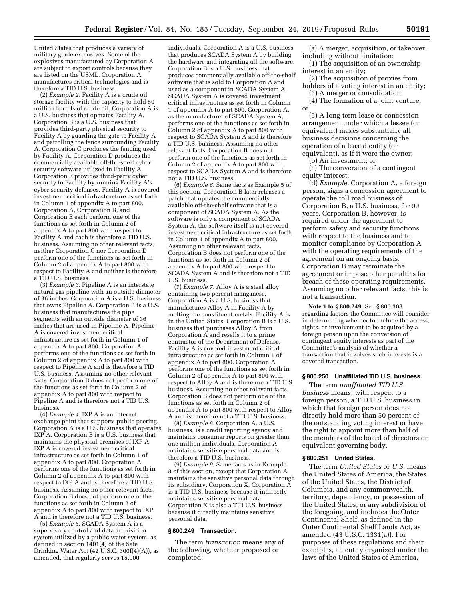United States that produces a variety of military grade explosives. Some of the explosives manufactured by Corporation A are subject to export controls because they are listed on the USML. Corporation A manufactures critical technologies and is therefore a TID U.S. business.

(2) *Example 2.* Facility A is a crude oil storage facility with the capacity to hold 50 million barrels of crude oil. Corporation A is a U.S. business that operates Facility A. Corporation B is a U.S. business that provides third-party physical security to Facility A by guarding the gate to Facility A and patrolling the fence surrounding Facility A. Corporation C produces the fencing used by Facility A. Corporation D produces the commercially available off-the-shelf cyber security software utilized in Facility A. Corporation E provides third-party cyber security to Facility by running Facility A's cyber security defenses. Facility A is covered investment critical infrastructure as set forth in Column 1 of appendix A to part 800. Corporation A, Corporation B, and Corporation E each perform one of the functions as set forth in Column 2 of appendix A to part 800 with respect to Facility A and each is therefore a TID U.S. business. Assuming no other relevant facts, neither Corporation C nor Corporation D perform one of the functions as set forth in Column 2 of appendix A to part 800 with respect to Facility A and neither is therefore a TID U.S. business.

(3) *Example 3.* Pipeline A is an interstate natural gas pipeline with an outside diameter of 36 inches. Corporation A is a U.S. business that owns Pipeline A. Corporation B is a U.S. business that manufactures the pipe segments with an outside diameter of 36 inches that are used in Pipeline A. Pipeline A is covered investment critical infrastructure as set forth in Column 1 of appendix A to part 800. Corporation A performs one of the functions as set forth in Column 2 of appendix A to part 800 with respect to Pipeline A and is therefore a TID U.S. business. Assuming no other relevant facts, Corporation B does not perform one of the functions as set forth in Column 2 of appendix A to part 800 with respect to Pipeline A and is therefore not a TID U.S. business.

(4) *Example 4.* IXP A is an internet exchange point that supports public peering. Corporation A is a U.S. business that operates IXP A. Corporation B is a U.S. business that maintains the physical premises of IXP A. IXP A is covered investment critical infrastructure as set forth in Column 1 of appendix A to part 800. Corporation A performs one of the functions as set forth in Column 2 of appendix A to part 800 with respect to IXP A and is therefore a TID U.S. business. Assuming no other relevant facts, Corporation B does not perform one of the functions as set forth in Column 2 of appendix A to part 800 with respect to IXP A and is therefore not a TID U.S. business.

(5) *Example 5.* SCADA System A is a supervisory control and data acquisition system utilized by a public water system, as defined in section 1401(4) of the Safe Drinking Water Act (42 U.S.C. 300f(4)(A)), as amended, that regularly serves 15,000

individuals. Corporation A is a U.S. business that produces SCADA System A by building the hardware and integrating all the software. Corporation B is a U.S. business that produces commercially available off-the-shelf software that is sold to Corporation A and used as a component in SCADA System A. SCADA System A is covered investment critical infrastructure as set forth in Column 1 of appendix A to part 800. Corporation A, as the manufacturer of SCADA System A, performs one of the functions as set forth in Column 2 of appendix A to part 800 with respect to SCADA System A and is therefore a TID U.S. business. Assuming no other relevant facts, Corporation B does not perform one of the functions as set forth in Column 2 of appendix A to part 800 with respect to SCADA System A and is therefore not a TID U.S. business.

(6) *Example 6.* Same facts as Example 5 of this section. Corporation B later releases a patch that updates the commercially available off-the-shelf software that is a component of SCADA System A. As the software is only a component of SCADA System A, the software itself is not covered investment critical infrastructure as set forth in Column 1 of appendix A to part 800. Assuming no other relevant facts, Corporation B does not perform one of the functions as set forth in Column 2 of appendix A to part 800 with respect to SCADA System A and is therefore not a TID U.S. business.

(7) *Example 7.* Alloy A is a steel alloy containing two percent manganese. Corporation A is a U.S. business that manufactures Alloy A in Facility A by melting the constituent metals. Facility A is in the United States. Corporation B is a U.S. business that purchases Alloy A from Corporation A and resells it to a prime contractor of the Department of Defense. Facility A is covered investment critical infrastructure as set forth in Column 1 of appendix A to part 800. Corporation A performs one of the functions as set forth in Column 2 of appendix A to part 800 with respect to Alloy A and is therefore a TID U.S. business. Assuming no other relevant facts, Corporation B does not perform one of the functions as set forth in Column 2 of appendix A to part 800 with respect to Alloy A and is therefore not a TID U.S. business.

(8) *Example 8.* Corporation A, a U.S. business, is a credit reporting agency and maintains consumer reports on greater than one million individuals. Corporation A maintains sensitive personal data and is therefore a TID U.S. business.

(9) *Example 9.* Same facts as in Example 8 of this section, except that Corporation A maintains the sensitive personal data through its subsidiary, Corporation X. Corporation A is a TID U.S. business because it indirectly maintains sensitive personal data. Corporation X is also a TID U.S. business because it directly maintains sensitive personal data.

#### **§ 800.249 Transaction.**

The term *transaction* means any of the following, whether proposed or completed:

(a) A merger, acquisition, or takeover, including without limitation:

(1) The acquisition of an ownership interest in an entity;

(2) The acquisition of proxies from holders of a voting interest in an entity;

(3) A merger or consolidation; (4) The formation of a joint venture; or

(5) A long-term lease or concession arrangement under which a lessee (or equivalent) makes substantially all business decisions concerning the operation of a leased entity (or equivalent), as if it were the owner;

(b) An investment; or

(c) The conversion of a contingent equity interest.

(d) *Example.* Corporation A, a foreign person, signs a concession agreement to operate the toll road business of Corporation B, a U.S. business, for 99 years. Corporation B, however, is required under the agreement to perform safety and security functions with respect to the business and to monitor compliance by Corporation A with the operating requirements of the agreement on an ongoing basis. Corporation B may terminate the agreement or impose other penalties for breach of these operating requirements. Assuming no other relevant facts, this is not a transaction.

**Note 1 to § 800.249:** See § 800.308 regarding factors the Committee will consider in determining whether to include the access, rights, or involvement to be acquired by a foreign person upon the conversion of contingent equity interests as part of the Committee's analysis of whether a transaction that involves such interests is a covered transaction.

#### **§ 800.250 Unaffiliated TID U.S. business.**

The term *unaffiliated TID U.S. business* means, with respect to a foreign person, a TID U.S. business in which that foreign person does not directly hold more than 50 percent of the outstanding voting interest or have the right to appoint more than half of the members of the board of directors or equivalent governing body.

#### **§ 800.251 United States.**

The term *United States* or *U.S.* means the United States of America, the States of the United States, the District of Columbia, and any commonwealth, territory, dependency, or possession of the United States, or any subdivision of the foregoing, and includes the Outer Continental Shelf, as defined in the Outer Continental Shelf Lands Act, as amended (43 U.S.C. 1331(a)). For purposes of these regulations and their examples, an entity organized under the laws of the United States of America,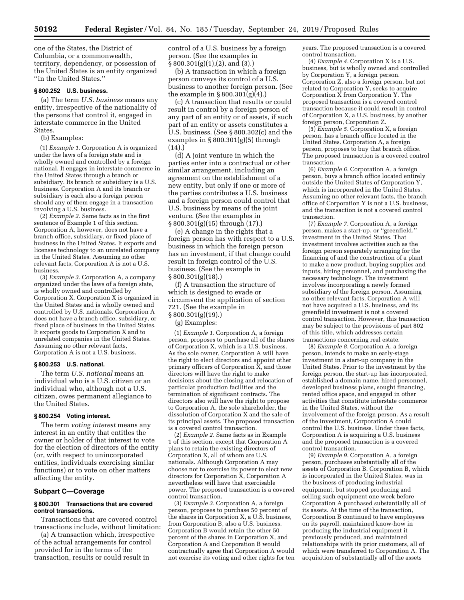one of the States, the District of Columbia, or a commonwealth, territory, dependency, or possession of the United States is an entity organized ''in the United States.''

## **§ 800.252 U.S. business.**

(a) The term *U.S. business* means any entity, irrespective of the nationality of the persons that control it, engaged in interstate commerce in the United States.

(b) Examples:

(1) *Example 1.* Corporation A is organized under the laws of a foreign state and is wholly owned and controlled by a foreign national. It engages in interstate commerce in the United States through a branch or subsidiary. Its branch or subsidiary is a U.S. business. Corporation A and its branch or subsidiary is each also a foreign person should any of them engage in a transaction involving a U.S. business.

(2) *Example 2.* Same facts as in the first sentence of Example 1 of this section. Corporation A, however, does not have a branch office, subsidiary, or fixed place of business in the United States. It exports and licenses technology to an unrelated company in the United States. Assuming no other relevant facts, Corporation A is not a U.S. business.

(3) *Example 3.* Corporation A, a company organized under the laws of a foreign state, is wholly owned and controlled by Corporation X. Corporation X is organized in the United States and is wholly owned and controlled by U.S. nationals. Corporation A does not have a branch office, subsidiary, or fixed place of business in the United States. It exports goods to Corporation X and to unrelated companies in the United States. Assuming no other relevant facts, Corporation A is not a U.S. business.

#### **§ 800.253 U.S. national.**

The term *U.S. national* means an individual who is a U.S. citizen or an individual who, although not a U.S. citizen, owes permanent allegiance to the United States.

#### **§ 800.254 Voting interest.**

The term *voting interest* means any interest in an entity that entitles the owner or holder of that interest to vote for the election of directors of the entity (or, with respect to unincorporated entities, individuals exercising similar functions) or to vote on other matters affecting the entity.

#### **Subpart C—Coverage**

### **§ 800.301 Transactions that are covered control transactions.**

Transactions that are covered control transactions include, without limitation:

(a) A transaction which, irrespective of the actual arrangements for control provided for in the terms of the transaction, results or could result in

control of a U.S. business by a foreign person. (See the examples in § 800.301(g)(1),(2), and (3).)

(b) A transaction in which a foreign person conveys its control of a U.S. business to another foreign person. (See the example in § 800.301(g)(4).)

(c) A transaction that results or could result in control by a foreign person of any part of an entity or of assets, if such part of an entity or assets constitutes a U.S. business. (See § 800.302(c) and the examples in § 800.301(g)(5) through (14).)

(d) A joint venture in which the parties enter into a contractual or other similar arrangement, including an agreement on the establishment of a new entity, but only if one or more of the parties contributes a U.S. business and a foreign person could control that U.S. business by means of the joint venture. (See the examples in § 800.301(g)(15) through (17).)

(e) A change in the rights that a foreign person has with respect to a U.S. business in which the foreign person has an investment, if that change could result in foreign control of the U.S. business. (See the example in § 800.301(g)(18).)

(f) A transaction the structure of which is designed to evade or circumvent the application of section 721. (See the example in § 800.301(g)(19).)

(g) Examples:

(1) *Example 1.* Corporation A, a foreign person, proposes to purchase all of the shares of Corporation X, which is a U.S. business. As the sole owner, Corporation A will have the right to elect directors and appoint other primary officers of Corporation  $\overline{X}$ , and those directors will have the right to make decisions about the closing and relocation of particular production facilities and the termination of significant contracts. The directors also will have the right to propose to Corporation A, the sole shareholder, the dissolution of Corporation X and the sale of its principal assets. The proposed transaction is a covered control transaction.

(2) *Example 2.* Same facts as in Example 1 of this section, except that Corporation A plans to retain the existing directors of Corporation X, all of whom are U.S. nationals. Although Corporation A may choose not to exercise its power to elect new directors for Corporation  $\tilde{X}$ , Corporation A nevertheless will have that exercisable power. The proposed transaction is a covered control transaction.

(3) *Example 3.* Corporation A, a foreign person, proposes to purchase 50 percent of the shares in Corporation X, a U.S. business, from Corporation B, also a U.S. business. Corporation B would retain the other 50 percent of the shares in Corporation X, and Corporation A and Corporation B would contractually agree that Corporation A would not exercise its voting and other rights for ten years. The proposed transaction is a covered control transaction.

(4) *Example 4.* Corporation X is a U.S. business, but is wholly owned and controlled by Corporation Y, a foreign person. Corporation Z, also a foreign person, but not related to Corporation Y, seeks to acquire Corporation X from Corporation Y. The proposed transaction is a covered control transaction because it could result in control of Corporation X, a U.S. business, by another foreign person, Corporation Z.

(5) *Example 5.* Corporation X, a foreign person, has a branch office located in the United States. Corporation A, a foreign person, proposes to buy that branch office. The proposed transaction is a covered control transaction.

(6) *Example 6.* Corporation A, a foreign person, buys a branch office located entirely outside the United States of Corporation Y, which is incorporated in the United States. Assuming no other relevant facts, the branch office of Corporation Y is not a U.S. business, and the transaction is not a covered control transaction.

(7) *Example 7.* Corporation A, a foreign person, makes a start-up, or ''greenfield,'' investment in the United States. That investment involves activities such as the foreign person separately arranging for the financing of and the construction of a plant to make a new product, buying supplies and inputs, hiring personnel, and purchasing the necessary technology. The investment involves incorporating a newly formed subsidiary of the foreign person. Assuming no other relevant facts, Corporation A will not have acquired a U.S. business, and its greenfield investment is not a covered control transaction. However, this transaction may be subject to the provisions of part 802 of this title, which addresses certain transactions concerning real estate.

(8) *Example 8.* Corporation A, a foreign person, intends to make an early-stage investment in a start-up company in the United States. Prior to the investment by the foreign person, the start-up has incorporated, established a domain name, hired personnel, developed business plans, sought financing, rented office space, and engaged in other activities that constitute interstate commerce in the United States, without the involvement of the foreign person. As a result of the investment, Corporation A could control the U.S. business. Under these facts, Corporation A is acquiring a U.S. business and the proposed transaction is a covered control transaction.

(9) *Example 9.* Corporation A, a foreign person, purchases substantially all of the assets of Corporation B. Corporation B, which is incorporated in the United States, was in the business of producing industrial equipment, but stopped producing and selling such equipment one week before Corporation A purchased substantially all of its assets. At the time of the transaction, Corporation B continued to have employees on its payroll, maintained know-how in producing the industrial equipment it previously produced, and maintained relationships with its prior customers, all of which were transferred to Corporation A. The acquisition of substantially all of the assets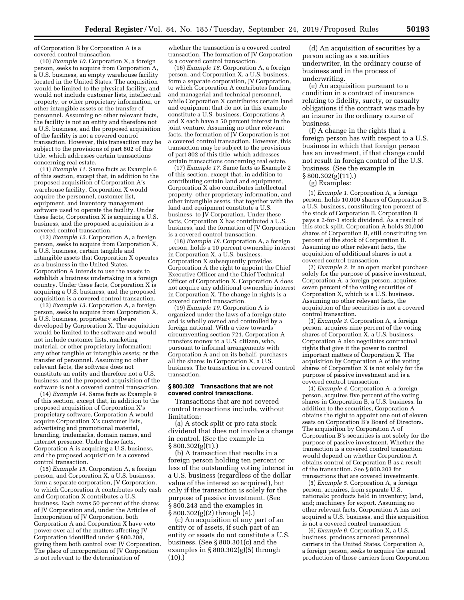of Corporation B by Corporation A is a covered control transaction.

(10) *Example 10.* Corporation X, a foreign person, seeks to acquire from Corporation A, a U.S. business, an empty warehouse facility located in the United States. The acquisition would be limited to the physical facility, and would not include customer lists, intellectual property, or other proprietary information, or other intangible assets or the transfer of personnel. Assuming no other relevant facts, the facility is not an entity and therefore not a U.S. business, and the proposed acquisition of the facility is not a covered control transaction. However, this transaction may be subject to the provisions of part 802 of this title, which addresses certain transactions concerning real estate.

(11) *Example 11.* Same facts as Example 6 of this section, except that, in addition to the proposed acquisition of Corporation A's warehouse facility, Corporation X would acquire the personnel, customer list, equipment, and inventory management software used to operate the facility. Under these facts, Corporation X is acquiring a U.S. business, and the proposed acquisition is a covered control transaction.

(12) *Example 12.* Corporation A, a foreign person, seeks to acquire from Corporation X, a U.S. business, certain tangible and intangible assets that Corporation X operates as a business in the United States. Corporation A intends to use the assets to establish a business undertaking in a foreign country. Under these facts, Corporation X is acquiring a U.S. business, and the proposed acquisition is a covered control transaction.

(13) *Example 13.* Corporation A, a foreign person, seeks to acquire from Corporation X, a U.S. business, proprietary software developed by Corporation X. The acquisition would be limited to the software and would not include customer lists, marketing material, or other proprietary information; any other tangible or intangible assets; or the transfer of personnel. Assuming no other relevant facts, the software does not constitute an entity and therefore not a U.S. business, and the proposed acquisition of the software is not a covered control transaction.

(14) *Example 14.* Same facts as Example 9 of this section, except that, in addition to the proposed acquisition of Corporation X's proprietary software, Corporation A would acquire Corporation X's customer lists, advertising and promotional material, branding, trademarks, domain names, and internet presence. Under these facts, Corporation A is acquiring a U.S. business, and the proposed acquisition is a covered control transaction.

(15) *Example 15.* Corporation A, a foreign person, and Corporation X, a U.S. business, form a separate corporation, JV Corporation, to which Corporation A contributes only cash and Corporation X contributes a U.S. business. Each owns 50 percent of the shares of JV Corporation and, under the Articles of Incorporation of JV Corporation, both Corporation A and Corporation X have veto power over all of the matters affecting JV Corporation identified under § 800.208, giving them both control over JV Corporation. The place of incorporation of JV Corporation is not relevant to the determination of

whether the transaction is a covered control transaction. The formation of JV Corporation is a covered control transaction.

(16) *Example 16.* Corporation A, a foreign person, and Corporation X, a U.S. business, form a separate corporation, JV Corporation, to which Corporation A contributes funding and managerial and technical personnel, while Corporation X contributes certain land and equipment that do not in this example constitute a U.S. business. Corporations A and X each have a 50 percent interest in the joint venture. Assuming no other relevant facts, the formation of  $\breve{V}$  Corporation is not a covered control transaction. However, this transaction may be subject to the provisions of part 802 of this title, which addresses certain transactions concerning real estate.

(17) *Example 17.* Same facts as Example 2 of this section, except that, in addition to contributing certain land and equipment, Corporation X also contributes intellectual property, other proprietary information, and other intangible assets, that together with the land and equipment constitute a U.S. business, to  $\overline{V}$  Corporation. Under these facts, Corporation X has contributed a U.S. business, and the formation of JV Corporation is a covered control transaction.

(18) *Example 18.* Corporation A, a foreign person, holds a 10 percent ownership interest in Corporation X, a U.S. business. Corporation X subsequently provides Corporation A the right to appoint the Chief Executive Officer and the Chief Technical Officer of Corporation X. Corporation A does not acquire any additional ownership interest in Corporation X. The change in rights is a covered control transaction.

(19) *Example 19.* Corporation A is organized under the laws of a foreign state and is wholly owned and controlled by a foreign national. With a view towards circumventing section 721, Corporation A transfers money to a U.S. citizen, who, pursuant to informal arrangements with Corporation A and on its behalf, purchases all the shares in Corporation X, a U.S. business. The transaction is a covered control transaction.

#### **§ 800.302 Transactions that are not covered control transactions.**

Transactions that are not covered control transactions include, without limitation:

(a) A stock split or pro rata stock dividend that does not involve a change in control. (See the example in § 800.302(g)(1).)

(b) A transaction that results in a foreign person holding ten percent or less of the outstanding voting interest in a U.S. business (regardless of the dollar value of the interest so acquired), but only if the transaction is solely for the purpose of passive investment. (See § 800.243 and the examples in § 800.302(g)(2) through (4).)

(c) An acquisition of any part of an entity or of assets, if such part of an entity or assets do not constitute a U.S. business. (See § 800.301(c) and the examples in § 800.302(g)(5) through (10).)

(d) An acquisition of securities by a person acting as a securities underwriter, in the ordinary course of business and in the process of underwriting.

(e) An acquisition pursuant to a condition in a contract of insurance relating to fidelity, surety, or casualty obligations if the contract was made by an insurer in the ordinary course of business.

(f) A change in the rights that a foreign person has with respect to a U.S. business in which that foreign person has an investment, if that change could not result in foreign control of the U.S. business. (See the example in  $§ 800.302(g)(11).]$ 

(g) Examples:

(1) *Example 1.* Corporation A, a foreign person, holds 10,000 shares of Corporation B, a U.S. business, constituting ten percent of the stock of Corporation B. Corporation B pays a 2-for-1 stock dividend. As a result of this stock split, Corporation A holds 20,000 shares of Corporation B, still constituting ten percent of the stock of Corporation B. Assuming no other relevant facts, the acquisition of additional shares is not a covered control transaction.

(2) *Example 2.* In an open market purchase solely for the purpose of passive investment, Corporation A, a foreign person, acquires seven percent of the voting securities of Corporation X, which is a U.S. business. Assuming no other relevant facts, the acquisition of the securities is not a covered control transaction.

(3) *Example 3.* Corporation A, a foreign person, acquires nine percent of the voting shares of Corporation X, a U.S. business. Corporation A also negotiates contractual rights that give it the power to control important matters of Corporation X. The acquisition by Corporation A of the voting shares of Corporation X is not solely for the purpose of passive investment and is a covered control transaction.

(4) *Example 4.* Corporation A, a foreign person, acquires five percent of the voting shares in Corporation B, a U.S. business. In addition to the securities, Corporation A obtains the right to appoint one out of eleven seats on Corporation B's Board of Directors. The acquisition by Corporation A of Corporation B's securities is not solely for the purpose of passive investment. Whether the transaction is a covered control transaction would depend on whether Corporation A obtains control of Corporation B as a result of the transaction. See § 800.303 for transactions that are covered investments.

(5) *Example 5.* Corporation A, a foreign person, acquires, from separate U.S. nationals: products held in inventory; land, and; machinery for export. Assuming no other relevant facts, Corporation A has not acquired a U.S. business, and this acquisition is not a covered control transaction.

(6) *Example 6.* Corporation X, a U.S. business, produces armored personnel carriers in the United States. Corporation A, a foreign person, seeks to acquire the annual production of those carriers from Corporation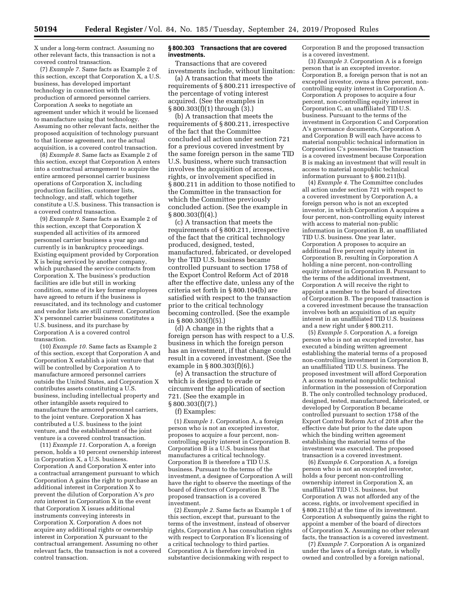X under a long-term contract. Assuming no other relevant facts, this transaction is not a covered control transaction.

(7) *Example 7.* Same facts as Example 2 of this section, except that Corporation X, a U.S. business, has developed important technology in connection with the production of armored personnel carriers. Corporation A seeks to negotiate an agreement under which it would be licensed to manufacture using that technology. Assuming no other relevant facts, neither the proposed acquisition of technology pursuant to that license agreement, nor the actual acquisition, is a covered control transaction.

(8) *Example 8.* Same facts as Example 2 of this section, except that Corporation A enters into a contractual arrangement to acquire the entire armored personnel carrier business operations of Corporation X, including production facilities, customer lists, technology, and staff, which together constitute a U.S. business. This transaction is a covered control transaction.

(9) *Example 9.* Same facts as Example 2 of this section, except that Corporation X suspended all activities of its armored personnel carrier business a year ago and currently is in bankruptcy proceedings. Existing equipment provided by Corporation X is being serviced by another company, which purchased the service contracts from Corporation X. The business's production facilities are idle but still in working condition, some of its key former employees have agreed to return if the business is resuscitated, and its technology and customer and vendor lists are still current. Corporation X's personnel carrier business constitutes a U.S. business, and its purchase by Corporation A is a covered control transaction.

(10) *Example 10.* Same facts as Example 2 of this section, except that Corporation A and Corporation X establish a joint venture that will be controlled by Corporation A to manufacture armored personnel carriers outside the United States, and Corporation X contributes assets constituting a U.S. business, including intellectual property and other intangible assets required to manufacture the armored personnel carriers, to the joint venture. Corporation X has contributed a U.S. business to the joint venture, and the establishment of the joint venture is a covered control transaction.

(11) *Example 11.* Corporation A, a foreign person, holds a 10 percent ownership interest in Corporation X, a U.S. business. Corporation A and Corporation X enter into a contractual arrangement pursuant to which Corporation A gains the right to purchase an additional interest in Corporation X to prevent the dilution of Corporation A's *pro rata* interest in Corporation X in the event that Corporation X issues additional instruments conveying interests in Corporation X. Corporation A does not acquire any additional rights or ownership interest in Corporation X pursuant to the contractual arrangement. Assuming no other relevant facts, the transaction is not a covered control transaction.

## **§ 800.303 Transactions that are covered investments.**

Transactions that are covered investments include, without limitation:

(a) A transaction that meets the requirements of § 800.211 irrespective of the percentage of voting interest acquired. (See the examples in § 800.303(f)(1) through (3).)

(b) A transaction that meets the requirements of § 800.211, irrespective of the fact that the Committee concluded all action under section 721 for a previous covered investment by the same foreign person in the same TID U.S. business, where such transaction involves the acquisition of access, rights, or involvement specified in § 800.211 in addition to those notified to the Committee in the transaction for which the Committee previously concluded action. (See the example in  $§ 800.303(f)(4).$ 

(c) A transaction that meets the requirements of § 800.211, irrespective of the fact that the critical technology produced, designed, tested, manufactured, fabricated, or developed by the TID U.S. business became controlled pursuant to section 1758 of the Export Control Reform Act of 2018 after the effective date, unless any of the criteria set forth in § 800.104(b) are satisfied with respect to the transaction prior to the critical technology becoming controlled. (See the example in § 800.303(f)(5).)

(d) A change in the rights that a foreign person has with respect to a U.S. business in which the foreign person has an investment, if that change could result in a covered investment. (See the example in § 800.303(f)(6).)

(e) A transaction the structure of which is designed to evade or circumvent the application of section 721. (See the example in § 800.303(f)(7).)

# (f) Examples:

(1) *Example 1.* Corporation A, a foreign person who is not an excepted investor, proposes to acquire a four percent, noncontrolling equity interest in Corporation B. Corporation B is a U.S. business that manufactures a critical technology. Corporation  $B$  is therefore a TID  $\check{U}$ .S. business. Pursuant to the terms of the investment, a designee of Corporation A will have the right to observe the meetings of the board of directors of Corporation B. The proposed transaction is a covered investment.

(2) *Example 2.* Same facts as Example 1 of this section, except that, pursuant to the terms of the investment, instead of observer rights, Corporation A has consultation rights with respect to Corporation B's licensing of a critical technology to third parties. Corporation A is therefore involved in substantive decisionmaking with respect to

Corporation B and the proposed transaction is a covered investment.

(3) *Example 3.* Corporation A is a foreign person that is an excepted investor. Corporation B, a foreign person that is not an excepted investor, owns a three percent, noncontrolling equity interest in Corporation A. Corporation A proposes to acquire a four percent, non-controlling equity interest in Corporation C, an unaffiliated TID U.S. business. Pursuant to the terms of the investment in Corporation C and Corporation A's governance documents, Corporation A and Corporation B will each have access to material nonpublic technical information in Corporation C's possession. The transaction is a covered investment because Corporation B is making an investment that will result in access to material nonpublic technical information pursuant to § 800.211(b).

(4) *Example 4.* The Committee concludes all action under section 721 with respect to a covered investment by Corporation A, a foreign person who is not an excepted investor, in which Corporation A acquires a four percent, non-controlling equity interest with access to material non-public information in Corporation B, an unaffiliated TID U.S. business. One year later, Corporation A proposes to acquire an additional five percent equity interest in Corporation B, resulting in Corporation A holding a nine percent, non-controlling equity interest in Corporation B. Pursuant to the terms of the additional investment, Corporation A will receive the right to appoint a member to the board of directors of Corporation B. The proposed transaction is a covered investment because the transaction involves both an acquisition of an equity interest in an unaffiliated TID U.S. business and a new right under § 800.211.

(5) *Example 5.* Corporation A, a foreign person who is not an excepted investor, has executed a binding written agreement establishing the material terms of a proposed non-controlling investment in Corporation B, an unaffiliated TID U.S. business. The proposed investment will afford Corporation A access to material nonpublic technical information in the possession of Corporation B. The only controlled technology produced, designed, tested, manufactured, fabricated, or developed by Corporation B became controlled pursuant to section 1758 of the Export Control Reform Act of 2018 after the effective date but prior to the date upon which the binding written agreement establishing the material terms of the investment was executed. The proposed transaction is a covered investment.

(6) *Example 6.* Corporation A, a foreign person who is not an excepted investor, holds a four percent non-controlling ownership interest in Corporation  $\tilde{X}$ , an unaffiliated TID U.S. business, but Corporation A was not afforded any of the access, rights, or involvement specified in § 800.211(b) at the time of its investment. Corporation A subsequently gains the right to appoint a member of the board of directors of Corporation X. Assuming no other relevant facts, the transaction is a covered investment.

(7) *Example 7.* Corporation A is organized under the laws of a foreign state, is wholly owned and controlled by a foreign national,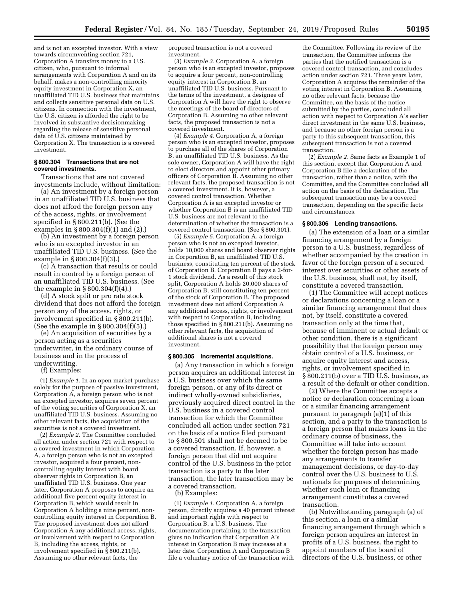and is not an excepted investor. With a view towards circumventing section 721, Corporation A transfers money to a U.S. citizen, who, pursuant to informal arrangements with Corporation A and on its behalf, makes a non-controlling minority equity investment in Corporation X, an unaffiliated TID U.S. business that maintains and collects sensitive personal data on U.S. citizens. In connection with the investment, the U.S. citizen is afforded the right to be involved in substantive decisionmaking regarding the release of sensitive personal data of U.S. citizens maintained by Corporation X. The transaction is a covered investment.

#### **§ 800.304 Transactions that are not covered investments.**

Transactions that are not covered investments include, without limitation:

(a) An investment by a foreign person in an unaffiliated TID U.S. business that does not afford the foreign person any of the access, rights, or involvement specified in § 800.211(b). (See the examples in § 800.304(f)(1) and (2).)

(b) An investment by a foreign person who is an excepted investor in an unaffiliated TID U.S. business. (See the example in § 800.304(f)(3).)

(c) A transaction that results or could result in control by a foreign person of an unaffiliated TID U.S. business. (See the example in § 800.304(f)(4).)

(d) A stock split or pro rata stock dividend that does not afford the foreign person any of the access, rights, or involvement specified in § 800.211(b). (See the example in § 800.304(f)(5).)

(e) An acquisition of securities by a person acting as a securities underwriter, in the ordinary course of business and in the process of underwriting.

(f) Examples:

(1) *Example 1.* In an open market purchase solely for the purpose of passive investment, Corporation A, a foreign person who is not an excepted investor, acquires seven percent of the voting securities of Corporation X, an unaffiliated TID U.S. business. Assuming no other relevant facts, the acquisition of the securities is not a covered investment.

(2) *Example 2.* The Committee concluded all action under section 721 with respect to a covered investment in which Corporation A, a foreign person who is not an excepted investor, acquired a four percent, noncontrolling equity interest with board observer rights in Corporation B, an unaffiliated TID U.S. business. One year later, Corporation A proposes to acquire an additional five percent equity interest in Corporation B, which would result in Corporation A holding a nine percent, noncontrolling equity interest in Corporation B. The proposed investment does not afford Corporation A any additional access, rights, or involvement with respect to Corporation B, including the access, rights, or involvement specified in § 800.211(b). Assuming no other relevant facts, the

proposed transaction is not a covered investment.

(3) *Example 3.* Corporation A, a foreign person who is an excepted investor, proposes to acquire a four percent, non-controlling equity interest in Corporation B, an unaffiliated TID U.S. business. Pursuant to the terms of the investment, a designee of Corporation A will have the right to observe the meetings of the board of directors of Corporation B. Assuming no other relevant facts, the proposed transaction is not a covered investment.

(4) *Example 4.* Corporation A, a foreign person who is an excepted investor, proposes to purchase all of the shares of Corporation B, an unaffiliated TID U.S. business. As the sole owner, Corporation A will have the right to elect directors and appoint other primary officers of Corporation B. Assuming no other relevant facts, the proposed transaction is not a covered investment. It is, however, a covered control transaction. Whether Corporation A is an excepted investor or whether Corporation B is an unaffiliated TID U.S. business are not relevant to the determination of whether the transaction is a covered control transaction. (See § 800.301).

(5) *Example 5.* Corporation A, a foreign person who is not an excepted investor, holds 10,000 shares and board observer rights in Corporation B, an unaffiliated TID U.S. business, constituting ten percent of the stock of Corporation B. Corporation B pays a 2-for-1 stock dividend. As a result of this stock split, Corporation A holds 20,000 shares of Corporation B, still constituting ten percent of the stock of Corporation B. The proposed investment does not afford Corporation A any additional access, rights, or involvement with respect to Corporation B, including those specified in  $\hat{\S}$  800.211(b). Assuming no other relevant facts, the acquisition of additional shares is not a covered investment.

#### **§ 800.305 Incremental acquisitions.**

(a) Any transaction in which a foreign person acquires an additional interest in a U.S. business over which the same foreign person, or any of its direct or indirect wholly-owned subsidiaries, previously acquired direct control in the U.S. business in a covered control transaction for which the Committee concluded all action under section 721 on the basis of a notice filed pursuant to § 800.501 shall not be deemed to be a covered transaction. If, however, a foreign person that did not acquire control of the U.S. business in the prior transaction is a party to the later transaction, the later transaction may be a covered transaction.

(b) Examples:

(1) *Example 1.* Corporation A, a foreign person, directly acquires a 40 percent interest and important rights with respect to Corporation B, a U.S. business. The documentation pertaining to the transaction gives no indication that Corporation A's interest in Corporation B may increase at a later date. Corporation A and Corporation B file a voluntary notice of the transaction with

the Committee. Following its review of the transaction, the Committee informs the parties that the notified transaction is a covered control transaction, and concludes action under section 721. Three years later, Corporation A acquires the remainder of the voting interest in Corporation B. Assuming no other relevant facts, because the Committee, on the basis of the notice submitted by the parties, concluded all action with respect to Corporation A's earlier direct investment in the same U.S. business, and because no other foreign person is a party to this subsequent transaction, this subsequent transaction is not a covered transaction.

(2) *Example 2.* Same facts as Example 1 of this section, except that Corporation A and Corporation B file a declaration of the transaction, rather than a notice, with the Committee, and the Committee concluded all action on the basis of the declaration. The subsequent transaction may be a covered transaction, depending on the specific facts and circumstances.

## **§ 800.306 Lending transactions.**

(a) The extension of a loan or a similar financing arrangement by a foreign person to a U.S. business, regardless of whether accompanied by the creation in favor of the foreign person of a secured interest over securities or other assets of the U.S. business, shall not, by itself, constitute a covered transaction.

(1) The Committee will accept notices or declarations concerning a loan or a similar financing arrangement that does not, by itself, constitute a covered transaction only at the time that, because of imminent or actual default or other condition, there is a significant possibility that the foreign person may obtain control of a U.S. business, or acquire equity interest and access, rights, or involvement specified in § 800.211(b) over a TID U.S. business, as a result of the default or other condition.

(2) Where the Committee accepts a notice or declaration concerning a loan or a similar financing arrangement pursuant to paragraph (a)(1) of this section, and a party to the transaction is a foreign person that makes loans in the ordinary course of business, the Committee will take into account whether the foreign person has made any arrangements to transfer management decisions, or day-to-day control over the U.S. business to U.S. nationals for purposes of determining whether such loan or financing arrangement constitutes a covered transaction.

(b) Notwithstanding paragraph (a) of this section, a loan or a similar financing arrangement through which a foreign person acquires an interest in profits of a U.S. business, the right to appoint members of the board of directors of the U.S. business, or other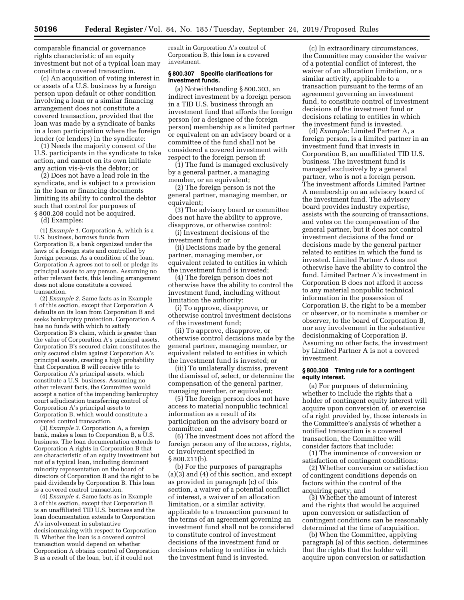comparable financial or governance rights characteristic of an equity investment but not of a typical loan may constitute a covered transaction.

(c) An acquisition of voting interest in or assets of a U.S. business by a foreign person upon default or other condition involving a loan or a similar financing arrangement does not constitute a covered transaction, provided that the loan was made by a syndicate of banks in a loan participation where the foreign lender (or lenders) in the syndicate:

(1) Needs the majority consent of the U.S. participants in the syndicate to take action, and cannot on its own initiate any action vis-a`-vis the debtor; or

(2) Does not have a lead role in the syndicate, and is subject to a provision in the loan or financing documents limiting its ability to control the debtor such that control for purposes of § 800.208 could not be acquired. (d) Examples:

(1) *Example 1.* Corporation A, which is a U.S. business, borrows funds from Corporation B, a bank organized under the laws of a foreign state and controlled by foreign persons. As a condition of the loan, Corporation A agrees not to sell or pledge its principal assets to any person. Assuming no other relevant facts, this lending arrangement does not alone constitute a covered transaction.

(2) *Example 2.* Same facts as in Example 1 of this section, except that Corporation A defaults on its loan from Corporation B and seeks bankruptcy protection. Corporation A has no funds with which to satisfy Corporation B's claim, which is greater than the value of Corporation A's principal assets. Corporation B's secured claim constitutes the only secured claim against Corporation A's principal assets, creating a high probability that Corporation B will receive title to Corporation A's principal assets, which constitute a U.S. business. Assuming no other relevant facts, the Committee would accept a notice of the impending bankruptcy court adjudication transferring control of Corporation A's principal assets to Corporation B, which would constitute a covered control transaction.

(3) *Example 3.* Corporation A, a foreign bank, makes a loan to Corporation B, a U.S. business. The loan documentation extends to Corporation A rights in Corporation B that are characteristic of an equity investment but not of a typical loan, including dominant minority representation on the board of directors of Corporation B and the right to be paid dividends by Corporation B. This loan is a covered control transaction.

(4) *Example 4.* Same facts as in Example 3 of this section, except that Corporation B is an unaffiliated TID U.S. business and the loan documentation extends to Corporation A's involvement in substantive decisionmaking with respect to Corporation B. Whether the loan is a covered control transaction would depend on whether Corporation A obtains control of Corporation B as a result of the loan, but, if it could not

result in Corporation A's control of Corporation B, this loan is a covered investment.

#### **§ 800.307 Specific clarifications for investment funds.**

(a) Notwithstanding § 800.303, an indirect investment by a foreign person in a TID U.S. business through an investment fund that affords the foreign person (or a designee of the foreign person) membership as a limited partner or equivalent on an advisory board or a committee of the fund shall not be considered a covered investment with respect to the foreign person if:

(1) The fund is managed exclusively by a general partner, a managing member, or an equivalent;

(2) The foreign person is not the general partner, managing member, or equivalent;

(3) The advisory board or committee does not have the ability to approve, disapprove, or otherwise control:

(i) Investment decisions of the investment fund; or

(ii) Decisions made by the general partner, managing member, or equivalent related to entities in which the investment fund is invested;

(4) The foreign person does not otherwise have the ability to control the investment fund, including without limitation the authority:

(i) To approve, disapprove, or otherwise control investment decisions of the investment fund;

(ii) To approve, disapprove, or otherwise control decisions made by the general partner, managing member, or equivalent related to entities in which the investment fund is invested; or

(iii) To unilaterally dismiss, prevent the dismissal of, select, or determine the compensation of the general partner, managing member, or equivalent;

(5) The foreign person does not have access to material nonpublic technical information as a result of its participation on the advisory board or committee; and

(6) The investment does not afford the foreign person any of the access, rights, or involvement specified in § 800.211(b).

(b) For the purposes of paragraphs (a)(3) and (4) of this section, and except as provided in paragraph (c) of this section, a waiver of a potential conflict of interest, a waiver of an allocation limitation, or a similar activity, applicable to a transaction pursuant to the terms of an agreement governing an investment fund shall not be considered to constitute control of investment decisions of the investment fund or decisions relating to entities in which the investment fund is invested.

(c) In extraordinary circumstances, the Committee may consider the waiver of a potential conflict of interest, the waiver of an allocation limitation, or a similar activity, applicable to a transaction pursuant to the terms of an agreement governing an investment fund, to constitute control of investment decisions of the investment fund or decisions relating to entities in which the investment fund is invested.

(d) *Example:* Limited Partner A, a foreign person, is a limited partner in an investment fund that invests in Corporation B, an unaffiliated TID U.S. business. The investment fund is managed exclusively by a general partner, who is not a foreign person. The investment affords Limited Partner A membership on an advisory board of the investment fund. The advisory board provides industry expertise, assists with the sourcing of transactions, and votes on the compensation of the general partner, but it does not control investment decisions of the fund or decisions made by the general partner related to entities in which the fund is invested. Limited Partner A does not otherwise have the ability to control the fund. Limited Partner A's investment in Corporation B does not afford it access to any material nonpublic technical information in the possession of Corporation B, the right to be a member or observer, or to nominate a member or observer, to the board of Corporation B, nor any involvement in the substantive decisionmaking of Corporation B. Assuming no other facts, the investment by Limited Partner A is not a covered investment.

# **§ 800.308 Timing rule for a contingent equity interest.**

(a) For purposes of determining whether to include the rights that a holder of contingent equity interest will acquire upon conversion of, or exercise of a right provided by, those interests in the Committee's analysis of whether a notified transaction is a covered transaction, the Committee will consider factors that include:

(1) The imminence of conversion or satisfaction of contingent conditions;

(2) Whether conversion or satisfaction of contingent conditions depends on factors within the control of the acquiring party; and

(3) Whether the amount of interest and the rights that would be acquired upon conversion or satisfaction of contingent conditions can be reasonably determined at the time of acquisition.

(b) When the Committee, applying paragraph (a) of this section, determines that the rights that the holder will acquire upon conversion or satisfaction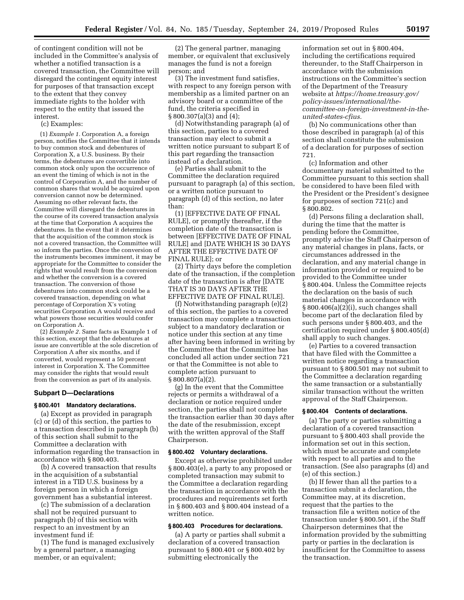of contingent condition will not be included in the Committee's analysis of whether a notified transaction is a covered transaction, the Committee will disregard the contingent equity interest for purposes of that transaction except to the extent that they convey immediate rights to the holder with respect to the entity that issued the interest.

(c) Examples:

(1) *Example 1.* Corporation A, a foreign person, notifies the Committee that it intends to buy common stock and debentures of Corporation X, a U.S. business. By their terms, the debentures are convertible into common stock only upon the occurrence of an event the timing of which is not in the control of Corporation A, and the number of common shares that would be acquired upon conversion cannot now be determined. Assuming no other relevant facts, the Committee will disregard the debentures in the course of its covered transaction analysis at the time that Corporation A acquires the debentures. In the event that it determines that the acquisition of the common stock is not a covered transaction, the Committee will so inform the parties. Once the conversion of the instruments becomes imminent, it may be appropriate for the Committee to consider the rights that would result from the conversion and whether the conversion is a covered transaction. The conversion of those debentures into common stock could be a covered transaction, depending on what percentage of Corporation X's voting securities Corporation A would receive and what powers those securities would confer on Corporation A.

(2) *Example 2.* Same facts as Example 1 of this section, except that the debentures at issue are convertible at the sole discretion of Corporation A after six months, and if converted, would represent a 50 percent interest in Corporation X. The Committee may consider the rights that would result from the conversion as part of its analysis.

#### **Subpart D—Declarations**

#### **§ 800.401 Mandatory declarations.**

(a) Except as provided in paragraph (c) or (d) of this section, the parties to a transaction described in paragraph (b) of this section shall submit to the Committee a declaration with information regarding the transaction in accordance with § 800.403.

(b) A covered transaction that results in the acquisition of a substantial interest in a TID U.S. business by a foreign person in which a foreign government has a substantial interest.

(c) The submission of a declaration shall not be required pursuant to paragraph (b) of this section with respect to an investment by an investment fund if:

(1) The fund is managed exclusively by a general partner, a managing member, or an equivalent;

(2) The general partner, managing member, or equivalent that exclusively manages the fund is not a foreign person; and

(3) The investment fund satisfies, with respect to any foreign person with membership as a limited partner on an advisory board or a committee of the fund, the criteria specified in  $§ 800.307(a)(3)$  and  $(4);$ 

(d) Notwithstanding paragraph (a) of this section, parties to a covered transaction may elect to submit a written notice pursuant to subpart E of this part regarding the transaction instead of a declaration.

(e) Parties shall submit to the Committee the declaration required pursuant to paragraph (a) of this section, or a written notice pursuant to paragraph (d) of this section, no later than:

(1) [EFFECTIVE DATE OF FINAL RULE], or promptly thereafter, if the completion date of the transaction is between [EFFECTIVE DATE OF FINAL RULE] and [DATE WHICH IS 30 DAYS AFTER THE EFFECTIVE DATE OF FINAL RULE]; or

(2) Thirty days before the completion date of the transaction, if the completion date of the transaction is after [DATE THAT IS 30 DAYS AFTER THE EFFECTIVE DATE OF FINAL RULE].

(f) Notwithstanding paragraph (e)(2) of this section, the parties to a covered transaction may complete a transaction subject to a mandatory declaration or notice under this section at any time after having been informed in writing by the Committee that the Committee has concluded all action under section 721 or that the Committee is not able to complete action pursuant to § 800.807(a)(2).

(g) In the event that the Committee rejects or permits a withdrawal of a declaration or notice required under section, the parties shall not complete the transaction earlier than 30 days after the date of the resubmission, except with the written approval of the Staff Chairperson.

#### **§ 800.402 Voluntary declarations.**

Except as otherwise prohibited under § 800.403(e), a party to any proposed or completed transaction may submit to the Committee a declaration regarding the transaction in accordance with the procedures and requirements set forth in § 800.403 and § 800.404 instead of a written notice.

# **§ 800.403 Procedures for declarations.**

(a) A party or parties shall submit a declaration of a covered transaction pursuant to § 800.401 or § 800.402 by submitting electronically the

information set out in § 800.404, including the certifications required thereunder, to the Staff Chairperson in accordance with the submission instructions on the Committee's section of the Department of the Treasury website at *[https://home.treasury.gov/](https://home.treasury.gov/policy-issues/international/the-committee-on-foreign-investment-in-the-united-states-cfius) [policy-issues/international/the](https://home.treasury.gov/policy-issues/international/the-committee-on-foreign-investment-in-the-united-states-cfius)[committee-on-foreign-investment-in-the](https://home.treasury.gov/policy-issues/international/the-committee-on-foreign-investment-in-the-united-states-cfius)[united-states-cfius.](https://home.treasury.gov/policy-issues/international/the-committee-on-foreign-investment-in-the-united-states-cfius)* 

(b) No communications other than those described in paragraph (a) of this section shall constitute the submission of a declaration for purposes of section 721.

(c) Information and other documentary material submitted to the Committee pursuant to this section shall be considered to have been filed with the President or the President's designee for purposes of section 721(c) and § 800.802.

(d) Persons filing a declaration shall, during the time that the matter is pending before the Committee, promptly advise the Staff Chairperson of any material changes in plans, facts, or circumstances addressed in the declaration, and any material change in information provided or required to be provided to the Committee under § 800.404. Unless the Committee rejects the declaration on the basis of such material changes in accordance with § 800.406(a)(2)(i), such changes shall become part of the declaration filed by such persons under § 800.403, and the certification required under § 800.405(d) shall apply to such changes.

(e) Parties to a covered transaction that have filed with the Committee a written notice regarding a transaction pursuant to § 800.501 may not submit to the Committee a declaration regarding the same transaction or a substantially similar transaction without the written approval of the Staff Chairperson.

# **§ 800.404 Contents of declarations.**

(a) The party or parties submitting a declaration of a covered transaction pursuant to § 800.403 shall provide the information set out in this section, which must be accurate and complete with respect to all parties and to the transaction. (See also paragraphs (d) and (e) of this section.)

(b) If fewer than all the parties to a transaction submit a declaration, the Committee may, at its discretion, request that the parties to the transaction file a written notice of the transaction under § 800.501, if the Staff Chairperson determines that the information provided by the submitting party or parties in the declaration is insufficient for the Committee to assess the transaction.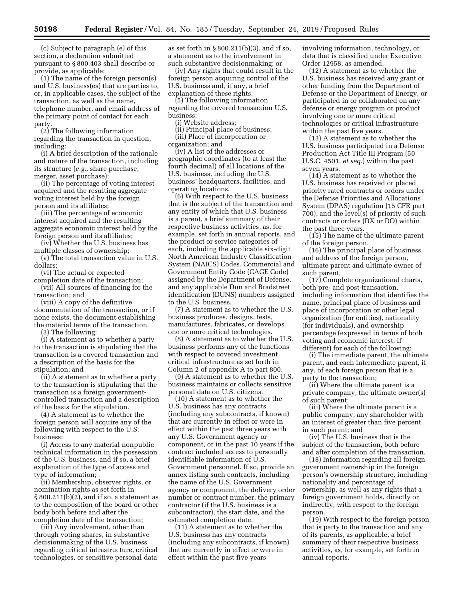(c) Subject to paragraph (e) of this section, a declaration submitted pursuant to § 800.403 shall describe or provide, as applicable:

(1) The name of the foreign person(s) and U.S. business(es) that are parties to, or, in applicable cases, the subject of the transaction, as well as the name, telephone number, and email address of the primary point of contact for each party.

(2) The following information regarding the transaction in question, including:

(i) A brief description of the rationale and nature of the transaction, including its structure (*e.g.,* share purchase, merger, asset purchase);

(ii) The percentage of voting interest acquired and the resulting aggregate voting interest held by the foreign person and its affiliates;

(iii) The percentage of economic interest acquired and the resulting aggregate economic interest held by the foreign person and its affiliates;

(iv) Whether the U.S. business has multiple classes of ownership;

(v) The total transaction value in U.S. dollars;

(vi) The actual or expected

completion date of the transaction; (vii) All sources of financing for the transaction; and

(viii) A copy of the definitive documentation of the transaction, or if none exists, the document establishing the material terms of the transaction.

(3) The following:

(i) A statement as to whether a party to the transaction is stipulating that the transaction is a covered transaction and a description of the basis for the stipulation; and

(ii) A statement as to whether a party to the transaction is stipulating that the transaction is a foreign governmentcontrolled transaction and a description of the basis for the stipulation.

(4) A statement as to whether the foreign person will acquire any of the following with respect to the U.S. business:

(i) Access to any material nonpublic technical information in the possession of the U.S. business, and if so, a brief explanation of the type of access and type of information;

(ii) Membership, observer rights, or nomination rights as set forth in § 800.211(b)(2), and if so, a statement as to the composition of the board or other body both before and after the completion date of the transaction;

(iii) Any involvement, other than through voting shares, in substantive decisionmaking of the U.S. business regarding critical infrastructure, critical technologies, or sensitive personal data

as set forth in § 800.211(b)(3), and if so, a statement as to the involvement in such substantive decisionmaking; or

(iv) Any rights that could result in the foreign person acquiring control of the U.S. business and, if any, a brief explanation of these rights.

(5) The following information regarding the covered transaction U.S. business:

(i) Website address;

(ii) Principal place of business; (iii) Place of incorporation or organization; and

(iv) A list of the addresses or geographic coordinates (to at least the fourth decimal) of all locations of the U.S. business, including the U.S. business' headquarters, facilities, and operating locations.

(6) With respect to the U.S. business that is the subject of the transaction and any entity of which that U.S. business is a parent, a brief summary of their respective business activities, as, for example, set forth in annual reports, and the product or service categories of each, including the applicable six-digit North American Industry Classification System (NAICS) Codes, Commercial and Government Entity Code (CAGE Code) assigned by the Department of Defense, and any applicable Dun and Bradstreet identification (DUNS) numbers assigned to the U.S. business.

(7) A statement as to whether the U.S. business produces, designs, tests, manufactures, fabricates, or develops one or more critical technologies.

(8) A statement as to whether the U.S. business performs any of the functions with respect to covered investment critical infrastructure as set forth in Column 2 of appendix A to part 800.

(9) A statement as to whether the U.S. business maintains or collects sensitive personal data on U.S. citizens.

(10) A statement as to whether the U.S. business has any contracts (including any subcontracts, if known) that are currently in effect or were in effect within the past three years with any U.S. Government agency or component, or in the past 10 years if the contract included access to personally identifiable information of U.S. Government personnel. If so, provide an annex listing such contracts, including the name of the U.S. Government agency or component, the delivery order number or contract number, the primary contractor (if the U.S. business is a subcontractor), the start date, and the estimated completion date.

(11) A statement as to whether the U.S. business has any contracts (including any subcontracts, if known) that are currently in effect or were in effect within the past five years

involving information, technology, or data that is classified under Executive Order 12958, as amended.

(12) A statement as to whether the U.S. business has received any grant or other funding from the Department of Defense or the Department of Energy, or participated in or collaborated on any defense or energy program or product involving one or more critical technologies or critical infrastructure within the past five years.

(13) A statement as to whether the U.S. business participated in a Defense Production Act Title III Program (50 U.S.C. 4501, *et seq.*) within the past seven years.

(14) A statement as to whether the U.S. business has received or placed priority rated contracts or orders under the Defense Priorities and Allocations System (DPAS) regulation (15 CFR part 700), and the level(s) of priority of such contracts or orders (DX or DO) within the past three years.

(15) The name of the ultimate parent of the foreign person.

(16) The principal place of business and address of the foreign person, ultimate parent and ultimate owner of such parent.

(17) Complete organizational charts, both pre- and post-transaction, including information that identifies the name, principal place of business and place of incorporation or other legal organization (for entities), nationality (for individuals), and ownership percentage (expressed in terms of both voting and economic interest, if different) for each of the following:

(i) The immediate parent, the ultimate parent, and each intermediate parent, if any, of each foreign person that is a party to the transaction;

(ii) Where the ultimate parent is a private company, the ultimate owner(s) of such parent;

(iii) Where the ultimate parent is a public company, any shareholder with an interest of greater than five percent in such parent; and

(iv) The U.S. business that is the subject of the transaction, both before and after completion of the transaction.

(18) Information regarding all foreign government ownership in the foreign person's ownership structure, including nationality and percentage of ownership, as well as any rights that a foreign government holds, directly or indirectly, with respect to the foreign person.

(19) With respect to the foreign person that is party to the transaction and any of its parents, as applicable, a brief summary of their respective business activities, as, for example, set forth in annual reports.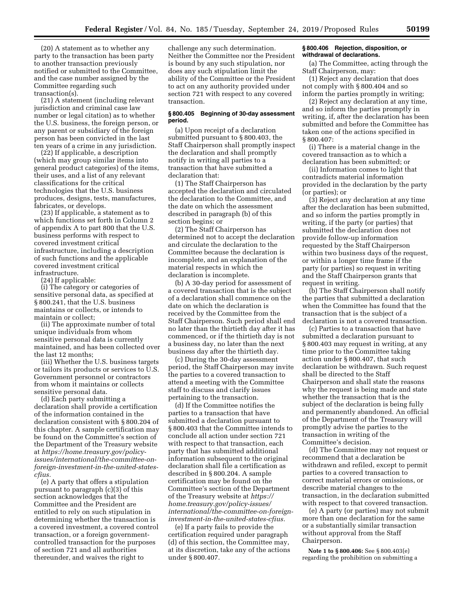(20) A statement as to whether any party to the transaction has been party to another transaction previously notified or submitted to the Committee, and the case number assigned by the Committee regarding such transaction(s).

(21) A statement (including relevant jurisdiction and criminal case law number or legal citation) as to whether the U.S. business, the foreign person, or any parent or subsidiary of the foreign person has been convicted in the last ten years of a crime in any jurisdiction.

(22) If applicable, a description (which may group similar items into general product categories) of the items, their uses, and a list of any relevant classifications for the critical technologies that the U.S. business produces, designs, tests, manufactures, fabricates, or develops.

(23) If applicable, a statement as to which functions set forth in Column 2 of appendix A to part 800 that the U.S. business performs with respect to covered investment critical infrastructure, including a description of such functions and the applicable covered investment critical infrastructure.

(24) If applicable:

(i) The category or categories of sensitive personal data, as specified at § 800.241, that the U.S. business maintains or collects, or intends to maintain or collect;

(ii) The approximate number of total unique individuals from whom sensitive personal data is currently maintained, and has been collected over the last 12 months;

(iii) Whether the U.S. business targets or tailors its products or services to U.S. Government personnel or contractors from whom it maintains or collects sensitive personal data.

(d) Each party submitting a declaration shall provide a certification of the information contained in the declaration consistent with § 800.204 of this chapter. A sample certification may be found on the Committee's section of the Department of the Treasury website at *[https://home.treasury.gov/policy](https://home.treasury.gov/policy-issues/international/the-committee-on-foreign-investment-in-the-united-states-cfius)[issues/international/the-committee-on](https://home.treasury.gov/policy-issues/international/the-committee-on-foreign-investment-in-the-united-states-cfius)[foreign-investment-in-the-united-states](https://home.treasury.gov/policy-issues/international/the-committee-on-foreign-investment-in-the-united-states-cfius)[cfius.](https://home.treasury.gov/policy-issues/international/the-committee-on-foreign-investment-in-the-united-states-cfius)* 

(e) A party that offers a stipulation pursuant to paragraph (c)(3) of this section acknowledges that the Committee and the President are entitled to rely on such stipulation in determining whether the transaction is a covered investment, a covered control transaction, or a foreign governmentcontrolled transaction for the purposes of section 721 and all authorities thereunder, and waives the right to

challenge any such determination. Neither the Committee nor the President is bound by any such stipulation, nor does any such stipulation limit the ability of the Committee or the President to act on any authority provided under section 721 with respect to any covered transaction.

## **§ 800.405 Beginning of 30-day assessment period.**

(a) Upon receipt of a declaration submitted pursuant to § 800.403, the Staff Chairperson shall promptly inspect the declaration and shall promptly notify in writing all parties to a transaction that have submitted a declaration that:

(1) The Staff Chairperson has accepted the declaration and circulated the declaration to the Committee, and the date on which the assessment described in paragraph (b) of this section begins; or

(2) The Staff Chairperson has determined not to accept the declaration and circulate the declaration to the Committee because the declaration is incomplete, and an explanation of the material respects in which the declaration is incomplete.

(b) A 30-day period for assessment of a covered transaction that is the subject of a declaration shall commence on the date on which the declaration is received by the Committee from the Staff Chairperson. Such period shall end no later than the thirtieth day after it has commenced, or if the thirtieth day is not a business day, no later than the next business day after the thirtieth day.

(c) During the 30-day assessment period, the Staff Chairperson may invite the parties to a covered transaction to attend a meeting with the Committee staff to discuss and clarify issues pertaining to the transaction.

(d) If the Committee notifies the parties to a transaction that have submitted a declaration pursuant to § 800.403 that the Committee intends to conclude all action under section 721 with respect to that transaction, each party that has submitted additional information subsequent to the original declaration shall file a certification as described in § 800.204. A sample certification may be found on the Committee's section of the Department of the Treasury website at *[https://](https://home.treasury.gov/policy-issues/international/the-committee-on-foreign-investment-in-the-united-states-cfius) [home.treasury.gov/policy-issues/](https://home.treasury.gov/policy-issues/international/the-committee-on-foreign-investment-in-the-united-states-cfius) [international/the-committee-on-foreign](https://home.treasury.gov/policy-issues/international/the-committee-on-foreign-investment-in-the-united-states-cfius)[investment-in-the-united-states-cfius.](https://home.treasury.gov/policy-issues/international/the-committee-on-foreign-investment-in-the-united-states-cfius)* 

(e) If a party fails to provide the certification required under paragraph (d) of this section, the Committee may, at its discretion, take any of the actions under § 800.407.

#### **§ 800.406 Rejection, disposition, or withdrawal of declarations.**

(a) The Committee, acting through the Staff Chairperson, may:

(1) Reject any declaration that does not comply with § 800.404 and so inform the parties promptly in writing;

(2) Reject any declaration at any time, and so inform the parties promptly in writing, if, after the declaration has been submitted and before the Committee has taken one of the actions specified in § 800.407:

(i) There is a material change in the covered transaction as to which a declaration has been submitted; or

(ii) Information comes to light that contradicts material information provided in the declaration by the party (or parties); or

(3) Reject any declaration at any time after the declaration has been submitted, and so inform the parties promptly in writing, if the party (or parties) that submitted the declaration does not provide follow-up information requested by the Staff Chairperson within two business days of the request, or within a longer time frame if the party (or parties) so request in writing and the Staff Chairperson grants that request in writing.

(b) The Staff Chairperson shall notify the parties that submitted a declaration when the Committee has found that the transaction that is the subject of a declaration is not a covered transaction.

(c) Parties to a transaction that have submitted a declaration pursuant to § 800.403 may request in writing, at any time prior to the Committee taking action under § 800.407, that such declaration be withdrawn. Such request shall be directed to the Staff Chairperson and shall state the reasons why the request is being made and state whether the transaction that is the subject of the declaration is being fully and permanently abandoned. An official of the Department of the Treasury will promptly advise the parties to the transaction in writing of the Committee's decision.

(d) The Committee may not request or recommend that a declaration be withdrawn and refiled, except to permit parties to a covered transaction to correct material errors or omissions, or describe material changes to the transaction, in the declaration submitted with respect to that covered transaction.

(e) A party (or parties) may not submit more than one declaration for the same or a substantially similar transaction without approval from the Staff Chairperson.

**Note 1 to § 800.406:** See § 800.403(e) regarding the prohibition on submitting a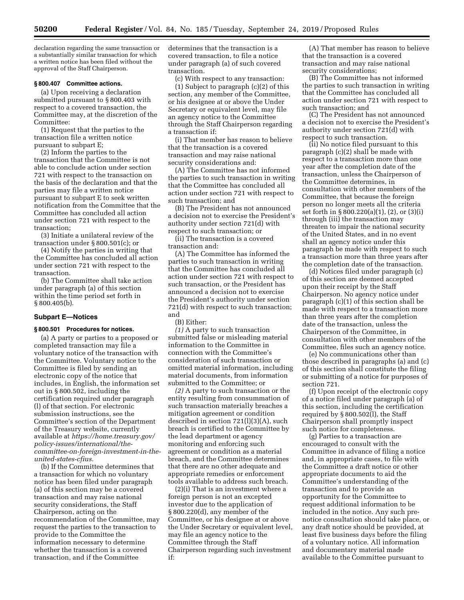declaration regarding the same transaction or a substantially similar transaction for which a written notice has been filed without the approval of the Staff Chairperson.

# **§ 800.407 Committee actions.**

(a) Upon receiving a declaration submitted pursuant to § 800.403 with respect to a covered transaction, the Committee may, at the discretion of the Committee:

(1) Request that the parties to the transaction file a written notice pursuant to subpart E;

(2) Inform the parties to the transaction that the Committee is not able to conclude action under section 721 with respect to the transaction on the basis of the declaration and that the parties may file a written notice pursuant to subpart E to seek written notification from the Committee that the Committee has concluded all action under section 721 with respect to the transaction;

(3) Initiate a unilateral review of the transaction under § 800.501(c); or

(4) Notify the parties in writing that the Committee has concluded all action under section 721 with respect to the transaction.

(b) The Committee shall take action under paragraph (a) of this section within the time period set forth in § 800.405(b).

#### **Subpart E—Notices**

#### **§ 800.501 Procedures for notices.**

(a) A party or parties to a proposed or completed transaction may file a voluntary notice of the transaction with the Committee. Voluntary notice to the Committee is filed by sending an electronic copy of the notice that includes, in English, the information set out in § 800.502, including the certification required under paragraph (l) of that section. For electronic submission instructions, see the Committee's section of the Department of the Treasury website, currently available at *[https://home.treasury.gov/](https://home.treasury.gov/policy-issues/international/the-committee-on-foreign-investment-in-the-united-states-cfius) [policy-issues/international/the](https://home.treasury.gov/policy-issues/international/the-committee-on-foreign-investment-in-the-united-states-cfius)[committee-on-foreign-investment-in-the](https://home.treasury.gov/policy-issues/international/the-committee-on-foreign-investment-in-the-united-states-cfius)[united-states-cfius.](https://home.treasury.gov/policy-issues/international/the-committee-on-foreign-investment-in-the-united-states-cfius)* 

(b) If the Committee determines that a transaction for which no voluntary notice has been filed under paragraph (a) of this section may be a covered transaction and may raise national security considerations, the Staff Chairperson, acting on the recommendation of the Committee, may request the parties to the transaction to provide to the Committee the information necessary to determine whether the transaction is a covered transaction, and if the Committee

determines that the transaction is a covered transaction, to file a notice under paragraph (a) of such covered transaction.

(c) With respect to any transaction:

(1) Subject to paragraph (c)(2) of this section, any member of the Committee, or his designee at or above the Under Secretary or equivalent level, may file an agency notice to the Committee through the Staff Chairperson regarding a transaction if:

(i) That member has reason to believe that the transaction is a covered transaction and may raise national security considerations and:

(A) The Committee has not informed the parties to such transaction in writing that the Committee has concluded all action under section 721 with respect to such transaction; and

(B) The President has not announced a decision not to exercise the President's authority under section 721(d) with respect to such transaction; or

(ii) The transaction is a covered transaction and:

(A) The Committee has informed the parties to such transaction in writing that the Committee has concluded all action under section 721 with respect to such transaction, or the President has announced a decision not to exercise the President's authority under section 721(d) with respect to such transaction; and

(B) Either:

*(1)* A party to such transaction submitted false or misleading material information to the Committee in connection with the Committee's consideration of such transaction or omitted material information, including material documents, from information submitted to the Committee; or

*(2)* A party to such transaction or the entity resulting from consummation of such transaction materially breaches a mitigation agreement or condition described in section 721(l)(3)(A), such breach is certified to the Committee by the lead department or agency monitoring and enforcing such agreement or condition as a material breach, and the Committee determines that there are no other adequate and appropriate remedies or enforcement tools available to address such breach.

(2)(i) That is an investment where a foreign person is not an excepted investor due to the application of § 800.220(d), any member of the Committee, or his designee at or above the Under Secretary or equivalent level, may file an agency notice to the Committee through the Staff Chairperson regarding such investment if:

(A) That member has reason to believe that the transaction is a covered transaction and may raise national security considerations;

(B) The Committee has not informed the parties to such transaction in writing that the Committee has concluded all action under section 721 with respect to such transaction; and

(C) The President has not announced a decision not to exercise the President's authority under section 721(d) with respect to such transaction.

(ii) No notice filed pursuant to this paragraph (c)(2) shall be made with respect to a transaction more than one year after the completion date of the transaction, unless the Chairperson of the Committee determines, in consultation with other members of the Committee, that because the foreign person no longer meets all the criteria set forth in § 800.220(a)(1), (2), or (3)(i) through (iii) the transaction may threaten to impair the national security of the United States, and in no event shall an agency notice under this paragraph be made with respect to such a transaction more than three years after the completion date of the transaction.

(d) Notices filed under paragraph (c) of this section are deemed accepted upon their receipt by the Staff Chairperson. No agency notice under paragraph (c)(1) of this section shall be made with respect to a transaction more than three years after the completion date of the transaction, unless the Chairperson of the Committee, in consultation with other members of the Committee, files such an agency notice.

(e) No communications other than those described in paragraphs (a) and (c) of this section shall constitute the filing or submitting of a notice for purposes of section 721.

(f) Upon receipt of the electronic copy of a notice filed under paragraph (a) of this section, including the certification required by § 800.502(l), the Staff Chairperson shall promptly inspect such notice for completeness.

(g) Parties to a transaction are encouraged to consult with the Committee in advance of filing a notice and, in appropriate cases, to file with the Committee a draft notice or other appropriate documents to aid the Committee's understanding of the transaction and to provide an opportunity for the Committee to request additional information to be included in the notice. Any such prenotice consultation should take place, or any draft notice should be provided, at least five business days before the filing of a voluntary notice. All information and documentary material made available to the Committee pursuant to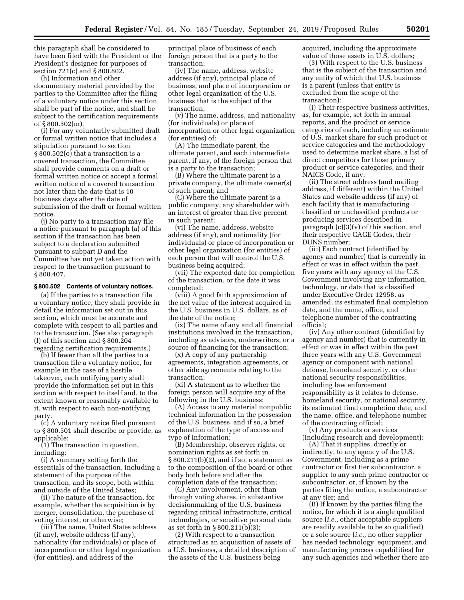this paragraph shall be considered to have been filed with the President or the President's designee for purposes of section 721(c) and § 800.802.

(h) Information and other documentary material provided by the parties to the Committee after the filing of a voluntary notice under this section shall be part of the notice, and shall be subject to the certification requirements of § 800.502(m).

(i) For any voluntarily submitted draft or formal written notice that includes a stipulation pursuant to section § 800.502(o) that a transaction is a covered transaction, the Committee shall provide comments on a draft or formal written notice or accept a formal written notice of a covered transaction not later than the date that is 10 business days after the date of submission of the draft or formal written notice.

(j) No party to a transaction may file a notice pursuant to paragraph (a) of this section if the transaction has been subject to a declaration submitted pursuant to subpart D and the Committee has not yet taken action with respect to the transaction pursuant to § 800.407.

# **§ 800.502 Contents of voluntary notices.**

(a) If the parties to a transaction file a voluntary notice, they shall provide in detail the information set out in this section, which must be accurate and complete with respect to all parties and to the transaction. (See also paragraph (l) of this section and § 800.204 regarding certification requirements.)

(b) If fewer than all the parties to a transaction file a voluntary notice, for example in the case of a hostile takeover, each notifying party shall provide the information set out in this section with respect to itself and, to the extent known or reasonably available to it, with respect to each non-notifying party.

(c) A voluntary notice filed pursuant to § 800.501 shall describe or provide, as applicable:

(1) The transaction in question, including:

(i) A summary setting forth the essentials of the transaction, including a statement of the purpose of the transaction, and its scope, both within and outside of the United States;

(ii) The nature of the transaction, for example, whether the acquisition is by merger, consolidation, the purchase of voting interest, or otherwise;

(iii) The name, United States address (if any), website address (if any), nationality (for individuals) or place of incorporation or other legal organization (for entities), and address of the

principal place of business of each foreign person that is a party to the transaction;

(iv) The name, address, website address (if any), principal place of business, and place of incorporation or other legal organization of the U.S. business that is the subject of the transaction;

(v) The name, address, and nationality (for individuals) or place of incorporation or other legal organization (for entities) of:

(A) The immediate parent, the ultimate parent, and each intermediate parent, if any, of the foreign person that is a party to the transaction;

(B) Where the ultimate parent is a private company, the ultimate owner(s) of such parent; and

(C) Where the ultimate parent is a public company, any shareholder with an interest of greater than five percent in such parent;

(vi) The name, address, website address (if any), and nationality (for individuals) or place of incorporation or other legal organization (for entities) of each person that will control the U.S. business being acquired;

(vii) The expected date for completion of the transaction, or the date it was completed;

(viii) A good faith approximation of the net value of the interest acquired in the U.S. business in U.S. dollars, as of the date of the notice;

(ix) The name of any and all financial institutions involved in the transaction, including as advisors, underwriters, or a source of financing for the transaction;

(x) A copy of any partnership agreements, integration agreements, or other side agreements relating to the transaction;

(xi) A statement as to whether the foreign person will acquire any of the following in the U.S. business:

(A) Access to any material nonpublic technical information in the possession of the U.S. business, and if so, a brief explanation of the type of access and type of information;

(B) Membership, observer rights, or nomination rights as set forth in § 800.211(b)(2), and if so, a statement as to the composition of the board or other body both before and after the completion date of the transaction;

(C) Any involvement, other than through voting shares, in substantive decisionmaking of the U.S. business regarding critical infrastructure, critical technologies, or sensitive personal data as set forth in § 800.211(b)(3);

(2) With respect to a transaction structured as an acquisition of assets of a U.S. business, a detailed description of the assets of the U.S. business being

acquired, including the approximate value of those assets in U.S. dollars;

(3) With respect to the U.S. business that is the subject of the transaction and any entity of which that U.S. business is a parent (unless that entity is excluded from the scope of the transaction):

(i) Their respective business activities, as, for example, set forth in annual reports, and the product or service categories of each, including an estimate of U.S. market share for such product or service categories and the methodology used to determine market share, a list of direct competitors for those primary product or service categories, and their NAICS Code, if any;

(ii) The street address (and mailing address, if different) within the United States and website address (if any) of each facility that is manufacturing classified or unclassified products or producing services described in paragraph (c)(3)(v) of this section, and their respective CAGE Codes, their DUNS number;

(iii) Each contract (identified by agency and number) that is currently in effect or was in effect within the past five years with any agency of the U.S. Government involving any information, technology, or data that is classified under Executive Order 12958, as amended, its estimated final completion date, and the name, office, and telephone number of the contracting official;

(iv) Any other contract (identified by agency and number) that is currently in effect or was in effect within the past three years with any U.S. Government agency or component with national defense, homeland security, or other national security responsibilities, including law enforcement responsibility as it relates to defense, homeland security, or national security, its estimated final completion date, and the name, office, and telephone number of the contracting official;

(v) Any products or services (including research and development):

(A) That it supplies, directly or indirectly, to any agency of the U.S. Government, including as a prime contractor or first tier subcontractor, a supplier to any such prime contractor or subcontractor, or, if known by the parties filing the notice, a subcontractor at any tier; and

(B) If known by the parties filing the notice, for which it is a single qualified source (*i.e.,* other acceptable suppliers are readily available to be so qualified) or a sole source (*i.e.,* no other supplier has needed technology, equipment, and manufacturing process capabilities) for any such agencies and whether there are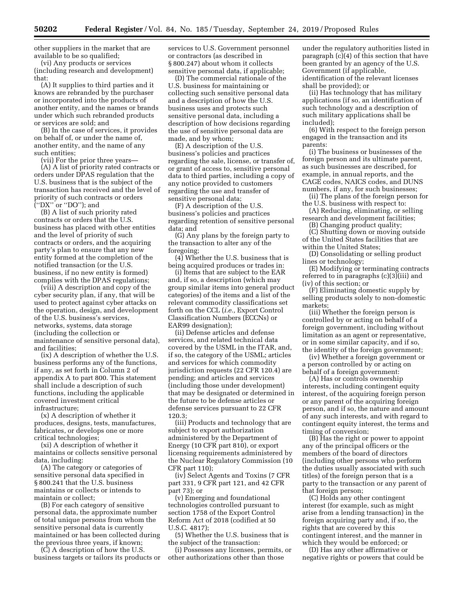other suppliers in the market that are available to be so qualified;

(vi) Any products or services (including research and development) that:

(A) It supplies to third parties and it knows are rebranded by the purchaser or incorporated into the products of another entity, and the names or brands under which such rebranded products or services are sold; and

(B) In the case of services, it provides on behalf of, or under the name of, another entity, and the name of any such entities;

(vii) For the prior three years—

(A) A list of priority rated contracts or orders under DPAS regulation that the U.S. business that is the subject of the transaction has received and the level of priority of such contracts or orders (''DX'' or ''DO''); and

(B) A list of such priority rated contracts or orders that the U.S. business has placed with other entities and the level of priority of such contracts or orders, and the acquiring party's plan to ensure that any new entity formed at the completion of the notified transaction (or the U.S. business, if no new entity is formed) complies with the DPAS regulations;

(viii) A description and copy of the cyber security plan, if any, that will be used to protect against cyber attacks on the operation, design, and development of the U.S. business's services, networks, systems, data storage (including the collection or maintenance of sensitive personal data), and facilities;

(ix) A description of whether the U.S. business performs any of the functions, if any, as set forth in Column 2 of appendix A to part 800. This statement shall include a description of such functions, including the applicable covered investment critical infrastructure;

(x) A description of whether it produces, designs, tests, manufactures, fabricates, or develops one or more critical technologies;

(xi) A description of whether it maintains or collects sensitive personal data, including:

(A) The category or categories of sensitive personal data specified in § 800.241 that the U.S. business maintains or collects or intends to maintain or collect;

(B) For each category of sensitive personal data, the approximate number of total unique persons from whom the sensitive personal data is currently maintained or has been collected during the previous three years, if known;

(C) A description of how the U.S. business targets or tailors its products or services to U.S. Government personnel or contractors (as described in § 800.247) about whom it collects sensitive personal data, if applicable;

(D) The commercial rationale of the U.S. business for maintaining or collecting such sensitive personal data and a description of how the U.S. business uses and protects such sensitive personal data, including a description of how decisions regarding the use of sensitive personal data are made, and by whom;

(E) A description of the U.S. business's policies and practices regarding the sale, license, or transfer of, or grant of access to, sensitive personal data to third parties, including a copy of any notice provided to customers regarding the use and transfer of sensitive personal data;

(F) A description of the U.S. business's policies and practices regarding retention of sensitive personal data; and

(G) Any plans by the foreign party to the transaction to alter any of the foregoing;

(4) Whether the U.S. business that is being acquired produces or trades in:

(i) Items that are subject to the EAR and, if so, a description (which may group similar items into general product categories) of the items and a list of the relevant commodity classifications set forth on the CCL (*i.e.,* Export Control Classification Numbers (ECCNs) or EAR99 designation);

(ii) Defense articles and defense services, and related technical data covered by the USML in the ITAR, and, if so, the category of the USML; articles and services for which commodity jurisdiction requests (22 CFR 120.4) are pending; and articles and services (including those under development) that may be designated or determined in the future to be defense articles or defense services pursuant to 22 CFR 120.3;

(iii) Products and technology that are subject to export authorization administered by the Department of Energy (10 CFR part 810), or export licensing requirements administered by the Nuclear Regulatory Commission (10 CFR part 110);

(iv) Select Agents and Toxins (7 CFR part 331, 9 CFR part 121, and 42 CFR part 73); or

(v) Emerging and foundational technologies controlled pursuant to section 1758 of the Export Control Reform Act of 2018 (codified at 50 U.S.C. 4817);

(5) Whether the U.S. business that is the subject of the transaction:

(i) Possesses any licenses, permits, or other authorizations other than those

under the regulatory authorities listed in paragraph (c)(4) of this section that have been granted by an agency of the U.S. Government (if applicable, identification of the relevant licenses shall be provided); or

(ii) Has technology that has military applications (if so, an identification of such technology and a description of such military applications shall be included);

(6) With respect to the foreign person engaged in the transaction and its parents:

(i) The business or businesses of the foreign person and its ultimate parent, as such businesses are described, for example, in annual reports, and the CAGE codes, NAICS codes, and DUNS numbers, if any, for such businesses;

(ii) The plans of the foreign person for the U.S. business with respect to:

(A) Reducing, eliminating, or selling research and development facilities;

(B) Changing product quality;

(C) Shutting down or moving outside of the United States facilities that are within the United States;

(D) Consolidating or selling product lines or technology;

(E) Modifying or terminating contracts referred to in paragraphs (c)(3)(iii) and (iv) of this section; or

(F) Eliminating domestic supply by selling products solely to non-domestic markets;

(iii) Whether the foreign person is controlled by or acting on behalf of a foreign government, including without limitation as an agent or representative, or in some similar capacity, and if so, the identity of the foreign government;

(iv) Whether a foreign government or a person controlled by or acting on behalf of a foreign government:

(A) Has or controls ownership interests, including contingent equity interest, of the acquiring foreign person or any parent of the acquiring foreign person, and if so, the nature and amount of any such interests, and with regard to contingent equity interest, the terms and timing of conversion;

(B) Has the right or power to appoint any of the principal officers or the members of the board of directors (including other persons who perform the duties usually associated with such titles) of the foreign person that is a party to the transaction or any parent of that foreign person;

(C) Holds any other contingent interest (for example, such as might arise from a lending transaction) in the foreign acquiring party and, if so, the rights that are covered by this contingent interest, and the manner in which they would be enforced; or

(D) Has any other affirmative or negative rights or powers that could be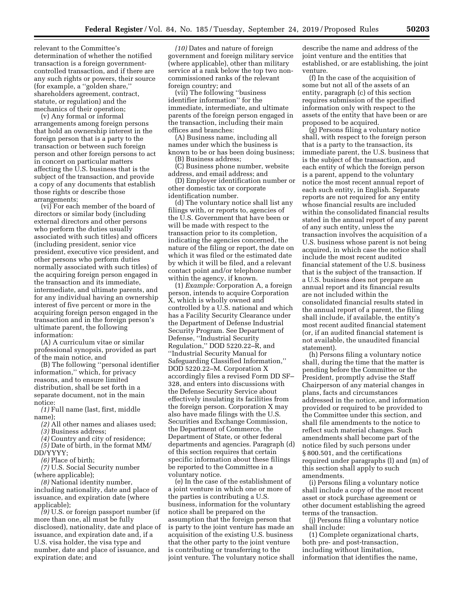relevant to the Committee's determination of whether the notified transaction is a foreign governmentcontrolled transaction, and if there are any such rights or powers, their source (for example, a ''golden share,'' shareholders agreement, contract, statute, or regulation) and the mechanics of their operation;

(v) Any formal or informal arrangements among foreign persons that hold an ownership interest in the foreign person that is a party to the transaction or between such foreign person and other foreign persons to act in concert on particular matters affecting the U.S. business that is the subject of the transaction, and provide a copy of any documents that establish those rights or describe those arrangements;

(vi) For each member of the board of directors or similar body (including external directors and other persons who perform the duties usually associated with such titles) and officers (including president, senior vice president, executive vice president, and other persons who perform duties normally associated with such titles) of the acquiring foreign person engaged in the transaction and its immediate, intermediate, and ultimate parents, and for any individual having an ownership interest of five percent or more in the acquiring foreign person engaged in the transaction and in the foreign person's ultimate parent, the following information:

(A) A curriculum vitae or similar professional synopsis, provided as part of the main notice, and

(B) The following ''personal identifier information,'' which, for privacy reasons, and to ensure limited distribution, shall be set forth in a separate document, not in the main notice:

*(1)* Full name (last, first, middle name);

*(2)* All other names and aliases used;

*(3)* Business address;

*(4)* Country and city of residence;

*(5)* Date of birth, in the format MM/

DD/YYYY;

*(6)* Place of birth;

*(7)* U.S. Social Security number (where applicable);

*(8)* National identity number, including nationality, date and place of issuance, and expiration date (where applicable);

*(9)* U.S. or foreign passport number (if more than one, all must be fully disclosed), nationality, date and place of issuance, and expiration date and, if a U.S. visa holder, the visa type and number, date and place of issuance, and expiration date; and

*(10)* Dates and nature of foreign government and foreign military service (where applicable), other than military service at a rank below the top two noncommissioned ranks of the relevant foreign country; and

(vii) The following ''business identifier information'' for the immediate, intermediate, and ultimate parents of the foreign person engaged in the transaction, including their main offices and branches:

(A) Business name, including all names under which the business is known to be or has been doing business; (B) Business address;

(C) Business phone number, website address, and email address; and

(D) Employer identification number or other domestic tax or corporate identification number.

(d) The voluntary notice shall list any filings with, or reports to, agencies of the U.S. Government that have been or will be made with respect to the transaction prior to its completion, indicating the agencies concerned, the nature of the filing or report, the date on which it was filed or the estimated date by which it will be filed, and a relevant contact point and/or telephone number within the agency, if known.

(1) *Example:* Corporation A, a foreign person, intends to acquire Corporation X, which is wholly owned and controlled by a U.S. national and which has a Facility Security Clearance under the Department of Defense Industrial Security Program. See Department of Defense, ''Industrial Security Regulation,'' DOD 5220.22–R, and ''Industrial Security Manual for Safeguarding Classified Information,'' DOD 5220.22–M. Corporation X accordingly files a revised Form DD SF– 328, and enters into discussions with the Defense Security Service about effectively insulating its facilities from the foreign person. Corporation X may also have made filings with the U.S. Securities and Exchange Commission, the Department of Commerce, the Department of State, or other federal departments and agencies. Paragraph (d) of this section requires that certain specific information about these filings be reported to the Committee in a voluntary notice.

(e) In the case of the establishment of a joint venture in which one or more of the parties is contributing a U.S. business, information for the voluntary notice shall be prepared on the assumption that the foreign person that is party to the joint venture has made an acquisition of the existing U.S. business that the other party to the joint venture is contributing or transferring to the joint venture. The voluntary notice shall

describe the name and address of the joint venture and the entities that established, or are establishing, the joint venture.

(f) In the case of the acquisition of some but not all of the assets of an entity, paragraph (c) of this section requires submission of the specified information only with respect to the assets of the entity that have been or are proposed to be acquired.

(g) Persons filing a voluntary notice shall, with respect to the foreign person that is a party to the transaction, its immediate parent, the U.S. business that is the subject of the transaction, and each entity of which the foreign person is a parent, append to the voluntary notice the most recent annual report of each such entity, in English. Separate reports are not required for any entity whose financial results are included within the consolidated financial results stated in the annual report of any parent of any such entity, unless the transaction involves the acquisition of a U.S. business whose parent is not being acquired, in which case the notice shall include the most recent audited financial statement of the U.S. business that is the subject of the transaction. If a U.S. business does not prepare an annual report and its financial results are not included within the consolidated financial results stated in the annual report of a parent, the filing shall include, if available, the entity's most recent audited financial statement (or, if an audited financial statement is not available, the unaudited financial statement).

(h) Persons filing a voluntary notice shall, during the time that the matter is pending before the Committee or the President, promptly advise the Staff Chairperson of any material changes in plans, facts and circumstances addressed in the notice, and information provided or required to be provided to the Committee under this section, and shall file amendments to the notice to reflect such material changes. Such amendments shall become part of the notice filed by such persons under § 800.501, and the certifications required under paragraphs (l) and (m) of this section shall apply to such amendments.

(i) Persons filing a voluntary notice shall include a copy of the most recent asset or stock purchase agreement or other document establishing the agreed terms of the transaction.

(j) Persons filing a voluntary notice shall include:

(1) Complete organizational charts, both pre- and post-transaction, including without limitation, information that identifies the name,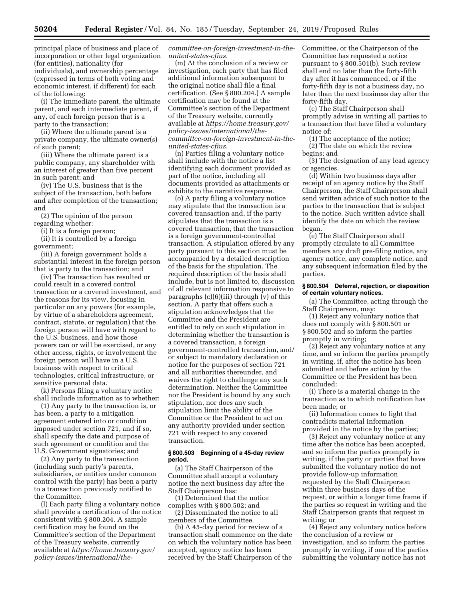principal place of business and place of

incorporation or other legal organization (for entities), nationality (for individuals), and ownership percentage (expressed in terms of both voting and economic interest, if different) for each of the following:

(i) The immediate parent, the ultimate parent, and each intermediate parent, if any, of each foreign person that is a party to the transaction;

(ii) Where the ultimate parent is a private company, the ultimate owner(s) of such parent;

(iii) Where the ultimate parent is a public company, any shareholder with an interest of greater than five percent in such parent; and

(iv) The U.S. business that is the subject of the transaction, both before and after completion of the transaction; and

(2) The opinion of the person regarding whether:

(i) It is a foreign person;

(ii) It is controlled by a foreign government;

(iii) A foreign government holds a substantial interest in the foreign person that is party to the transaction; and

(iv) The transaction has resulted or could result in a covered control transaction or a covered investment, and the reasons for its view, focusing in particular on any powers (for example, by virtue of a shareholders agreement, contract, statute, or regulation) that the foreign person will have with regard to the U.S. business, and how those powers can or will be exercised, or any other access, rights, or involvement the foreign person will have in a U.S. business with respect to critical technologies, critical infrastructure, or sensitive personal data.

(k) Persons filing a voluntary notice shall include information as to whether:

(1) Any party to the transaction is, or has been, a party to a mitigation agreement entered into or condition imposed under section 721, and if so, shall specify the date and purpose of such agreement or condition and the U.S. Government signatories; and

(2) Any party to the transaction (including such party's parents, subsidiaries, or entities under common control with the party) has been a party to a transaction previously notified to the Committee.

(l) Each party filing a voluntary notice shall provide a certification of the notice consistent with § 800.204. A sample certification may be found on the Committee's section of the Department of the Treasury website, currently available at *[https://home.treasury.gov/](https://home.treasury.gov/policy-issues/international/the-committee-on-foreign-investment-in-the-united-states-cfius)  [policy-issues/international/the-](https://home.treasury.gov/policy-issues/international/the-committee-on-foreign-investment-in-the-united-states-cfius)* *[committee-on-foreign-investment-in-the](https://home.treasury.gov/policy-issues/international/the-committee-on-foreign-investment-in-the-united-states-cfius)[united-states-cfius.](https://home.treasury.gov/policy-issues/international/the-committee-on-foreign-investment-in-the-united-states-cfius)* 

(m) At the conclusion of a review or investigation, each party that has filed additional information subsequent to the original notice shall file a final certification. (See § 800.204.) A sample certification may be found at the Committee's section of the Department of the Treasury website, currently available at *[https://home.treasury.gov/](https://home.treasury.gov/policy-issues/international/the-committee-on-foreign-investment-in-the-united-states-cfius)  [policy-issues/international/the](https://home.treasury.gov/policy-issues/international/the-committee-on-foreign-investment-in-the-united-states-cfius)[committee-on-foreign-investment-in-the](https://home.treasury.gov/policy-issues/international/the-committee-on-foreign-investment-in-the-united-states-cfius)[united-states-cfius.](https://home.treasury.gov/policy-issues/international/the-committee-on-foreign-investment-in-the-united-states-cfius)* 

(n) Parties filing a voluntary notice shall include with the notice a list identifying each document provided as part of the notice, including all documents provided as attachments or exhibits to the narrative response.

(o) A party filing a voluntary notice may stipulate that the transaction is a covered transaction and, if the party stipulates that the transaction is a covered transaction, that the transaction is a foreign government-controlled transaction. A stipulation offered by any party pursuant to this section must be accompanied by a detailed description of the basis for the stipulation. The required description of the basis shall include, but is not limited to, discussion of all relevant information responsive to paragraphs (c)(6)(iii) through (v) of this section. A party that offers such a stipulation acknowledges that the Committee and the President are entitled to rely on such stipulation in determining whether the transaction is a covered transaction, a foreign government-controlled transaction, and/ or subject to mandatory declaration or notice for the purposes of section 721 and all authorities thereunder, and waives the right to challenge any such determination. Neither the Committee nor the President is bound by any such stipulation, nor does any such stipulation limit the ability of the Committee or the President to act on any authority provided under section 721 with respect to any covered transaction.

#### **§ 800.503 Beginning of a 45-day review period.**

(a) The Staff Chairperson of the Committee shall accept a voluntary notice the next business day after the Staff Chairperson has:

(1) Determined that the notice complies with § 800.502; and

(2) Disseminated the notice to all members of the Committee.

(b) A 45-day period for review of a transaction shall commence on the date on which the voluntary notice has been accepted, agency notice has been received by the Staff Chairperson of the

Committee, or the Chairperson of the Committee has requested a notice pursuant to § 800.501(b). Such review shall end no later than the forty-fifth day after it has commenced, or if the forty-fifth day is not a business day, no later than the next business day after the forty-fifth day.

(c) The Staff Chairperson shall promptly advise in writing all parties to a transaction that have filed a voluntary notice of:

(1) The acceptance of the notice;

(2) The date on which the review begins; and

(3) The designation of any lead agency or agencies.

(d) Within two business days after receipt of an agency notice by the Staff Chairperson, the Staff Chairperson shall send written advice of such notice to the parties to the transaction that is subject to the notice. Such written advice shall identify the date on which the review began.

(e) The Staff Chairperson shall promptly circulate to all Committee members any draft pre-filing notice, any agency notice, any complete notice, and any subsequent information filed by the parties.

## **§ 800.504 Deferral, rejection, or disposition of certain voluntary notices.**

(a) The Committee, acting through the Staff Chairperson, may:

(1) Reject any voluntary notice that does not comply with § 800.501 or § 800.502 and so inform the parties promptly in writing;

(2) Reject any voluntary notice at any time, and so inform the parties promptly in writing, if, after the notice has been submitted and before action by the Committee or the President has been concluded:

(i) There is a material change in the transaction as to which notification has been made; or

(ii) Information comes to light that contradicts material information provided in the notice by the parties;

(3) Reject any voluntary notice at any time after the notice has been accepted, and so inform the parties promptly in writing, if the party or parties that have submitted the voluntary notice do not provide follow-up information requested by the Staff Chairperson within three business days of the request, or within a longer time frame if the parties so request in writing and the Staff Chairperson grants that request in writing; or

(4) Reject any voluntary notice before the conclusion of a review or investigation, and so inform the parties promptly in writing, if one of the parties submitting the voluntary notice has not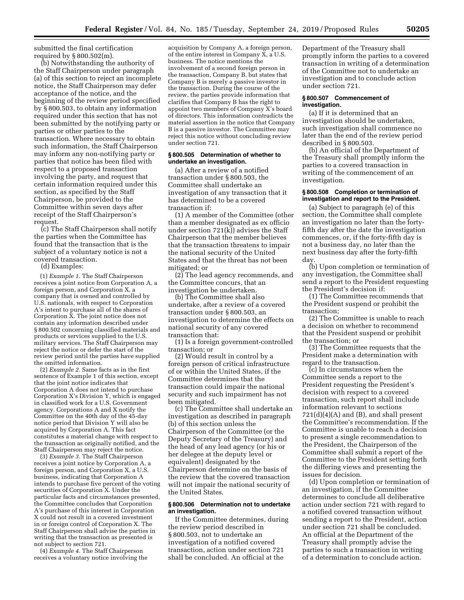submitted the final certification required by § 800.502(m).

(b) Notwithstanding the authority of the Staff Chairperson under paragraph (a) of this section to reject an incomplete notice, the Staff Chairperson may defer acceptance of the notice, and the beginning of the review period specified by § 800.503, to obtain any information required under this section that has not been submitted by the notifying party or parties or other parties to the transaction. Where necessary to obtain such information, the Staff Chairperson may inform any non-notifying party or parties that notice has been filed with respect to a proposed transaction involving the party, and request that certain information required under this section, as specified by the Staff Chairperson, be provided to the Committee within seven days after receipt of the Staff Chairperson's request.

(c) The Staff Chairperson shall notify the parties when the Committee has found that the transaction that is the subject of a voluntary notice is not a covered transaction.

(d) Examples:

(1) *Example 1.* The Staff Chairperson receives a joint notice from Corporation A, a foreign person, and Corporation X, a company that is owned and controlled by U.S. nationals, with respect to Corporation A's intent to purchase all of the shares of Corporation X. The joint notice does not contain any information described under § 800.502 concerning classified materials and products or services supplied to the U.S. military services. The Staff Chairperson may reject the notice or defer the start of the review period until the parties have supplied the omitted information.

(2) *Example 2.* Same facts as in the first sentence of Example 1 of this section, except that the joint notice indicates that Corporation A does not intend to purchase Corporation X's Division Y, which is engaged in classified work for a U.S. Government agency. Corporations A and X notify the Committee on the 40th day of the 45-day notice period that Division Y will also be acquired by Corporation A. This fact constitutes a material change with respect to the transaction as originally notified, and the Staff Chairperson may reject the notice.

(3) *Example 3.* The Staff Chairperson receives a joint notice by Corporation A, a foreign person, and Corporation X, a U.S. business, indicating that Corporation A intends to purchase five percent of the voting securities of Corporation X. Under the particular facts and circumstances presented, the Committee concludes that Corporation A's purchase of this interest in Corporation X could not result in a covered investment in or foreign control of Corporation X. The Staff Chairperson shall advise the parties in writing that the transaction as presented is not subject to section 721.

(4) *Example 4.* The Staff Chairperson receives a voluntary notice involving the

acquisition by Company A, a foreign person, of the entire interest in Company X, a U.S. business. The notice mentions the involvement of a second foreign person in the transaction, Company B, but states that Company B is merely a passive investor in the transaction. During the course of the review, the parties provide information that clarifies that Company B has the right to appoint two members of Company X's board of directors. This information contradicts the material assertion in the notice that Company B is a passive investor. The Committee may reject this notice without concluding review under section 721.

## **§ 800.505 Determination of whether to undertake an investigation.**

(a) After a review of a notified transaction under § 800.503, the Committee shall undertake an investigation of any transaction that it has determined to be a covered transaction if:

(1) A member of the Committee (other than a member designated as ex officio under section 721(k)) advises the Staff Chairperson that the member believes that the transaction threatens to impair the national security of the United States and that the threat has not been mitigated; or

(2) The lead agency recommends, and the Committee concurs, that an investigation be undertaken.

(b) The Committee shall also undertake, after a review of a covered transaction under § 800.503, an investigation to determine the effects on national security of any covered transaction that:

(1) Is a foreign government-controlled transaction; or

(2) Would result in control by a foreign person of critical infrastructure of or within the United States, if the Committee determines that the transaction could impair the national security and such impairment has not been mitigated.

(c) The Committee shall undertake an investigation as described in paragraph (b) of this section unless the Chairperson of the Committee (or the Deputy Secretary of the Treasury) and the head of any lead agency (or his or her delegee at the deputy level or equivalent) designated by the Chairperson determine on the basis of the review that the covered transaction will not impair the national security of the United States.

### **§ 800.506 Determination not to undertake an investigation.**

If the Committee determines, during the review period described in § 800.503, not to undertake an investigation of a notified covered transaction, action under section 721 shall be concluded. An official at the

Department of the Treasury shall promptly inform the parties to a covered transaction in writing of a determination of the Committee not to undertake an investigation and to conclude action under section 721.

## **§ 800.507 Commencement of investigation.**

(a) If it is determined that an investigation should be undertaken, such investigation shall commence no later than the end of the review period described in § 800.503.

(b) An official of the Department of the Treasury shall promptly inform the parties to a covered transaction in writing of the commencement of an investigation.

#### **§ 800.508 Completion or termination of investigation and report to the President.**

(a) Subject to paragraph (e) of this section, the Committee shall complete an investigation no later than the fortyfifth day after the date the investigation commences, or, if the forty-fifth day is not a business day, no later than the next business day after the forty-fifth day.

(b) Upon completion or termination of any investigation, the Committee shall send a report to the President requesting the President's decision if:

(1) The Committee recommends that the President suspend or prohibit the transaction;

(2) The Committee is unable to reach a decision on whether to recommend that the President suspend or prohibit the transaction; or

(3) The Committee requests that the President make a determination with regard to the transaction.

(c) In circumstances when the Committee sends a report to the President requesting the President's decision with respect to a covered transaction, such report shall include information relevant to sections 721(d)(4)(A) and (B), and shall present the Committee's recommendation. If the Committee is unable to reach a decision to present a single recommendation to the President, the Chairperson of the Committee shall submit a report of the Committee to the President setting forth the differing views and presenting the issues for decision.

(d) Upon completion or termination of an investigation, if the Committee determines to conclude all deliberative action under section 721 with regard to a notified covered transaction without sending a report to the President, action under section 721 shall be concluded. An official at the Department of the Treasury shall promptly advise the parties to such a transaction in writing of a determination to conclude action.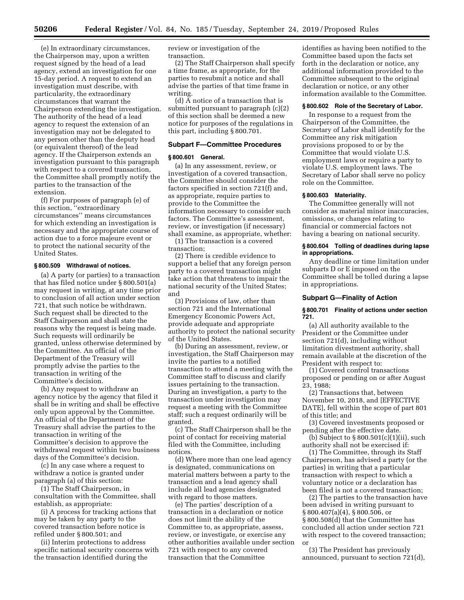(e) In extraordinary circumstances, the Chairperson may, upon a written request signed by the head of a lead agency, extend an investigation for one 15-day period. A request to extend an investigation must describe, with particularity, the extraordinary circumstances that warrant the Chairperson extending the investigation. The authority of the head of a lead agency to request the extension of an investigation may not be delegated to any person other than the deputy head (or equivalent thereof) of the lead agency. If the Chairperson extends an investigation pursuant to this paragraph with respect to a covered transaction, the Committee shall promptly notify the parties to the transaction of the extension.

(f) For purposes of paragraph (e) of this section, ''extraordinary circumstances'' means circumstances for which extending an investigation is necessary and the appropriate course of action due to a force majeure event or to protect the national security of the United States.

## **§ 800.509 Withdrawal of notices.**

(a) A party (or parties) to a transaction that has filed notice under § 800.501(a) may request in writing, at any time prior to conclusion of all action under section 721, that such notice be withdrawn. Such request shall be directed to the Staff Chairperson and shall state the reasons why the request is being made. Such requests will ordinarily be granted, unless otherwise determined by the Committee. An official of the Department of the Treasury will promptly advise the parties to the transaction in writing of the Committee's decision.

(b) Any request to withdraw an agency notice by the agency that filed it shall be in writing and shall be effective only upon approval by the Committee. An official of the Department of the Treasury shall advise the parties to the transaction in writing of the Committee's decision to approve the withdrawal request within two business days of the Committee's decision.

(c) In any case where a request to withdraw a notice is granted under paragraph (a) of this section:

(1) The Staff Chairperson, in consultation with the Committee, shall establish, as appropriate:

(i) A process for tracking actions that may be taken by any party to the covered transaction before notice is refiled under § 800.501; and

(ii) Interim protections to address specific national security concerns with the transaction identified during the

review or investigation of the transaction.

(2) The Staff Chairperson shall specify a time frame, as appropriate, for the parties to resubmit a notice and shall advise the parties of that time frame in writing.

(d) A notice of a transaction that is submitted pursuant to paragraph (c)(2) of this section shall be deemed a new notice for purposes of the regulations in this part, including § 800.701.

## **Subpart F—Committee Procedures**

#### **§ 800.601 General.**

(a) In any assessment, review, or investigation of a covered transaction, the Committee should consider the factors specified in section 721(f) and, as appropriate, require parties to provide to the Committee the information necessary to consider such factors. The Committee's assessment, review, or investigation (if necessary) shall examine, as appropriate, whether:

(1) The transaction is a covered transaction;

(2) There is credible evidence to support a belief that any foreign person party to a covered transaction might take action that threatens to impair the national security of the United States; and

(3) Provisions of law, other than section 721 and the International Emergency Economic Powers Act, provide adequate and appropriate authority to protect the national security of the United States.

(b) During an assessment, review, or investigation, the Staff Chairperson may invite the parties to a notified transaction to attend a meeting with the Committee staff to discuss and clarify issues pertaining to the transaction. During an investigation, a party to the transaction under investigation may request a meeting with the Committee staff; such a request ordinarily will be granted.

(c) The Staff Chairperson shall be the point of contact for receiving material filed with the Committee, including notices.

(d) Where more than one lead agency is designated, communications on material matters between a party to the transaction and a lead agency shall include all lead agencies designated with regard to those matters.

(e) The parties' description of a transaction in a declaration or notice does not limit the ability of the Committee to, as appropriate, assess, review, or investigate, or exercise any other authorities available under section 721 with respect to any covered transaction that the Committee

identifies as having been notified to the Committee based upon the facts set forth in the declaration or notice, any additional information provided to the Committee subsequent to the original declaration or notice, or any other information available to the Committee.

# **§ 800.602 Role of the Secretary of Labor.**

In response to a request from the Chairperson of the Committee, the Secretary of Labor shall identify for the Committee any risk mitigation provisions proposed to or by the Committee that would violate U.S. employment laws or require a party to violate U.S. employment laws. The Secretary of Labor shall serve no policy role on the Committee.

#### **§ 800.603 Materiality.**

The Committee generally will not consider as material minor inaccuracies, omissions, or changes relating to financial or commercial factors not having a bearing on national security.

### **§ 800.604 Tolling of deadlines during lapse in appropriations.**

Any deadline or time limitation under subparts D or E imposed on the Committee shall be tolled during a lapse in appropriations.

## **Subpart G—Finality of Action**

#### **§ 800.701 Finality of actions under section 721.**

(a) All authority available to the President or the Committee under section 721(d), including without limitation divestment authority, shall remain available at the discretion of the President with respect to:

(1) Covered control transactions proposed or pending on or after August 23, 1988;

(2) Transactions that, between November 10, 2018, and [EFFECTIVE DATE], fell within the scope of part 801 of this title; and

(3) Covered investments proposed or pending after the effective date.

(b) Subject to  $\S 800.501(c)(1)(ii)$ , such authority shall not be exercised if:

(1) The Committee, through its Staff Chairperson, has advised a party (or the parties) in writing that a particular transaction with respect to which a voluntary notice or a declaration has been filed is not a covered transaction;

(2) The parties to the transaction have been advised in writing pursuant to § 800.407(a)(4), § 800.506, or § 800.508(d) that the Committee has concluded all action under section 721 with respect to the covered transaction; or

(3) The President has previously announced, pursuant to section 721(d),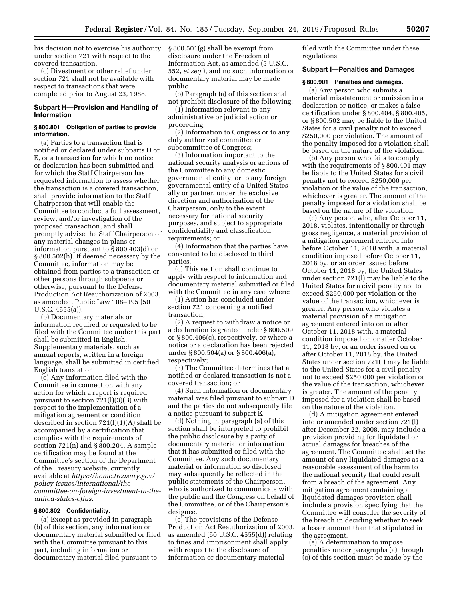his decision not to exercise his authority under section 721 with respect to the covered transaction.

(c) Divestment or other relief under section 721 shall not be available with respect to transactions that were completed prior to August 23, 1988.

# **Subpart H—Provision and Handling of Information**

#### **§ 800.801 Obligation of parties to provide information.**

(a) Parties to a transaction that is notified or declared under subparts D or E, or a transaction for which no notice or declaration has been submitted and for which the Staff Chairperson has requested information to assess whether the transaction is a covered transaction, shall provide information to the Staff Chairperson that will enable the Committee to conduct a full assessment, review, and/or investigation of the proposed transaction, and shall promptly advise the Staff Chairperson of any material changes in plans or information pursuant to § 800.403(d) or § 800.502(h). If deemed necessary by the Committee, information may be obtained from parties to a transaction or other persons through subpoena or otherwise, pursuant to the Defense Production Act Reauthorization of 2003, as amended, Public Law 108–195 (50 U.S.C. 4555(a)).

(b) Documentary materials or information required or requested to be filed with the Committee under this part shall be submitted in English. Supplementary materials, such as annual reports, written in a foreign language, shall be submitted in certified English translation.

(c) Any information filed with the Committee in connection with any action for which a report is required pursuant to section 721(l)(3)(B) with respect to the implementation of a mitigation agreement or condition described in section 721(l)(1)(A) shall be accompanied by a certification that complies with the requirements of section 721(n) and § 800.204. A sample certification may be found at the Committee's section of the Department of the Treasury website, currently available at *[https://home.treasury.gov/](https://home.treasury.gov/policy-issues/international/the-committee-on-foreign-investment-in-the-united-states-cfius) [policy-issues/international/the](https://home.treasury.gov/policy-issues/international/the-committee-on-foreign-investment-in-the-united-states-cfius)[committee-on-foreign-investment-in-the](https://home.treasury.gov/policy-issues/international/the-committee-on-foreign-investment-in-the-united-states-cfius)[united-states-cfius.](https://home.treasury.gov/policy-issues/international/the-committee-on-foreign-investment-in-the-united-states-cfius)* 

## **§ 800.802 Confidentiality.**

(a) Except as provided in paragraph (b) of this section, any information or documentary material submitted or filed with the Committee pursuant to this part, including information or documentary material filed pursuant to

§ 800.501(g) shall be exempt from disclosure under the Freedom of Information Act, as amended (5 U.S.C. 552, *et seq.*), and no such information or documentary material may be made public.

(b) Paragraph (a) of this section shall not prohibit disclosure of the following:

(1) Information relevant to any administrative or judicial action or proceeding;

(2) Information to Congress or to any duly authorized committee or subcommittee of Congress;

(3) Information important to the national security analysis or actions of the Committee to any domestic governmental entity, or to any foreign governmental entity of a United States ally or partner, under the exclusive direction and authorization of the Chairperson, only to the extent necessary for national security purposes, and subject to appropriate confidentiality and classification requirements; or

(4) Information that the parties have consented to be disclosed to third parties.

(c) This section shall continue to apply with respect to information and documentary material submitted or filed with the Committee in any case where:

(1) Action has concluded under section 721 concerning a notified transaction;

(2) A request to withdraw a notice or a declaration is granted under § 800.509 or § 800.406(c), respectively, or where a notice or a declaration has been rejected under § 800.504(a) or § 800.406(a), respectively;

(3) The Committee determines that a notified or declared transaction is not a covered transaction; or

(4) Such information or documentary material was filed pursuant to subpart D and the parties do not subsequently file a notice pursuant to subpart E.

(d) Nothing in paragraph (a) of this section shall be interpreted to prohibit the public disclosure by a party of documentary material or information that it has submitted or filed with the Committee. Any such documentary material or information so disclosed may subsequently be reflected in the public statements of the Chairperson, who is authorized to communicate with the public and the Congress on behalf of the Committee, or of the Chairperson's designee.

(e) The provisions of the Defense Production Act Reauthorization of 2003, as amended (50 U.S.C. 4555(d)) relating to fines and imprisonment shall apply with respect to the disclosure of information or documentary material

filed with the Committee under these regulations.

## **Subpart I—Penalties and Damages**

## **§ 800.901 Penalties and damages.**

(a) Any person who submits a material misstatement or omission in a declaration or notice, or makes a false certification under § 800.404, § 800.405, or § 800.502 may be liable to the United States for a civil penalty not to exceed \$250,000 per violation. The amount of the penalty imposed for a violation shall be based on the nature of the violation.

(b) Any person who fails to comply with the requirements of § 800.401 may be liable to the United States for a civil penalty not to exceed \$250,000 per violation or the value of the transaction, whichever is greater. The amount of the penalty imposed for a violation shall be based on the nature of the violation.

(c) Any person who, after October 11, 2018, violates, intentionally or through gross negligence, a material provision of a mitigation agreement entered into before October 11, 2018 with, a material condition imposed before October 11, 2018 by, or an order issued before October 11, 2018 by, the United States under section 721(l) may be liable to the United States for a civil penalty not to exceed \$250,000 per violation or the value of the transaction, whichever is greater. Any person who violates a material provision of a mitigation agreement entered into on or after October 11, 2018 with, a material condition imposed on or after October 11, 2018 by, or an order issued on or after October 11, 2018 by, the United States under section 721(l) may be liable to the United States for a civil penalty not to exceed \$250,000 per violation or the value of the transaction, whichever is greater. The amount of the penalty imposed for a violation shall be based on the nature of the violation.

(d) A mitigation agreement entered into or amended under section 721(l) after December 22, 2008, may include a provision providing for liquidated or actual damages for breaches of the agreement. The Committee shall set the amount of any liquidated damages as a reasonable assessment of the harm to the national security that could result from a breach of the agreement. Any mitigation agreement containing a liquidated damages provision shall include a provision specifying that the Committee will consider the severity of the breach in deciding whether to seek a lesser amount than that stipulated in the agreement.

(e) A determination to impose penalties under paragraphs (a) through (c) of this section must be made by the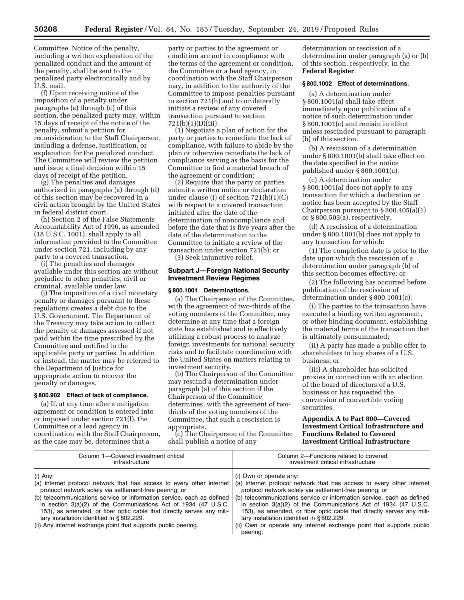Committee. Notice of the penalty, including a written explanation of the penalized conduct and the amount of the penalty, shall be sent to the penalized party electronically and by U.S. mail.

(f) Upon receiving notice of the imposition of a penalty under paragraphs (a) through (c) of this section, the penalized party may, within 15 days of receipt of the notice of the penalty, submit a petition for reconsideration to the Staff Chairperson, including a defense, justification, or explanation for the penalized conduct. The Committee will review the petition and issue a final decision within 15 days of receipt of the petition.

(g) The penalties and damages authorized in paragraphs (a) through (d) of this section may be recovered in a civil action brought by the United States in federal district court.

(h) Section 2 of the False Statements Accountability Act of 1996, as amended (18 U.S.C. 1001), shall apply to all information provided to the Committee under section 721, including by any party to a covered transaction.

(i) The penalties and damages available under this section are without prejudice to other penalties, civil or criminal, available under law.

(j) The imposition of a civil monetary penalty or damages pursuant to these regulations creates a debt due to the U.S. Government. The Department of the Treasury may take action to collect the penalty or damages assessed if not paid within the time prescribed by the Committee and notified to the applicable party or parties. In addition or instead, the matter may be referred to the Department of Justice for appropriate action to recover the penalty or damages.

# **§ 800.902 Effect of lack of compliance.**

(a) If, at any time after a mitigation agreement or condition is entered into or imposed under section 721(l), the Committee or a lead agency in coordination with the Staff Chairperson, as the case may be, determines that a

party or parties to the agreement or condition are not in compliance with the terms of the agreement or condition, the Committee or a lead agency, in coordination with the Staff Chairperson may, in addition to the authority of the Committee to impose penalties pursuant to section 721(h) and to unilaterally initiate a review of any covered transaction pursuant to section 721(b)(1)(D)(iii):

(1) Negotiate a plan of action for the party or parties to remediate the lack of compliance, with failure to abide by the plan or otherwise remediate the lack of compliance serving as the basis for the Committee to find a material breach of the agreement or condition;

(2) Require that the party or parties submit a written notice or declaration under clause (i) of section 721(b)(1)(C) with respect to a covered transaction initiated after the date of the determination of noncompliance and before the date that is five years after the date of the determination to the Committee to initiate a review of the transaction under section 721(b); or (3) Seek injunctive relief.

## **Subpart J—Foreign National Security Investment Review Regimes**

### **§ 800.1001 Determinations.**

(a) The Chairperson of the Committee, with the agreement of two-thirds of the voting members of the Committee, may determine at any time that a foreign state has established and is effectively utilizing a robust process to analyze foreign investments for national security risks and to facilitate coordination with the United States on matters relating to investment security.

(b) The Chairperson of the Committee may rescind a determination under paragraph (a) of this section if the Chairperson of the Committee determines, with the agreement of twothirds of the voting members of the Committee, that such a rescission is appropriate.

(c) The Chairperson of the Committee shall publish a notice of any

determination or rescission of a determination under paragraph (a) or (b) of this section, respectively, in the **Federal Register**.

## **§ 800.1002 Effect of determinations.**

(a) A determination under § 800.1001(a) shall take effect immediately upon publication of a notice of such determination under § 800.1001(c) and remain in effect unless rescinded pursuant to paragraph (b) of this section.

(b) A rescission of a determination under § 800.1001(b) shall take effect on the date specified in the notice published under § 800.1001(c).

(c) A determination under § 800.1001(a) does not apply to any transaction for which a declaration or notice has been accepted by the Staff Chairperson pursuant to  $\S 800.405(a)(1)$ or § 800.503(a), respectively.

(d) A rescission of a determination under § 800.1001(b) does not apply to any transaction for which:

(1) The completion date is prior to the date upon which the rescission of a determination under paragraph (b) of this section becomes effective; or

(2) The following has occurred before publication of the rescission of determination under § 800.1001(c):

(i) The parties to the transaction have executed a binding written agreement, or other binding document, establishing the material terms of the transaction that is ultimately consummated;

(ii) A party has made a public offer to shareholders to buy shares of a U.S. business; or

(iii) A shareholder has solicited proxies in connection with an election of the board of directors of a U.S. business or has requested the conversion of convertible voting securities.

## **Appendix A to Part 800—Covered Investment Critical Infrastructure and Functions Related to Covered Investment Critical Infrastructure**

| Column 1-Covered investment critical                                                                                                                                                                                                                                                                                                                                                                                                                                                | Column 2-Functions related to covered                                                                                                                                                                                                                                                                                                                                                                                                                                                                                |
|-------------------------------------------------------------------------------------------------------------------------------------------------------------------------------------------------------------------------------------------------------------------------------------------------------------------------------------------------------------------------------------------------------------------------------------------------------------------------------------|----------------------------------------------------------------------------------------------------------------------------------------------------------------------------------------------------------------------------------------------------------------------------------------------------------------------------------------------------------------------------------------------------------------------------------------------------------------------------------------------------------------------|
| infrastructure                                                                                                                                                                                                                                                                                                                                                                                                                                                                      | investment critical infrastructure                                                                                                                                                                                                                                                                                                                                                                                                                                                                                   |
| (i) Any:<br>(a) internet protocol network that has access to every other internet<br>protocol network solely via settlement-free peering; or<br>(b) telecommunications service or information service, each as defined<br>in section $3(a)(2)$ of the Communications Act of 1934 (47 U.S.C.<br>153), as amended, or fiber optic cable that directly serves any mili-<br>tary installation identified in §802.229.<br>(ii) Any internet exchange point that supports public peering. | (i) Own or operate any:<br>(a) internet protocol network that has access to every other internet<br>protocol network solely via settlement-free peering; or<br>(b) telecommunications service or information service, each as defined<br>in section $3(a)(2)$ of the Communications Act of 1934 (47 U.S.C.<br>153), as amended, or fiber optic cable that directly serves any mili-<br>tary installation identified in §802.229.<br>(ii) Own or operate any internet exchange point that supports public<br>peering. |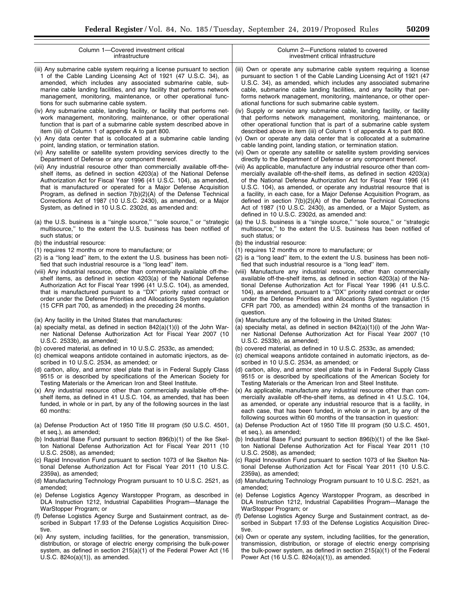| Column 1-Covered investment critical                                                                                                                                                                                                                                                                                                                                                                                                                                                                                                                                                                                                                                                                                                                                                                                                                                                                                                                                                                                                                                                                                                                                                                                                                                                                                                                                                                                                        | Column 2-Functions related to covered                                                                                                                                                                                                                                                                                                                                                                                                                                                                                                                                                                                                                                                                                                                                                                                                                                                                                                                                                                                                                                                                                                                                                                                                                                                                                                                                                                                                                                                                                                                                          |
|---------------------------------------------------------------------------------------------------------------------------------------------------------------------------------------------------------------------------------------------------------------------------------------------------------------------------------------------------------------------------------------------------------------------------------------------------------------------------------------------------------------------------------------------------------------------------------------------------------------------------------------------------------------------------------------------------------------------------------------------------------------------------------------------------------------------------------------------------------------------------------------------------------------------------------------------------------------------------------------------------------------------------------------------------------------------------------------------------------------------------------------------------------------------------------------------------------------------------------------------------------------------------------------------------------------------------------------------------------------------------------------------------------------------------------------------|--------------------------------------------------------------------------------------------------------------------------------------------------------------------------------------------------------------------------------------------------------------------------------------------------------------------------------------------------------------------------------------------------------------------------------------------------------------------------------------------------------------------------------------------------------------------------------------------------------------------------------------------------------------------------------------------------------------------------------------------------------------------------------------------------------------------------------------------------------------------------------------------------------------------------------------------------------------------------------------------------------------------------------------------------------------------------------------------------------------------------------------------------------------------------------------------------------------------------------------------------------------------------------------------------------------------------------------------------------------------------------------------------------------------------------------------------------------------------------------------------------------------------------------------------------------------------------|
| infrastructure                                                                                                                                                                                                                                                                                                                                                                                                                                                                                                                                                                                                                                                                                                                                                                                                                                                                                                                                                                                                                                                                                                                                                                                                                                                                                                                                                                                                                              | investment critical infrastructure                                                                                                                                                                                                                                                                                                                                                                                                                                                                                                                                                                                                                                                                                                                                                                                                                                                                                                                                                                                                                                                                                                                                                                                                                                                                                                                                                                                                                                                                                                                                             |
| (iii) Any submarine cable system requiring a license pursuant to section<br>1 of the Cable Landing Licensing Act of 1921 (47 U.S.C. 34), as<br>amended, which includes any associated submarine cable, sub-<br>marine cable landing facilities, and any facility that performs network<br>management, monitoring, maintenance, or other operational func-<br>tions for such submarine cable system.<br>(iv) Any submarine cable, landing facility, or facility that performs net-<br>work management, monitoring, maintenance, or other operational<br>function that is part of a submarine cable system described above in<br>item (iii) of Column 1 of appendix A to part 800.<br>(v) Any data center that is collocated at a submarine cable landing<br>point, landing station, or termination station.<br>(vi) Any satellite or satellite system providing services directly to the<br>Department of Defense or any component thereof.<br>(vii) Any industrial resource other than commercially available off-the-<br>shelf items, as defined in section 4203(a) of the National Defense<br>Authorization Act for Fiscal Year 1996 (41 U.S.C. 104), as amended,<br>that is manufactured or operated for a Major Defense Acquisition<br>Program, as defined in section 7(b)(2)(A) of the Defense Technical<br>Corrections Act of 1987 (10 U.S.C. 2430), as amended, or a Major<br>System, as defined in 10 U.S.C. 2302d, as amended and: | (iii) Own or operate any submarine cable system requiring a license<br>pursuant to section 1 of the Cable Landing Licensing Act of 1921 (47)<br>U.S.C. 34), as amended, which includes any associated submarine<br>cable, submarine cable landing facilities, and any facility that per-<br>forms network management, monitoring, maintenance, or other oper-<br>ational functions for such submarine cable system.<br>(iv) Supply or service any submarine cable, landing facility, or facility<br>that performs network management, monitoring, maintenance, or<br>other operational function that is part of a submarine cable system<br>described above in item (iii) of Column 1 of appendix A to part 800.<br>(v) Own or operate any data center that is collocated at a submarine<br>cable landing point, landing station, or termination station.<br>(vi) Own or operate any satellite or satellite system providing services<br>directly to the Department of Defense or any component thereof.<br>(vii) As applicable, manufacture any industrial resource other than com-<br>mercially available off-the-shelf items, as defined in section 4203(a)<br>of the National Defense Authorization Act for Fiscal Year 1996 (41<br>U.S.C. 104), as amended, or operate any industrial resource that is<br>a facility, in each case, for a Major Defense Acquisition Program, as<br>defined in section $7(b)(2)(A)$ of the Defense Technical Corrections<br>Act of 1987 (10 U.S.C. 2430), as amended, or a Major System, as<br>defined in 10 U.S.C. 2302d, as amended and: |
| (a) the U.S. business is a "single source," "sole source," or "strategic                                                                                                                                                                                                                                                                                                                                                                                                                                                                                                                                                                                                                                                                                                                                                                                                                                                                                                                                                                                                                                                                                                                                                                                                                                                                                                                                                                    | (a) the U.S. business is a "single source," "sole source," or "strategic                                                                                                                                                                                                                                                                                                                                                                                                                                                                                                                                                                                                                                                                                                                                                                                                                                                                                                                                                                                                                                                                                                                                                                                                                                                                                                                                                                                                                                                                                                       |
| multisource," to the extent the U.S. business has been notified of                                                                                                                                                                                                                                                                                                                                                                                                                                                                                                                                                                                                                                                                                                                                                                                                                                                                                                                                                                                                                                                                                                                                                                                                                                                                                                                                                                          | multisource," to the extent the U.S. business has been notified of                                                                                                                                                                                                                                                                                                                                                                                                                                                                                                                                                                                                                                                                                                                                                                                                                                                                                                                                                                                                                                                                                                                                                                                                                                                                                                                                                                                                                                                                                                             |
| such status; or                                                                                                                                                                                                                                                                                                                                                                                                                                                                                                                                                                                                                                                                                                                                                                                                                                                                                                                                                                                                                                                                                                                                                                                                                                                                                                                                                                                                                             | such status; or                                                                                                                                                                                                                                                                                                                                                                                                                                                                                                                                                                                                                                                                                                                                                                                                                                                                                                                                                                                                                                                                                                                                                                                                                                                                                                                                                                                                                                                                                                                                                                |
| (b) the industrial resource:                                                                                                                                                                                                                                                                                                                                                                                                                                                                                                                                                                                                                                                                                                                                                                                                                                                                                                                                                                                                                                                                                                                                                                                                                                                                                                                                                                                                                | (b) the industrial resource:                                                                                                                                                                                                                                                                                                                                                                                                                                                                                                                                                                                                                                                                                                                                                                                                                                                                                                                                                                                                                                                                                                                                                                                                                                                                                                                                                                                                                                                                                                                                                   |
| (1) requires 12 months or more to manufacture; or<br>(2) is a "long lead" item, to the extent the U.S. business has been noti-<br>fied that such industrial resource is a "long lead" item.<br>(viii) Any industrial resource, other than commercially available off-the-<br>shelf items, as defined in section 4203(a) of the National Defense<br>Authorization Act for Fiscal Year 1996 (41 U.S.C. 104), as amended,<br>that is manufactured pursuant to a "DX" priority rated contract or<br>order under the Defense Priorities and Allocations System regulation<br>(15 CFR part 700, as amended) in the preceding 24 months.                                                                                                                                                                                                                                                                                                                                                                                                                                                                                                                                                                                                                                                                                                                                                                                                           | (1) requires 12 months or more to manufacture; or<br>(2) is a "long lead" item, to the extent the U.S. business has been noti-<br>fied that such industrial resource is a "long lead" item.<br>(viii) Manufacture any industrial resource, other than commercially<br>available off-the-shelf items, as defined in section 4203(a) of the Na-<br>tional Defense Authorization Act for Fiscal Year 1996 (41 U.S.C.<br>104), as amended, pursuant to a "DX" priority rated contract or order<br>under the Defense Priorities and Allocations System regulation (15<br>CFR part 700, as amended) within 24 months of the transaction in<br>question.                                                                                                                                                                                                                                                                                                                                                                                                                                                                                                                                                                                                                                                                                                                                                                                                                                                                                                                              |
| (ix) Any facility in the United States that manufactures:<br>(a) specialty metal, as defined in section $842(a)(1)(i)$ of the John War-<br>ner National Defense Authorization Act for Fiscal Year 2007 (10<br>U.S.C. 2533b), as amended;<br>(b) covered material, as defined in 10 U.S.C. 2533c, as amended;<br>(c) chemical weapons antidote contained in automatic injectors, as de-<br>scribed in 10 U.S.C. 2534, as amended; or<br>(d) carbon, alloy, and armor steel plate that is in Federal Supply Class<br>9515 or is described by specifications of the American Society for<br>Testing Materials or the American Iron and Steel Institute.<br>(x) Any industrial resource other than commercially available off-the-<br>shelf items, as defined in 41 U.S.C. 104, as amended, that has been<br>funded, in whole or in part, by any of the following sources in the last<br>60 months:                                                                                                                                                                                                                                                                                                                                                                                                                                                                                                                                             | (ix) Manufacture any of the following in the United States:<br>(a) specialty metal, as defined in section $842(a)(1)(i)$ of the John War-<br>ner National Defense Authorization Act for Fiscal Year 2007 (10<br>U.S.C. 2533b), as amended;<br>(b) covered material, as defined in 10 U.S.C. 2533c, as amended;<br>(c) chemical weapons antidote contained in automatic injectors, as de-<br>scribed in 10 U.S.C. 2534, as amended; or<br>(d) carbon, alloy, and armor steel plate that is in Federal Supply Class<br>9515 or is described by specifications of the American Society for<br>Testing Materials or the American Iron and Steel Institute.<br>(x) As applicable, manufacture any industrial resource other than com-<br>mercially available off-the-shelf items, as defined in 41 U.S.C. 104,<br>as amended, or operate any industrial resource that is a facility, in<br>each case, that has been funded, in whole or in part, by any of the<br>following sources within 60 months of the transaction in question:                                                                                                                                                                                                                                                                                                                                                                                                                                                                                                                                                |
| (a) Defense Production Act of 1950 Title III program (50 U.S.C. 4501,                                                                                                                                                                                                                                                                                                                                                                                                                                                                                                                                                                                                                                                                                                                                                                                                                                                                                                                                                                                                                                                                                                                                                                                                                                                                                                                                                                       | (a) Defense Production Act of 1950 Title III program (50 U.S.C. 4501,                                                                                                                                                                                                                                                                                                                                                                                                                                                                                                                                                                                                                                                                                                                                                                                                                                                                                                                                                                                                                                                                                                                                                                                                                                                                                                                                                                                                                                                                                                          |
| et seq.), as amended;                                                                                                                                                                                                                                                                                                                                                                                                                                                                                                                                                                                                                                                                                                                                                                                                                                                                                                                                                                                                                                                                                                                                                                                                                                                                                                                                                                                                                       | et seq.), as amended;                                                                                                                                                                                                                                                                                                                                                                                                                                                                                                                                                                                                                                                                                                                                                                                                                                                                                                                                                                                                                                                                                                                                                                                                                                                                                                                                                                                                                                                                                                                                                          |
| (b) Industrial Base Fund pursuant to section 896(b)(1) of the Ike Skel-                                                                                                                                                                                                                                                                                                                                                                                                                                                                                                                                                                                                                                                                                                                                                                                                                                                                                                                                                                                                                                                                                                                                                                                                                                                                                                                                                                     | (b) Industrial Base Fund pursuant to section 896(b)(1) of the Ike Skel-                                                                                                                                                                                                                                                                                                                                                                                                                                                                                                                                                                                                                                                                                                                                                                                                                                                                                                                                                                                                                                                                                                                                                                                                                                                                                                                                                                                                                                                                                                        |
| ton National Defense Authorization Act for Fiscal Year 2011 (10                                                                                                                                                                                                                                                                                                                                                                                                                                                                                                                                                                                                                                                                                                                                                                                                                                                                                                                                                                                                                                                                                                                                                                                                                                                                                                                                                                             | ton National Defense Authorization Act for Fiscal Year 2011 (10                                                                                                                                                                                                                                                                                                                                                                                                                                                                                                                                                                                                                                                                                                                                                                                                                                                                                                                                                                                                                                                                                                                                                                                                                                                                                                                                                                                                                                                                                                                |
| U.S.C. 2508), as amended;                                                                                                                                                                                                                                                                                                                                                                                                                                                                                                                                                                                                                                                                                                                                                                                                                                                                                                                                                                                                                                                                                                                                                                                                                                                                                                                                                                                                                   | U.S.C. 2508), as amended;                                                                                                                                                                                                                                                                                                                                                                                                                                                                                                                                                                                                                                                                                                                                                                                                                                                                                                                                                                                                                                                                                                                                                                                                                                                                                                                                                                                                                                                                                                                                                      |
| (c) Rapid Innovation Fund pursuant to section 1073 of Ike Skelton Na-                                                                                                                                                                                                                                                                                                                                                                                                                                                                                                                                                                                                                                                                                                                                                                                                                                                                                                                                                                                                                                                                                                                                                                                                                                                                                                                                                                       | (c) Rapid Innovation Fund pursuant to section 1073 of Ike Skelton Na-                                                                                                                                                                                                                                                                                                                                                                                                                                                                                                                                                                                                                                                                                                                                                                                                                                                                                                                                                                                                                                                                                                                                                                                                                                                                                                                                                                                                                                                                                                          |
| tional Defense Authorization Act for Fiscal Year 2011 (10 U.S.C.                                                                                                                                                                                                                                                                                                                                                                                                                                                                                                                                                                                                                                                                                                                                                                                                                                                                                                                                                                                                                                                                                                                                                                                                                                                                                                                                                                            | tional Defense Authorization Act for Fiscal Year 2011 (10 U.S.C.                                                                                                                                                                                                                                                                                                                                                                                                                                                                                                                                                                                                                                                                                                                                                                                                                                                                                                                                                                                                                                                                                                                                                                                                                                                                                                                                                                                                                                                                                                               |
| 2359a), as amended;                                                                                                                                                                                                                                                                                                                                                                                                                                                                                                                                                                                                                                                                                                                                                                                                                                                                                                                                                                                                                                                                                                                                                                                                                                                                                                                                                                                                                         | 2359a), as amended;                                                                                                                                                                                                                                                                                                                                                                                                                                                                                                                                                                                                                                                                                                                                                                                                                                                                                                                                                                                                                                                                                                                                                                                                                                                                                                                                                                                                                                                                                                                                                            |
| (d) Manufacturing Technology Program pursuant to 10 U.S.C. 2521, as                                                                                                                                                                                                                                                                                                                                                                                                                                                                                                                                                                                                                                                                                                                                                                                                                                                                                                                                                                                                                                                                                                                                                                                                                                                                                                                                                                         | (d) Manufacturing Technology Program pursuant to 10 U.S.C. 2521, as                                                                                                                                                                                                                                                                                                                                                                                                                                                                                                                                                                                                                                                                                                                                                                                                                                                                                                                                                                                                                                                                                                                                                                                                                                                                                                                                                                                                                                                                                                            |
| amended;                                                                                                                                                                                                                                                                                                                                                                                                                                                                                                                                                                                                                                                                                                                                                                                                                                                                                                                                                                                                                                                                                                                                                                                                                                                                                                                                                                                                                                    | amended;                                                                                                                                                                                                                                                                                                                                                                                                                                                                                                                                                                                                                                                                                                                                                                                                                                                                                                                                                                                                                                                                                                                                                                                                                                                                                                                                                                                                                                                                                                                                                                       |
| (e) Defense Logistics Agency Warstopper Program, as described in                                                                                                                                                                                                                                                                                                                                                                                                                                                                                                                                                                                                                                                                                                                                                                                                                                                                                                                                                                                                                                                                                                                                                                                                                                                                                                                                                                            | (e) Defense Logistics Agency Warstopper Program, as described in                                                                                                                                                                                                                                                                                                                                                                                                                                                                                                                                                                                                                                                                                                                                                                                                                                                                                                                                                                                                                                                                                                                                                                                                                                                                                                                                                                                                                                                                                                               |
| DLA Instruction 1212, Industrial Capabilities Program-Manage the                                                                                                                                                                                                                                                                                                                                                                                                                                                                                                                                                                                                                                                                                                                                                                                                                                                                                                                                                                                                                                                                                                                                                                                                                                                                                                                                                                            | DLA Instruction 1212, Industrial Capabilities Program—Manage the                                                                                                                                                                                                                                                                                                                                                                                                                                                                                                                                                                                                                                                                                                                                                                                                                                                                                                                                                                                                                                                                                                                                                                                                                                                                                                                                                                                                                                                                                                               |
| WarStopper Program; or                                                                                                                                                                                                                                                                                                                                                                                                                                                                                                                                                                                                                                                                                                                                                                                                                                                                                                                                                                                                                                                                                                                                                                                                                                                                                                                                                                                                                      | WarStopper Program; or                                                                                                                                                                                                                                                                                                                                                                                                                                                                                                                                                                                                                                                                                                                                                                                                                                                                                                                                                                                                                                                                                                                                                                                                                                                                                                                                                                                                                                                                                                                                                         |
| (f) Defense Logistics Agency Surge and Sustainment contract, as de-                                                                                                                                                                                                                                                                                                                                                                                                                                                                                                                                                                                                                                                                                                                                                                                                                                                                                                                                                                                                                                                                                                                                                                                                                                                                                                                                                                         | (f) Defense Logistics Agency Surge and Sustainment contract, as de-                                                                                                                                                                                                                                                                                                                                                                                                                                                                                                                                                                                                                                                                                                                                                                                                                                                                                                                                                                                                                                                                                                                                                                                                                                                                                                                                                                                                                                                                                                            |
| scribed in Subpart 17.93 of the Defense Logistics Acquisition Direc-                                                                                                                                                                                                                                                                                                                                                                                                                                                                                                                                                                                                                                                                                                                                                                                                                                                                                                                                                                                                                                                                                                                                                                                                                                                                                                                                                                        | scribed in Subpart 17.93 of the Defense Logistics Acquisition Direc-                                                                                                                                                                                                                                                                                                                                                                                                                                                                                                                                                                                                                                                                                                                                                                                                                                                                                                                                                                                                                                                                                                                                                                                                                                                                                                                                                                                                                                                                                                           |
| tive.                                                                                                                                                                                                                                                                                                                                                                                                                                                                                                                                                                                                                                                                                                                                                                                                                                                                                                                                                                                                                                                                                                                                                                                                                                                                                                                                                                                                                                       | tive.                                                                                                                                                                                                                                                                                                                                                                                                                                                                                                                                                                                                                                                                                                                                                                                                                                                                                                                                                                                                                                                                                                                                                                                                                                                                                                                                                                                                                                                                                                                                                                          |
| (xi) Any system, including facilities, for the generation, transmission,                                                                                                                                                                                                                                                                                                                                                                                                                                                                                                                                                                                                                                                                                                                                                                                                                                                                                                                                                                                                                                                                                                                                                                                                                                                                                                                                                                    | (xi) Own or operate any system, including facilities, for the generation,                                                                                                                                                                                                                                                                                                                                                                                                                                                                                                                                                                                                                                                                                                                                                                                                                                                                                                                                                                                                                                                                                                                                                                                                                                                                                                                                                                                                                                                                                                      |
| distribution, or storage of electric energy comprising the bulk-power                                                                                                                                                                                                                                                                                                                                                                                                                                                                                                                                                                                                                                                                                                                                                                                                                                                                                                                                                                                                                                                                                                                                                                                                                                                                                                                                                                       | transmission, distribution, or storage of electric energy comprising                                                                                                                                                                                                                                                                                                                                                                                                                                                                                                                                                                                                                                                                                                                                                                                                                                                                                                                                                                                                                                                                                                                                                                                                                                                                                                                                                                                                                                                                                                           |

the bulk-power system, as defined in section 215(a)(1) of the Federal

Power Act (16 U.S.C. 824o(a)(1)), as amended.

distribution, or storage of electric energy comprising the bulk-power system, as defined in section 215(a)(1) of the Federal Power Act (16 U.S.C. 824o(a)(1)), as amended.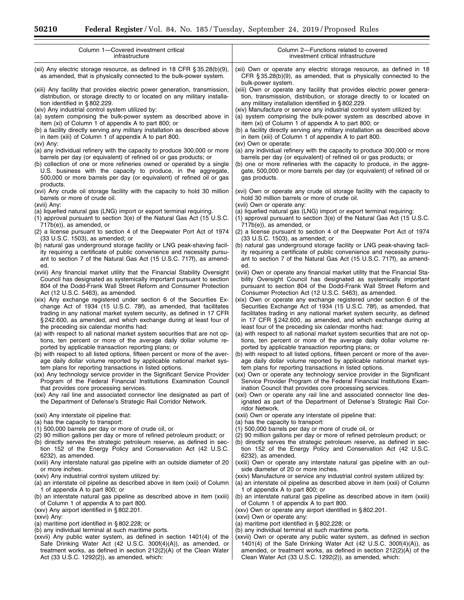| Column 1-Covered investment critical                                                                                                                                                                                          | Column 2-Functions related to covered                                                                                                                                                                                    |
|-------------------------------------------------------------------------------------------------------------------------------------------------------------------------------------------------------------------------------|--------------------------------------------------------------------------------------------------------------------------------------------------------------------------------------------------------------------------|
| infrastructure                                                                                                                                                                                                                | investment critical infrastructure                                                                                                                                                                                       |
| (xii) Any electric storage resource, as defined in 18 CFR $\S 35.28(b)(9)$ ,<br>as amended, that is physically connected to the bulk-power system.                                                                            | (xii) Own or operate any electric storage resource, as defined in 18<br>CFR $\S 35.28(b)(9)$ , as amended, that is physically connected to the<br>bulk-power system.                                                     |
| (xiii) Any facility that provides electric power generation, transmission,                                                                                                                                                    | (xiii) Own or operate any facility that provides electric power genera-                                                                                                                                                  |
| distribution, or storage directly to or located on any military installa-                                                                                                                                                     | tion, transmission, distribution, or storage directly to or located on                                                                                                                                                   |
| tion identified in $\S$ 802.229.                                                                                                                                                                                              | any military installation identified in $\S 802.229$ .                                                                                                                                                                   |
| (xiv) Any industrial control system utilized by:                                                                                                                                                                              | (xiv) Manufacture or service any industrial control system utilized by:                                                                                                                                                  |
| (a) system comprising the bulk-power system as described above in                                                                                                                                                             | (a) system comprising the bulk-power system as described above in                                                                                                                                                        |
| item (xi) of Column 1 of appendix A to part 800; or                                                                                                                                                                           | item (xi) of Column 1 of appendix A to part 800; or                                                                                                                                                                      |
| (b) a facility directly serving any military installation as described above                                                                                                                                                  | (b) a facility directly serving any military installation as described above                                                                                                                                             |
| in item (xiii) of Column 1 of appendix A to part 800.                                                                                                                                                                         | in item (xiii) of Column 1 of appendix A to part 800.                                                                                                                                                                    |
| (xv) Any:                                                                                                                                                                                                                     | (xv) Own or operate:                                                                                                                                                                                                     |
| (a) any individual refinery with the capacity to produce 300,000 or more                                                                                                                                                      | (a) any individual refinery with the capacity to produce 300,000 or more                                                                                                                                                 |
| barrels per day (or equivalent) of refined oil or gas products; or                                                                                                                                                            | barrels per day (or equivalent) of refined oil or gas products; or                                                                                                                                                       |
| (b) collection of one or more refineries owned or operated by a single<br>U.S. business with the capacity to produce, in the aggregate,<br>500,000 or more barrels per day (or equivalent) of refined oil or gas<br>products. | (b) one or more refineries with the capacity to produce, in the aggre-<br>gate, 500,000 or more barrels per day (or equivalent) of refined oil or<br>gas products.                                                       |
| (xvi) Any crude oil storage facility with the capacity to hold 30 million                                                                                                                                                     | (xvi) Own or operate any crude oil storage facility with the capacity to                                                                                                                                                 |
| barrels or more of crude oil.                                                                                                                                                                                                 | hold 30 million barrels or more of crude oil.                                                                                                                                                                            |
| (xvii) Any:                                                                                                                                                                                                                   | (xvii) Own or operate any:                                                                                                                                                                                               |
| (a) liquefied natural gas (LNG) import or export terminal requiring.                                                                                                                                                          | (a) liquefied natural gas (LNG) import or export terminal requiring:                                                                                                                                                     |
| (1) approval pursuant to section 3(e) of the Natural Gas Act (15 U.S.C.                                                                                                                                                       | (1) approval pursuant to section 3(e) of the Natural Gas Act (15 U.S.C.                                                                                                                                                  |
| 717b(e)), as amended, or                                                                                                                                                                                                      | $717b(e)$ , as amended, or                                                                                                                                                                                               |
| (2) a license pursuant to section 4 of the Deepwater Port Act of 1974                                                                                                                                                         | (2) a license pursuant to section 4 of the Deepwater Port Act of 1974                                                                                                                                                    |
| (33 U.S.C. 1503), as amended; or                                                                                                                                                                                              | (33 U.S.C. 1503), as amended; or                                                                                                                                                                                         |
| (b) natural gas underground storage facility or LNG peak-shaving facil-                                                                                                                                                       | (b) natural gas underground storage facility or LNG peak-shaving facil-                                                                                                                                                  |
| ity requiring a certificate of public convenience and necessity pursu-                                                                                                                                                        | ity requiring a certificate of public convenience and necessity pursu-                                                                                                                                                   |
| ant to section 7 of the Natural Gas Act (15 U.S.C. 717f), as amend-                                                                                                                                                           | ant to section 7 of the Natural Gas Act (15 U.S.C. 717f), as amend-                                                                                                                                                      |
| ed.                                                                                                                                                                                                                           | ed.                                                                                                                                                                                                                      |
| (xviii) Any financial market utility that the Financial Stability Oversight                                                                                                                                                   | (xviii) Own or operate any financial market utility that the Financial Sta-                                                                                                                                              |
| Council has designated as systemically important pursuant to section                                                                                                                                                          | bility Oversight Council has designated as systemically important                                                                                                                                                        |
| 804 of the Dodd-Frank Wall Street Reform and Consumer Protection                                                                                                                                                              | pursuant to section 804 of the Dodd-Frank Wall Street Reform and                                                                                                                                                         |
| Act (12 U.S.C. 5463), as amended.                                                                                                                                                                                             | Consumer Protection Act (12 U.S.C. 5463), as amended.                                                                                                                                                                    |
| (xix) Any exchange registered under section 6 of the Securities Ex-                                                                                                                                                           | (xix) Own or operate any exchange registered under section 6 of the                                                                                                                                                      |
| change Act of 1934 (15 U.S.C. 78f), as amended, that facilitates                                                                                                                                                              | Securities Exchange Act of 1934 (15 U.S.C. 78f), as amended, that                                                                                                                                                        |
| trading in any national market system security, as defined in 17 CFR                                                                                                                                                          | facilitates trading in any national market system security, as defined                                                                                                                                                   |
| §242.600, as amended, and which exchange during at least four of                                                                                                                                                              | in 17 CFR § 242.600, as amended, and which exchange during at                                                                                                                                                            |
| the preceding six calendar months had:                                                                                                                                                                                        | least four of the preceding six calendar months had:                                                                                                                                                                     |
| (a) with respect to all national market system securities that are not op-                                                                                                                                                    | (a) with respect to all national market system securities that are not op-                                                                                                                                               |
| tions, ten percent or more of the average daily dollar volume re-                                                                                                                                                             | tions, ten percent or more of the average daily dollar volume re-                                                                                                                                                        |
| ported by applicable transaction reporting plans; or                                                                                                                                                                          | ported by applicable transaction reporting plans; or                                                                                                                                                                     |
| (b) with respect to all listed options, fifteen percent or more of the aver-                                                                                                                                                  | (b) with respect to all listed options, fifteen percent or more of the aver-                                                                                                                                             |
| age daily dollar volume reported by applicable national market sys-                                                                                                                                                           | age daily dollar volume reported by applicable national market sys-                                                                                                                                                      |
| tem plans for reporting transactions in listed options.                                                                                                                                                                       | tem plans for reporting transactions in listed options.                                                                                                                                                                  |
| (xx) Any technology service provider in the Significant Service Provider                                                                                                                                                      | (xx) Own or operate any technology service provider in the Significant                                                                                                                                                   |
| Program of the Federal Financial Institutions Examination Council                                                                                                                                                             | Service Provider Program of the Federal Financial Institutions Exam-                                                                                                                                                     |
| that provides core processing services.<br>(xxi) Any rail line and associated connector line designated as part of<br>the Department of Defense's Strategic Rail Corridor Network.                                            | ination Council that provides core processing services.<br>(xxi) Own or operate any rail line and associated connector line des-<br>ignated as part of the Department of Defense's Strategic Rail Cor-<br>ridor Network. |
| (xxii) Any interstate oil pipeline that:                                                                                                                                                                                      | (xxii) Own or operate any interstate oil pipeline that:                                                                                                                                                                  |
| (a) has the capacity to transport:                                                                                                                                                                                            | (a) has the capacity to transport:                                                                                                                                                                                       |
| (1) 500,000 barrels per day or more of crude oil, or                                                                                                                                                                          | (1) 500,000 barrels per day or more of crude oil, or                                                                                                                                                                     |
| (2) 90 million gallons per day or more of refined petroleum product; or                                                                                                                                                       | (2) 90 million gallons per day or more of refined petroleum product; or                                                                                                                                                  |
| (b) directly serves the strategic petroleum reserve, as defined in sec-                                                                                                                                                       | (b) directly serves the strategic petroleum reserve, as defined in sec-                                                                                                                                                  |
| tion 152 of the Energy Policy and Conservation Act (42 U.S.C.                                                                                                                                                                 | tion 152 of the Energy Policy and Conservation Act (42 U.S.C.                                                                                                                                                            |
| 6232), as amended.                                                                                                                                                                                                            | 6232), as amended.                                                                                                                                                                                                       |
| (xxiii) Any interstate natural gas pipeline with an outside diameter of 20                                                                                                                                                    | (xxiii) Own or operate any interstate natural gas pipeline with an out-                                                                                                                                                  |
| or more inches.                                                                                                                                                                                                               | side diameter of 20 or more inches.                                                                                                                                                                                      |
| (xxiv) Any industrial control system utilized by:                                                                                                                                                                             | (xxiv) Manufacture or service any industrial control system utilized by:                                                                                                                                                 |
| (a) an interstate oil pipeline as described above in item (xxii) of Column                                                                                                                                                    | (a) an interstate oil pipeline as described above in item (xxii) of Column                                                                                                                                               |
| 1 of appendix A to part 800; or                                                                                                                                                                                               | 1 of appendix A to part 800; or                                                                                                                                                                                          |
| (b) an interstate natural gas pipeline as described above in item (xxiii)                                                                                                                                                     | (b) an interstate natural gas pipeline as described above in item (xxiii)                                                                                                                                                |
| of Column 1 of appendix A to part 800.                                                                                                                                                                                        | of Column 1 of appendix A to part 800.                                                                                                                                                                                   |
| (xxv) Any airport identified in $\S 802.201$ .                                                                                                                                                                                | (xxv) Own or operate any airport identified in $\S 802.201$ .                                                                                                                                                            |
| (xxvi) Any:                                                                                                                                                                                                                   | (xxvi) Own or operate any:                                                                                                                                                                                               |
| (a) maritime port identified in $\S$ 802.228; or                                                                                                                                                                              | (a) maritime port identified in $\S$ 802.228; or                                                                                                                                                                         |
| (b) any individual terminal at such maritime ports.                                                                                                                                                                           | (b) any individual terminal at such maritime ports.                                                                                                                                                                      |
| (xxvii) Any public water system, as defined in section 1401(4) of the                                                                                                                                                         | (xxvii) Own or operate any public water system, as defined in section                                                                                                                                                    |
| Safe Drinking Water Act (42 U.S.C. 300f(4)(A)), as amended, or                                                                                                                                                                | 1401(4) of the Safe Drinking Water Act (42 U.S.C. $300f(4)(A)$ ), as                                                                                                                                                     |
| treatment works, as defined in section $212(2)(A)$ of the Clean Water                                                                                                                                                         | amended, or treatment works, as defined in section 212(2)(A) of the                                                                                                                                                      |
| Act (33 U.S.C. 1292(2)), as amended, which:                                                                                                                                                                                   | Clean Water Act (33 U.S.C. 1292(2)), as amended, which:                                                                                                                                                                  |